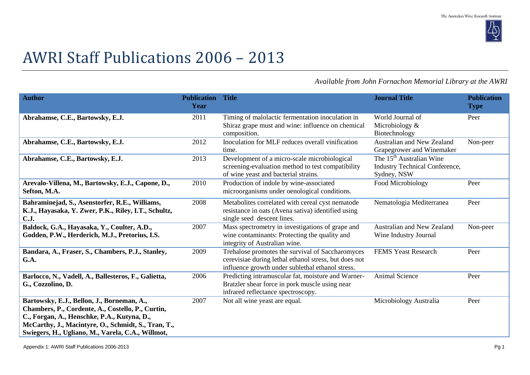

## AWRI Staff Publications 2006 – 2013

*Available from John Fornachon Memorial Library at the AWRI*

| <b>Author</b>                                                                                                                                                                                                                                              | <b>Publication</b><br>Year | <b>Title</b>                                                                                                                                                  | <b>Journal Title</b>                                                                  | <b>Publication</b><br><b>Type</b> |
|------------------------------------------------------------------------------------------------------------------------------------------------------------------------------------------------------------------------------------------------------------|----------------------------|---------------------------------------------------------------------------------------------------------------------------------------------------------------|---------------------------------------------------------------------------------------|-----------------------------------|
| Abrahamse, C.E., Bartowsky, E.J.                                                                                                                                                                                                                           | 2011                       | Timing of malolactic fermentation inoculation in<br>Shiraz grape must and wine: influence on chemical<br>composition.                                         | World Journal of<br>Microbiology $&$<br>Biotechnology                                 | Peer                              |
| Abrahamse, C.E., Bartowsky, E.J.                                                                                                                                                                                                                           | 2012                       | Inoculation for MLF reduces overall vinification<br>time.                                                                                                     | <b>Australian and New Zealand</b><br>Grapegrower and Winemaker                        | Non-peer                          |
| Abrahamse, C.E., Bartowsky, E.J.                                                                                                                                                                                                                           | 2013                       | Development of a micro-scale microbiological<br>screening-evaluation method to test compatibility<br>of wine yeast and bacterial strains.                     | The 15 <sup>th</sup> Australian Wine<br>Industry Technical Conference,<br>Sydney, NSW |                                   |
| Arevalo-Villena, M., Bartowsky, E.J., Capone, D.,<br>Sefton, M.A.                                                                                                                                                                                          | 2010                       | Production of indole by wine-associated<br>microorganisms under oenological conditions.                                                                       | Food Microbiology                                                                     | Peer                              |
| Bahraminejad, S., Asenstorfer, R.E., Williams,<br>K.J., Hayasaka, Y. Zwer, P.K., Riley, I.T., Schultz,<br><b>C.J.</b>                                                                                                                                      | 2008                       | Metabolites correlated with cereal cyst nematode<br>resistance in oats (Avena sativa) identified using<br>single seed descent lines.                          | Nematologia Mediterranea                                                              | Peer                              |
| Baldock, G.A., Hayasaka, Y., Coulter, A.D.,<br>Godden, P.W., Herderich, M.J., Pretorius, I.S.                                                                                                                                                              | 2007                       | Mass spectrometry in investigations of grape and<br>wine contaminants: Protecting the quality and<br>integrity of Australian wine.                            | Australian and New Zealand<br>Wine Industry Journal                                   | Non-peer                          |
| Bandara, A., Fraser, S., Chambers, P.J., Stanley,<br>G.A.                                                                                                                                                                                                  | 2009                       | Trehalose promotes the survival of Saccharomyces<br>cerevisiae during lethal ethanol stress, but does not<br>influence growth under sublethal ethanol stress. | <b>FEMS Yeast Research</b>                                                            | Peer                              |
| Barlocco, N., Vadell, A., Ballesteros, F., Galietta,<br>G., Cozzolino, D.                                                                                                                                                                                  | 2006                       | Predicting intramuscular fat, moisture and Warner-<br>Bratzler shear force in pork muscle using near<br>infrared reflectance spectroscopy.                    | <b>Animal Science</b>                                                                 | Peer                              |
| Bartowsky, E.J., Bellon, J., Borneman, A.,<br>Chambers, P., Cordente, A., Costello, P., Curtin,<br>C., Forgan, A., Henschke, P.A., Kutyna, D.,<br>McCarthy, J., Macintyre, O., Schmidt, S., Tran, T.,<br>Swiegers, H., Ugliano, M., Varela, C.A., Willmot, | 2007                       | Not all wine yeast are equal.                                                                                                                                 | Microbiology Australia                                                                | Peer                              |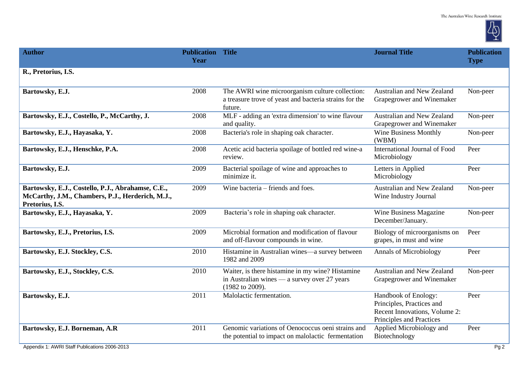

| <b>Author</b>                                                                                                            | <b>Publication Title</b><br>Year |                                                                                                                      | <b>Journal Title</b>                                                                                           | <b>Publication</b><br><b>Type</b> |
|--------------------------------------------------------------------------------------------------------------------------|----------------------------------|----------------------------------------------------------------------------------------------------------------------|----------------------------------------------------------------------------------------------------------------|-----------------------------------|
| R., Pretorius, I.S.                                                                                                      |                                  |                                                                                                                      |                                                                                                                |                                   |
| Bartowsky, E.J.                                                                                                          | 2008                             | The AWRI wine microorganism culture collection:<br>a treasure trove of yeast and bacteria strains for the<br>future. | Australian and New Zealand<br>Grapegrower and Winemaker                                                        | Non-peer                          |
| Bartowsky, E.J., Costello, P., McCarthy, J.                                                                              | 2008                             | MLF - adding an 'extra dimension' to wine flavour<br>and quality.                                                    | Australian and New Zealand<br>Grapegrower and Winemaker                                                        | Non-peer                          |
| Bartowsky, E.J., Hayasaka, Y.                                                                                            | 2008                             | Bacteria's role in shaping oak character.                                                                            | <b>Wine Business Monthly</b><br>(WBM)                                                                          | Non-peer                          |
| Bartowsky, E.J., Henschke, P.A.                                                                                          | 2008                             | Acetic acid bacteria spoilage of bottled red wine-a<br>review.                                                       | International Journal of Food<br>Microbiology                                                                  | Peer                              |
| Bartowsky, E.J.                                                                                                          | 2009                             | Bacterial spoilage of wine and approaches to<br>minimize it.                                                         | Letters in Applied<br>Microbiology                                                                             | Peer                              |
| Bartowsky, E.J., Costello, P.J., Abrahamse, C.E.,<br>McCarthy, J.M., Chambers, P.J., Herderich, M.J.,<br>Pretorius, I.S. | 2009                             | Wine bacteria – friends and foes.                                                                                    | Australian and New Zealand<br>Wine Industry Journal                                                            | Non-peer                          |
| Bartowsky, E.J., Hayasaka, Y.                                                                                            | 2009                             | Bacteria's role in shaping oak character.                                                                            | Wine Business Magazine<br>December/January.                                                                    | Non-peer                          |
| Bartowsky, E.J., Pretorius, I.S.                                                                                         | 2009                             | Microbial formation and modification of flavour<br>and off-flavour compounds in wine.                                | Biology of microorganisms on<br>grapes, in must and wine                                                       | Peer                              |
| Bartowsky, E.J. Stockley, C.S.                                                                                           | 2010                             | Histamine in Australian wines—a survey between<br>1982 and 2009                                                      | <b>Annals of Microbiology</b>                                                                                  | Peer                              |
| Bartowsky, E.J., Stockley, C.S.                                                                                          | 2010                             | Waiter, is there histamine in my wine? Histamine<br>in Australian wines — a survey over 27 years<br>(1982 to 2009).  | Australian and New Zealand<br>Grapegrower and Winemaker                                                        | Non-peer                          |
| Bartowsky, E.J.                                                                                                          | 2011                             | Malolactic fermentation.                                                                                             | Handbook of Enology:<br>Principles, Practices and<br>Recent Innovations, Volume 2:<br>Principles and Practices | Peer                              |
| Bartowsky, E.J. Borneman, A.R                                                                                            | 2011                             | Genomic variations of Oenococcus oeni strains and<br>the potential to impact on malolactic fermentation              | Applied Microbiology and<br>Biotechnology                                                                      | Peer                              |
| Appendix 1: AWRI Staff Publications 2006-2013                                                                            |                                  |                                                                                                                      |                                                                                                                | Pg2                               |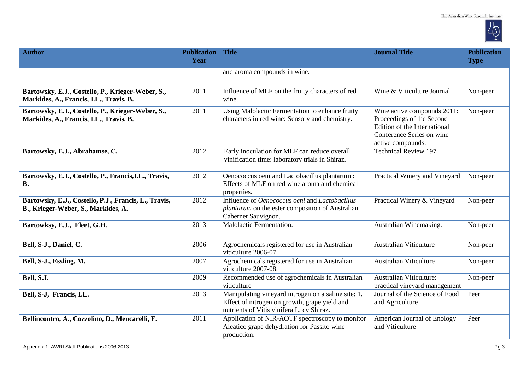

| <b>Author</b>                                                                                | <b>Publication Title</b><br>Year |                                                                                                                                                   | <b>Journal Title</b>                                                                                                                       | <b>Publication</b><br><b>Type</b> |
|----------------------------------------------------------------------------------------------|----------------------------------|---------------------------------------------------------------------------------------------------------------------------------------------------|--------------------------------------------------------------------------------------------------------------------------------------------|-----------------------------------|
|                                                                                              |                                  | and aroma compounds in wine.                                                                                                                      |                                                                                                                                            |                                   |
| Bartowsky, E.J., Costello, P., Krieger-Weber, S.,<br>Markides, A., Francis, I.L., Travis, B. | 2011                             | Influence of MLF on the fruity characters of red<br>wine.                                                                                         | Wine & Viticulture Journal                                                                                                                 | Non-peer                          |
| Bartowsky, E.J., Costello, P., Krieger-Weber, S.,<br>Markides, A., Francis, I.L., Travis, B. | 2011                             | Using Malolactic Fermentation to enhance fruity<br>characters in red wine: Sensory and chemistry.                                                 | Wine active compounds 2011:<br>Proceedings of the Second<br>Edition of the International<br>Conference Series on wine<br>active compounds. | Non-peer                          |
| Bartowsky, E.J., Abrahamse, C.                                                               | 2012                             | Early inoculation for MLF can reduce overall<br>vinification time: laboratory trials in Shiraz.                                                   | <b>Technical Review 197</b>                                                                                                                |                                   |
| Bartowsky, E.J., Costello, P., Francis, I.L., Travis,<br><b>B.</b>                           | 2012                             | Oenococcus oeni and Lactobacillus plantarum :<br>Effects of MLF on red wine aroma and chemical<br>properties.                                     | Practical Winery and Vineyard                                                                                                              | Non-peer                          |
| Bartowsky, E.J., Costello, P.J., Francis, L., Travis,<br>B., Krieger-Weber, S., Markides, A. | 2012                             | Influence of Oenococcus oeni and Lactobacillus<br>plantarum on the ester composition of Australian<br>Cabernet Sauvignon.                         | Practical Winery & Vineyard                                                                                                                | Non-peer                          |
| Bartowksy, E.J., Fleet, G.H.                                                                 | 2013                             | Malolactic Fermentation.                                                                                                                          | Australian Winemaking.                                                                                                                     | Non-peer                          |
| Bell, S-J., Daniel, C.                                                                       | 2006                             | Agrochemicals registered for use in Australian<br>viticulture 2006-07.                                                                            | <b>Australian Viticulture</b>                                                                                                              | Non-peer                          |
| Bell, S-J., Essling, M.                                                                      | 2007                             | Agrochemicals registered for use in Australian<br>viticulture 2007-08.                                                                            | <b>Australian Viticulture</b>                                                                                                              | Non-peer                          |
| Bell, S.J.                                                                                   | 2009                             | Recommended use of agrochemicals in Australian<br>viticulture                                                                                     | <b>Australian Viticulture:</b><br>practical vineyard management                                                                            | Non-peer                          |
| Bell, S-J, Francis, I.L.                                                                     | 2013                             | Manipulating vineyard nitrogen on a saline site: 1.<br>Effect of nitrogen on growth, grape yield and<br>nutrients of Vitis vinifera L. cv Shiraz. | Journal of the Science of Food<br>and Agriculture                                                                                          | Peer                              |
| Bellincontro, A., Cozzolino, D., Mencarelli, F.                                              | 2011                             | Application of NIR-AOTF spectroscopy to monitor<br>Aleatico grape dehydration for Passito wine<br>production.                                     | American Journal of Enology<br>and Viticulture                                                                                             | Peer                              |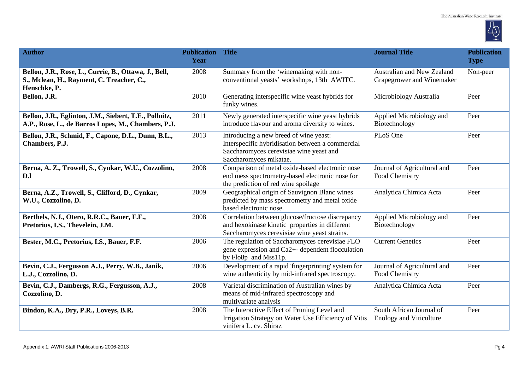

| <b>Author</b>                                                                                                      | <b>Publication Title</b><br>Year |                                                                                                                                                                 | <b>Journal Title</b>                                       | <b>Publication</b><br><b>Type</b> |
|--------------------------------------------------------------------------------------------------------------------|----------------------------------|-----------------------------------------------------------------------------------------------------------------------------------------------------------------|------------------------------------------------------------|-----------------------------------|
| Bellon, J.R., Rose, L., Currie, B., Ottawa, J., Bell,<br>S., Mclean, H., Rayment, C. Treacher, C.,<br>Henschke, P. | 2008                             | Summary from the 'winemaking with non-<br>conventional yeasts' workshops, 13th AWITC.                                                                           | Australian and New Zealand<br>Grapegrower and Winemaker    | Non-peer                          |
| Bellon, J.R.                                                                                                       | 2010                             | Generating interspecific wine yeast hybrids for<br>funky wines.                                                                                                 | Microbiology Australia                                     | Peer                              |
| Bellon, J.R., Eglinton, J.M., Siebert, T.E., Pollnitz,<br>A.P., Rose, L., de Barros Lopes, M., Chambers, P.J.      | 2011                             | Newly generated interspecific wine yeast hybrids<br>introduce flavour and aroma diversity to wines.                                                             | Applied Microbiology and<br>Biotechnology                  | Peer                              |
| Bellon, J.R., Schmid, F., Capone, D.L., Dunn, B.L.,<br>Chambers, P.J.                                              | 2013                             | Introducing a new breed of wine yeast:<br>Interspecific hybridisation between a commercial<br>Saccharomyces cerevisiae wine yeast and<br>Saccharomyces mikatae. | PLoS One                                                   | Peer                              |
| Berna, A. Z., Trowell, S., Cynkar, W.U., Cozzolino,<br>D.l                                                         | 2008                             | Comparison of metal oxide-based electronic nose<br>end mess spectrometry-based electronic nose for<br>the prediction of red wine spoilage                       | Journal of Agricultural and<br>Food Chemistry              | Peer                              |
| Berna, A.Z., Trowell, S., Clifford, D., Cynkar,<br>W.U., Cozzolino, D.                                             | 2009                             | Geographical origin of Sauvignon Blanc wines<br>predicted by mass spectrometry and metal oxide<br>based electronic nose.                                        | Analytica Chimica Acta                                     | Peer                              |
| Berthels, N.J., Otero, R.R.C., Bauer, F.F.,<br>Pretorius, I.S., Thevelein, J.M.                                    | 2008                             | Correlation between glucose/fructose discrepancy<br>and hexokinase kinetic properties in different<br>Saccharomyces cerevisiae wine yeast strains.              | Applied Microbiology and<br>Biotechnology                  | Peer                              |
| Bester, M.C., Pretorius, I.S., Bauer, F.F.                                                                         | 2006                             | The regulation of Saccharomyces cerevisiae FLO<br>gene expression and Ca2+- dependent flocculation<br>by Flo8p and Mss11p.                                      | <b>Current Genetics</b>                                    | Peer                              |
| Bevin, C.J., Fergusson A.J., Perry, W.B., Janik,<br>L.J., Cozzolino, D.                                            | 2006                             | Development of a rapid 'fingerprinting' system for<br>wine authenticity by mid-infrared spectroscopy.                                                           | Journal of Agricultural and<br>Food Chemistry              | Peer                              |
| Bevin, C.J., Dambergs, R.G., Fergusson, A.J.,<br>Cozzolino, D.                                                     | 2008                             | Varietal discrimination of Australian wines by<br>means of mid-infrared spectroscopy and<br>multivariate analysis                                               | Analytica Chimica Acta                                     | Peer                              |
| Bindon, K.A., Dry, P.R., Loveys, B.R.                                                                              | 2008                             | The Interactive Effect of Pruning Level and<br>Irrigation Strategy on Water Use Efficiency of Vitis<br>vinifera L. cv. Shiraz                                   | South African Journal of<br><b>Enology and Viticulture</b> | Peer                              |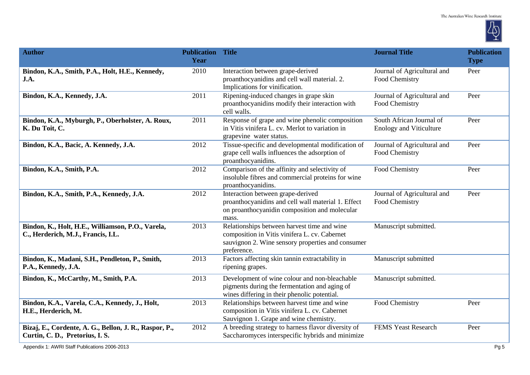

| <b>Author</b>                                                                             | <b>Publication Title</b><br>Year |                                                                                                                                                                  | <b>Journal Title</b>                                       | <b>Publication</b><br><b>Type</b> |
|-------------------------------------------------------------------------------------------|----------------------------------|------------------------------------------------------------------------------------------------------------------------------------------------------------------|------------------------------------------------------------|-----------------------------------|
| Bindon, K.A., Smith, P.A., Holt, H.E., Kennedy,<br>J.A.                                   | 2010                             | Interaction between grape-derived<br>proanthocyanidins and cell wall material. 2.<br>Implications for vinification.                                              | Journal of Agricultural and<br>Food Chemistry              | Peer                              |
| Bindon, K.A., Kennedy, J.A.                                                               | 2011                             | Ripening-induced changes in grape skin<br>proanthocyanidins modify their interaction with<br>cell walls.                                                         | Journal of Agricultural and<br>Food Chemistry              | Peer                              |
| Bindon, K.A., Myburgh, P., Oberholster, A. Roux,<br>K. Du Toit, C.                        | 2011                             | Response of grape and wine phenolic composition<br>in Vitis vinifera L. cv. Merlot to variation in<br>grapevine water status.                                    | South African Journal of<br><b>Enology and Viticulture</b> | Peer                              |
| Bindon, K.A., Bacic, A. Kennedy, J.A.                                                     | 2012                             | Tissue-specific and developmental modification of<br>grape cell walls influences the adsorption of<br>proanthocyanidins.                                         | Journal of Agricultural and<br>Food Chemistry              | Peer                              |
| Bindon, K.A., Smith, P.A.                                                                 | 2012                             | Comparison of the affinity and selectivity of<br>insoluble fibres and commercial proteins for wine<br>proanthocyanidins.                                         | Food Chemistry                                             | Peer                              |
| Bindon, K.A., Smith, P.A., Kennedy, J.A.                                                  | 2012                             | Interaction between grape-derived<br>proanthocyanidins and cell wall material 1. Effect<br>on proanthocyanidin composition and molecular<br>mass.                | Journal of Agricultural and<br>Food Chemistry              | Peer                              |
| Bindon, K., Holt, H.E., Williamson, P.O., Varela,<br>C., Herderich, M.J., Francis, I.L.   | 2013                             | Relationships between harvest time and wine<br>composition in Vitis vinifera L. cv. Cabernet<br>sauvignon 2. Wine sensory properties and consumer<br>preference. | Manuscript submitted.                                      |                                   |
| Bindon, K., Madani, S.H., Pendleton, P., Smith,<br>P.A., Kennedy, J.A.                    | 2013                             | Factors affecting skin tannin extractability in<br>ripening grapes.                                                                                              | Manuscript submitted                                       |                                   |
| Bindon, K., McCarthy, M., Smith, P.A.                                                     | 2013                             | Development of wine colour and non-bleachable<br>pigments during the fermentation and aging of<br>wines differing in their phenolic potential.                   | Manuscript submitted.                                      |                                   |
| Bindon, K.A., Varela, C.A., Kennedy, J., Holt,<br>H.E., Herderich, M.                     | 2013                             | Relationships between harvest time and wine<br>composition in Vitis vinifera L. cv. Cabernet<br>Sauvignon 1. Grape and wine chemistry.                           | Food Chemistry                                             | Peer                              |
| Bizaj, E., Cordente, A. G., Bellon, J. R., Raspor, P.,<br>Curtin, C. D., Pretorius, I. S. | 2012                             | A breeding strategy to harness flavor diversity of<br>Saccharomyces interspecific hybrids and minimize                                                           | <b>FEMS Yeast Research</b>                                 | Peer                              |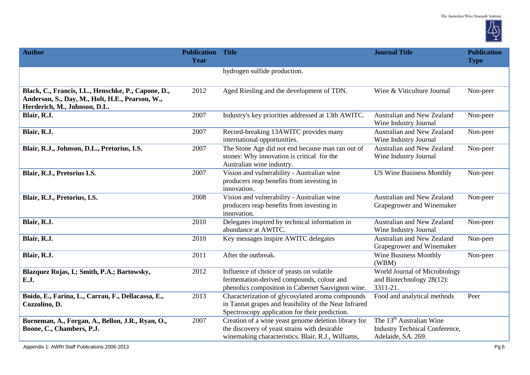

| <b>Author</b>                                                                                                                          | <b>Publication Title</b><br>Year |                                                                                                                                                             | <b>Journal Title</b>                                                                                | <b>Publication</b><br><b>Type</b> |
|----------------------------------------------------------------------------------------------------------------------------------------|----------------------------------|-------------------------------------------------------------------------------------------------------------------------------------------------------------|-----------------------------------------------------------------------------------------------------|-----------------------------------|
|                                                                                                                                        |                                  | hydrogen sulfide production.                                                                                                                                |                                                                                                     |                                   |
| Black, C., Francis, I.L., Henschke, P., Capone, D.,<br>Anderson, S., Day, M., Holt, H.E., Pearson, W.,<br>Herderich, M., Johnson, D.L. | 2012                             | Aged Riesling and the development of TDN.                                                                                                                   | Wine & Viticulture Journal                                                                          | Non-peer                          |
| Blair, R.J.                                                                                                                            | 2007                             | Industry's key priorities addressed at 13th AWITC.                                                                                                          | Australian and New Zealand<br>Wine Industry Journal                                                 | Non-peer                          |
| Blair, R.J.                                                                                                                            | 2007                             | Record-breaking 13AWITC provides many<br>international opportunities.                                                                                       | Australian and New Zealand<br>Wine Industry Journal                                                 | Non-peer                          |
| Blair, R.J., Johnson, D.L., Pretorius, I.S.                                                                                            | 2007                             | The Stone Age did not end because man ran out of<br>stones: Why innovation is critical for the<br>Australian wine industry.                                 | Australian and New Zealand<br>Wine Industry Journal                                                 | Non-peer                          |
| Blair, R.J., Pretorius I.S.                                                                                                            | 2007                             | Vision and vulnerability - Australian wine<br>producers reap benefits from investing in<br>innovation.                                                      | <b>US Wine Business Monthly</b>                                                                     | Non-peer                          |
| Blair, R.J., Pretorius, I.S.                                                                                                           | 2008                             | Vision and vulnerability - Australian wine<br>producers reap benefits from investing in<br>innovation.                                                      | Australian and New Zealand<br>Grapegrower and Winemaker                                             | Non-peer                          |
| Blair, R.J.                                                                                                                            | 2010                             | Delegates inspired by technical information in<br>abundance at AWITC.                                                                                       | Australian and New Zealand<br>Wine Industry Journal                                                 | Non-peer                          |
| Blair, R.J.                                                                                                                            | 2010                             | Key messages inspire AWITC delegates                                                                                                                        | Australian and New Zealand<br>Grapegrower and Winemaker                                             | Non-peer                          |
| Blair, R.J.                                                                                                                            | 2011                             | After the outbreak.                                                                                                                                         | <b>Wine Business Monthly</b><br>(WBM)                                                               | Non-peer                          |
| Blazquez Rojas, I.; Smith, P.A.; Bartowsky,<br>E.J.                                                                                    | 2012                             | Influence of choice of yeasts on volatile<br>fermentation-derived compounds, colour and<br>phenolics composition in Cabernet Sauvignon wine.                | World Journal of Microbiology<br>and Biotechnology 28(12):<br>3311-21.                              |                                   |
| Boido, E., Farina, L., Carrau, F., Dellacassa, E.,<br>Cozzolino, D.                                                                    | 2013                             | Characterization of glycosylated aroma compounds<br>in Tannat grapes and feasibility of the Near Infrared<br>Spectroscopy application for their prediction. | Food and analytical methods                                                                         | Peer                              |
| Borneman, A., Forgan, A., Bellon, J.R., Ryan, O.,<br>Boone, C., Chambers, P.J.                                                         | 2007                             | Creation of a wine yeast genome deletion library for<br>the discovery of yeast strains with desirable<br>winemaking characteristics. Blair, R.J., Williams, | The 13 <sup>th</sup> Australian Wine<br><b>Industry Technical Conference,</b><br>Adelaide, SA. 269. |                                   |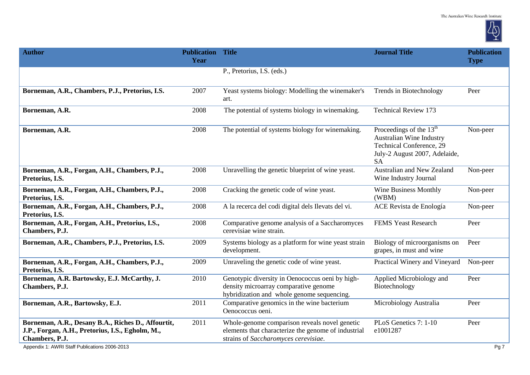

| <b>Author</b>                                                                                                                                                             | <b>Publication Title</b><br>Year |                                                                                                                                              | <b>Journal Title</b>                                                                                                                   | <b>Publication</b><br><b>Type</b> |
|---------------------------------------------------------------------------------------------------------------------------------------------------------------------------|----------------------------------|----------------------------------------------------------------------------------------------------------------------------------------------|----------------------------------------------------------------------------------------------------------------------------------------|-----------------------------------|
|                                                                                                                                                                           |                                  | P., Pretorius, I.S. (eds.)                                                                                                                   |                                                                                                                                        |                                   |
| Borneman, A.R., Chambers, P.J., Pretorius, I.S.                                                                                                                           | 2007                             | Yeast systems biology: Modelling the winemaker's<br>art.                                                                                     | Trends in Biotechnology                                                                                                                | Peer                              |
| Borneman, A.R.                                                                                                                                                            | 2008                             | The potential of systems biology in winemaking.                                                                                              | <b>Technical Review 173</b>                                                                                                            |                                   |
| Borneman, A.R.                                                                                                                                                            | 2008                             | The potential of systems biology for winemaking.                                                                                             | Proceedings of the $13th$<br><b>Australian Wine Industry</b><br>Technical Conference, 29<br>July-2 August 2007, Adelaide,<br><b>SA</b> | Non-peer                          |
| Borneman, A.R., Forgan, A.H., Chambers, P.J.,<br>Pretorius, I.S.                                                                                                          | 2008                             | Unravelling the genetic blueprint of wine yeast.                                                                                             | Australian and New Zealand<br>Wine Industry Journal                                                                                    | Non-peer                          |
| Borneman, A.R., Forgan, A.H., Chambers, P.J.,<br>Pretorius, I.S.                                                                                                          | 2008                             | Cracking the genetic code of wine yeast.                                                                                                     | <b>Wine Business Monthly</b><br>(WBM)                                                                                                  | Non-peer                          |
| Borneman, A.R., Forgan, A.H., Chambers, P.J.,<br>Pretorius, I.S.                                                                                                          | 2008                             | A la recerca del codi digital dels Ilevats del vi.                                                                                           | ACE Revista de Enología                                                                                                                | Non-peer                          |
| Borneman, A.R., Forgan, A.H., Pretorius, I.S.,<br>Chambers, P.J.                                                                                                          | 2008                             | Comparative genome analysis of a Saccharomyces<br>cerevisiae wine strain.                                                                    | <b>FEMS Yeast Research</b>                                                                                                             | Peer                              |
| Borneman, A.R., Chambers, P.J., Pretorius, I.S.                                                                                                                           | 2009                             | Systems biology as a platform for wine yeast strain<br>development.                                                                          | Biology of microorganisms on<br>grapes, in must and wine                                                                               | Peer                              |
| Borneman, A.R., Forgan, A.H., Chambers, P.J.,<br>Pretorius, I.S.                                                                                                          | 2009                             | Unraveling the genetic code of wine yeast.                                                                                                   | Practical Winery and Vineyard                                                                                                          | Non-peer                          |
| Borneman, A.R. Bartowsky, E.J. McCarthy, J.<br>Chambers, P.J.                                                                                                             | 2010                             | Genotypic diversity in Oenococcus oeni by high-<br>density microarray comparative genome<br>hybridization and whole genome sequencing.       | Applied Microbiology and<br>Biotechnology                                                                                              | Peer                              |
| Borneman, A.R., Bartowsky, E.J.                                                                                                                                           | 2011                             | Comparative genomics in the wine bacterium<br>Oenococcus oeni.                                                                               | Microbiology Australia                                                                                                                 | Peer                              |
| Borneman, A.R., Desany B.A., Riches D., Affourtit,<br>J.P., Forgan, A.H., Pretorius, I.S., Egholm, M.,<br>Chambers, P.J.<br>Appendix 1: AWRI Staff Publications 2006-2013 | 2011                             | Whole-genome comparison reveals novel genetic<br>elements that characterize the genome of industrial<br>strains of Saccharomyces cerevisiae. | PLoS Genetics 7: 1-10<br>e1001287                                                                                                      | Peer<br>Pg 7                      |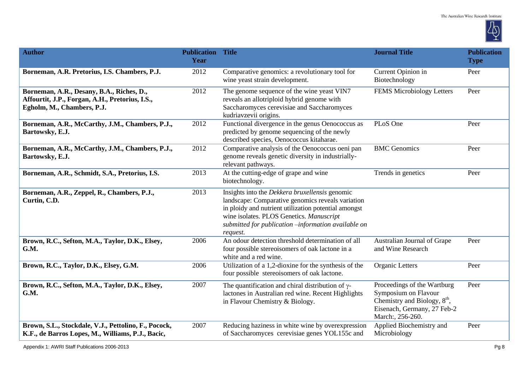

| <b>Author</b>                                                                                                              | <b>Publication Title</b><br>Year |                                                                                                                                                                                                                                                                            | <b>Journal Title</b>                                                                                                                     | <b>Publication</b><br><b>Type</b> |
|----------------------------------------------------------------------------------------------------------------------------|----------------------------------|----------------------------------------------------------------------------------------------------------------------------------------------------------------------------------------------------------------------------------------------------------------------------|------------------------------------------------------------------------------------------------------------------------------------------|-----------------------------------|
| Borneman, A.R. Pretorius, I.S. Chambers, P.J.                                                                              | 2012                             | Comparative genomics: a revolutionary tool for<br>wine yeast strain development.                                                                                                                                                                                           | Current Opinion in<br>Biotechnology                                                                                                      | Peer                              |
| Borneman, A.R., Desany, B.A., Riches, D.,<br>Affourtit, J.P., Forgan, A.H., Pretorius, I.S.,<br>Egholm, M., Chambers, P.J. | 2012                             | The genome sequence of the wine yeast VIN7<br>reveals an allotriploid hybrid genome with<br>Saccharomyces cerevisiae and Saccharomyces<br>kudriavzevii origins.                                                                                                            | <b>FEMS Microbiology Letters</b>                                                                                                         | Peer                              |
| Borneman, A.R., McCarthy, J.M., Chambers, P.J.,<br>Bartowsky, E.J.                                                         | 2012                             | Functional divergence in the genus Oenococcus as<br>predicted by genome sequencing of the newly<br>described species, Oenococcus kitaharae.                                                                                                                                | PLoS One                                                                                                                                 | Peer                              |
| Borneman, A.R., McCarthy, J.M., Chambers, P.J.,<br>Bartowsky, E.J.                                                         | 2012                             | Comparative analysis of the Oenococcus oeni pan<br>genome reveals genetic diversity in industrially-<br>relevant pathways.                                                                                                                                                 | <b>BMC</b> Genomics                                                                                                                      | Peer                              |
| Borneman, A.R., Schmidt, S.A., Pretorius, I.S.                                                                             | 2013                             | At the cutting-edge of grape and wine<br>biotechnology.                                                                                                                                                                                                                    | Trends in genetics                                                                                                                       | Peer                              |
| Borneman, A.R., Zeppel, R., Chambers, P.J.,<br>Curtin, C.D.                                                                | 2013                             | Insights into the Dekkera bruxellensis genomic<br>landscape: Comparative genomics reveals variation<br>in ploidy and nutrient utilization potential amongst<br>wine isolates. PLOS Genetics. Manuscript<br>submitted for publication -information available on<br>request. |                                                                                                                                          |                                   |
| Brown, R.C., Sefton, M.A., Taylor, D.K., Elsey,<br>G.M.                                                                    | 2006                             | An odour detection threshold determination of all<br>four possible stereoisomers of oak lactone in a<br>white and a red wine.                                                                                                                                              | Australian Journal of Grape<br>and Wine Research                                                                                         | Peer                              |
| Brown, R.C., Taylor, D.K., Elsey, G.M.                                                                                     | 2006                             | Utilization of a 1,2-dioxine for the synthesis of the<br>four possible stereoisomers of oak lactone.                                                                                                                                                                       | Organic Letters                                                                                                                          | Peer                              |
| Brown, R.C., Sefton, M.A., Taylor, D.K., Elsey,<br>G.M.                                                                    | 2007                             | The quantification and chiral distribution of $\gamma$ -<br>lactones in Australian red wine. Recent Highlights<br>in Flavour Chemistry & Biology.                                                                                                                          | Proceedings of the Wartburg<br>Symposium on Flavour<br>Chemistry and Biology, $8th$ ,<br>Eisenach, Germany, 27 Feb-2<br>March:, 256-260. | Peer                              |
| Brown, S.L., Stockdale, V.J., Pettolino, F., Pocock,<br>K.F., de Barros Lopes, M., Williams, P.J., Bacic,                  | 2007                             | Reducing haziness in white wine by overexpression<br>of Saccharomyces cerevisiae genes YOL155c and                                                                                                                                                                         | Applied Biochemistry and<br>Microbiology                                                                                                 | Peer                              |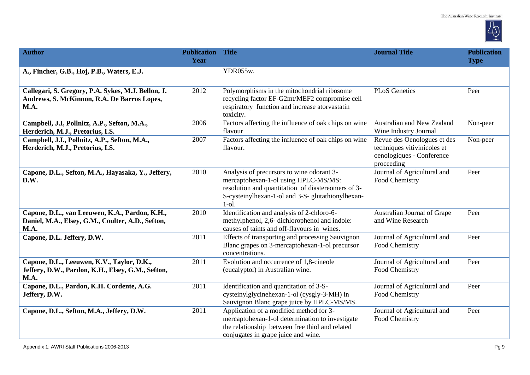

| <b>Author</b>                                                                                               | <b>Publication</b><br>Year | <b>Title</b>                                                                                                                                                                                              | <b>Journal Title</b>                                                                                  | <b>Publication</b><br><b>Type</b> |
|-------------------------------------------------------------------------------------------------------------|----------------------------|-----------------------------------------------------------------------------------------------------------------------------------------------------------------------------------------------------------|-------------------------------------------------------------------------------------------------------|-----------------------------------|
| A., Fincher, G.B., Hoj, P.B., Waters, E.J.                                                                  |                            | YDR055w.                                                                                                                                                                                                  |                                                                                                       |                                   |
| Callegari, S. Gregory, P.A. Sykes, M.J. Bellon, J.<br>Andrews, S. McKinnon, R.A. De Barros Lopes,<br>M.A.   | 2012                       | Polymorphisms in the mitochondrial ribosome<br>recycling factor EF-G2mt/MEF2 compromise cell<br>respiratory function and increase atorvastatin<br>toxicity.                                               | <b>PLoS</b> Genetics                                                                                  | Peer                              |
| Campbell, J.I, Pollnitz, A.P., Sefton, M.A.,<br>Herderich, M.J., Pretorius, I.S.                            | 2006                       | Factors affecting the influence of oak chips on wine<br>flavour                                                                                                                                           | Australian and New Zealand<br>Wine Industry Journal                                                   | Non-peer                          |
| Campbell, J.I., Pollnitz, A.P., Sefton, M.A.,<br>Herderich, M.J., Pretorius, I.S.                           | 2007                       | Factors affecting the influence of oak chips on wine<br>flavour.                                                                                                                                          | Revue des Oenologues et des<br>techniques vitivinicoles et<br>oenologiques - Conference<br>proceeding | Non-peer                          |
| Capone, D.L., Sefton, M.A., Hayasaka, Y., Jeffery,<br>D.W.                                                  | 2010                       | Analysis of precursors to wine odorant 3-<br>mercaptohexan-1-ol using HPLC-MS/MS:<br>resolution and quantitation of diaster eomers of 3-<br>S-cysteinylhexan-1-ol and 3-S- glutathionylhexan-<br>$1$ -ol. | Journal of Agricultural and<br>Food Chemistry                                                         | Peer                              |
| Capone, D.L., van Leeuwen, K.A., Pardon, K.H.,<br>Daniel, M.A., Elsey, G.M., Coulter, A.D., Sefton,<br>M.A. | 2010                       | Identification and analysis of 2-chloro-6-<br>methylphenol, 2,6- dichlorophenol and indole:<br>causes of taints and off-flavours in wines.                                                                | Australian Journal of Grape<br>and Wine Research                                                      | Peer                              |
| Capone, D.L. Jeffery, D.W.                                                                                  | 2011                       | Effects of transporting and processing Sauvignon<br>Blanc grapes on 3-mercaptohexan-1-ol precursor<br>concentrations.                                                                                     | Journal of Agricultural and<br>Food Chemistry                                                         | Peer                              |
| Capone, D.L., Leeuwen, K.V., Taylor, D.K.,<br>Jeffery, D.W., Pardon, K.H., Elsey, G.M., Sefton,<br>M.A.     | 2011                       | Evolution and occurrence of 1,8-cineole<br>(eucalyptol) in Australian wine.                                                                                                                               | Journal of Agricultural and<br>Food Chemistry                                                         | Peer                              |
| Capone, D.L., Pardon, K.H. Cordente, A.G.<br>Jeffery, D.W.                                                  | 2011                       | Identification and quantitation of 3-S-<br>cysteinylglycinehexan-1-ol (cysgly-3-MH) in<br>Sauvignon Blanc grape juice by HPLC-MS/MS.                                                                      | Journal of Agricultural and<br>Food Chemistry                                                         | Peer                              |
| Capone, D.L., Sefton, M.A., Jeffery, D.W.                                                                   | 2011                       | Application of a modified method for 3-<br>mercaptohexan-1-ol determination to investigate<br>the relationship between free thiol and related<br>conjugates in grape juice and wine.                      | Journal of Agricultural and<br>Food Chemistry                                                         | Peer                              |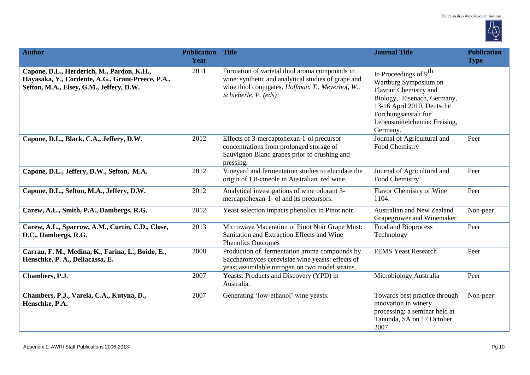

| <b>Author</b>                                                                                                                               | <b>Publication</b><br>Year | <b>Title</b>                                                                                                                                                                       | <b>Journal Title</b>                                                                                                                                                                                                  | <b>Publication</b><br><b>Type</b> |
|---------------------------------------------------------------------------------------------------------------------------------------------|----------------------------|------------------------------------------------------------------------------------------------------------------------------------------------------------------------------------|-----------------------------------------------------------------------------------------------------------------------------------------------------------------------------------------------------------------------|-----------------------------------|
| Capone, D.L., Herderich, M., Pardon, K.H.,<br>Hayasaka, Y., Cordente, A.G., Grant-Preece, P.A.,<br>Sefton, M.A., Elsey, G.M., Jeffery, D.W. | 2011                       | Formation of varietal thiol aroma compounds in<br>wine: synthetic and analytical studies of grape and<br>wine thiol conjugates. Hoffman, T., Meyerhof, W.,<br>Schieberle, P. (eds) | In Proceedings of 9 <sup>th</sup><br>Wartburg Symposium on<br>Flavour Chemistry and<br>Biology, Eisenach, Germany,<br>13-16 April 2010, Deutsche<br>Forchungsanstalt fur<br>Lebensmittelchemie: Freising,<br>Germany. |                                   |
| Capone, D.L., Black, C.A., Jeffery, D.W.                                                                                                    | 2012                       | Effects of 3-mercaptohexan-1-ol precursor<br>concentrations from prolonged storage of<br>Sauvignon Blanc grapes prior to crushing and<br>pressing.                                 | Journal of Agricultural and<br>Food Chemistry                                                                                                                                                                         | Peer                              |
| Capone, D.L., Jeffery, D.W., Sefton, M.A.                                                                                                   | 2012                       | Vineyard and fermentation studies to elucidate the<br>origin of 1,8-cineole in Australian red wine.                                                                                | Journal of Agricultural and<br>Food Chemistry                                                                                                                                                                         | Peer                              |
| Capone, D.L., Sefton, M.A., Jeffery, D.W.                                                                                                   | 2012                       | Analytical investigations of wine odorant 3-<br>mercaptohexan-1- ol and its precursors.                                                                                            | Flavor Chemistry of Wine<br>1104.                                                                                                                                                                                     | Peer                              |
| Carew, A.L., Smith, P.A., Dambergs, R.G.                                                                                                    | 2012                       | Yeast selection impacts phenolics in Pinot noir.                                                                                                                                   | Australian and New Zealand<br>Grapegrower and Winemaker                                                                                                                                                               | Non-peer                          |
| Carew, A.L., Sparrow, A.M., Curtin, C.D., Close,<br>D.C., Dambergs, R.G.                                                                    | 2013                       | Microwave Maceration of Pinot Noir Grape Must:<br>Sanitation and Extraction Effects and Wine<br><b>Phenolics Outcomes</b>                                                          | Food and Bioprocess<br>Technology                                                                                                                                                                                     | Peer                              |
| Carrau, F. M., Medina, K., Farina, L., Boido, E.,<br>Henschke, P. A., Dellacassa, E.                                                        | 2008                       | Production of fermentation aroma compounds by<br>Saccharomyces cerevisiae wine yeasts: effects of<br>yeast assimilable nitrogen on two model strains.                              | <b>FEMS Yeast Research</b>                                                                                                                                                                                            | Peer                              |
| Chambers, P.J.                                                                                                                              | 2007                       | Yeasts: Products and Discovery (YPD) in<br>Australia.                                                                                                                              | Microbiology Australia                                                                                                                                                                                                | Peer                              |
| Chambers, P.J., Varela, C.A., Kutyna, D.,<br>Henschke, P.A.                                                                                 | 2007                       | Generating 'low-ethanol' wine yeasts.                                                                                                                                              | Towards best practice through<br>innovation in winery<br>processing: a seminar held at<br>Tanunda, SA on 17 October<br>2007.                                                                                          | Non-peer                          |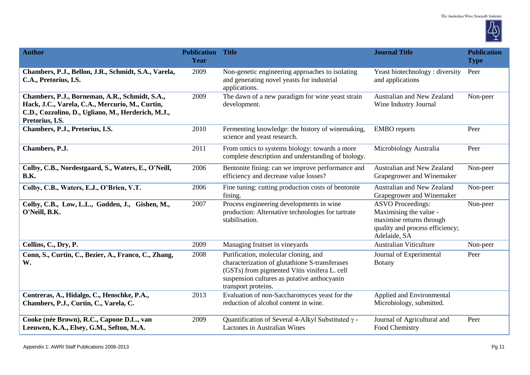

| <b>Author</b>                                                                                                                                                              | <b>Publication Title</b><br>Year |                                                                                                                                                                                                              | <b>Journal Title</b>                                                                                                              | <b>Publication</b><br><b>Type</b> |
|----------------------------------------------------------------------------------------------------------------------------------------------------------------------------|----------------------------------|--------------------------------------------------------------------------------------------------------------------------------------------------------------------------------------------------------------|-----------------------------------------------------------------------------------------------------------------------------------|-----------------------------------|
| Chambers, P.J., Bellon, J.R., Schmidt, S.A., Varela,<br>C.A., Pretorius, I.S.                                                                                              | 2009                             | Non-genetic engineering approaches to isolating<br>and generating novel yeasts for industrial<br>applications.                                                                                               | Yeast biotechnology: diversity<br>and applications                                                                                | Peer                              |
| Chambers, P.J., Borneman, A.R., Schmidt, S.A.,<br>Hack, J.C., Varela, C.A., Mercurio, M., Curtin,<br>C.D., Cozzolino, D., Ugliano, M., Herderich, M.J.,<br>Pretorius, I.S. | 2009                             | The dawn of a new paradigm for wine yeast strain<br>development.                                                                                                                                             | Australian and New Zealand<br>Wine Industry Journal                                                                               | Non-peer                          |
| Chambers, P.J., Pretorius, I.S.                                                                                                                                            | 2010                             | Fermenting knowledge: the history of winemaking,<br>science and yeast research.                                                                                                                              | <b>EMBO</b> reports                                                                                                               | Peer                              |
| Chambers, P.J.                                                                                                                                                             | 2011                             | From omics to systems biology: towards a more<br>complete description and understanding of biology.                                                                                                          | Microbiology Australia                                                                                                            | Peer                              |
| Colby, C.B., Nordestgaard, S., Waters, E., O'Neill,<br><b>B.K.</b>                                                                                                         | 2006                             | Bentonite fining: can we improve performance and<br>efficiency and decrease value losses?                                                                                                                    | Australian and New Zealand<br>Grapegrower and Winemaker                                                                           | Non-peer                          |
| Colby, C.B., Waters, E.J., O'Brien, V.T.                                                                                                                                   | 2006                             | Fine tuning: cutting production costs of bentonite<br>fining.                                                                                                                                                | Australian and New Zealand<br>Grapegrower and Winemaker                                                                           | Non-peer                          |
| Colby, C.B., Low, L.L., Godden, J., Gishen, M.,<br>O'Neill, B.K.                                                                                                           | 2007                             | Process engineering developments in wine<br>production: Alternative technologies for tartrate<br>stabilisation.                                                                                              | <b>ASVO</b> Proceedings:<br>Maximising the value -<br>maximise returns through<br>quality and process efficiency;<br>Adelaide, SA | Non-peer                          |
| Collins, C., Dry, P.                                                                                                                                                       | 2009                             | Managing fruitset in vineyards                                                                                                                                                                               | <b>Australian Viticulture</b>                                                                                                     | Non-peer                          |
| Conn, S., Curtin, C., Bezier, A., Franco, C., Zhang,<br>W.                                                                                                                 | 2008                             | Purification, molecular cloning, and<br>characterization of glutathione S-transferases<br>(GSTs) from pigmented Vitis vinifera L. cell<br>suspension cultures as putative anthocyanin<br>transport proteins. | Journal of Experimental<br><b>Botany</b>                                                                                          | Peer                              |
| Contreras, A., Hidalgo, C., Henschke, P.A.,<br>Chambers, P.J., Curtin, C., Varela, C.                                                                                      | 2013                             | Evaluation of non-Saccharomyces yeast for the<br>reduction of alcohol content in wine.                                                                                                                       | Applied and Environmental<br>Microbiology, submitted.                                                                             |                                   |
| Cooke (née Brown), R.C., Capone D.L., van<br>Leeuwen, K.A., Elsey, G.M., Sefton, M.A.                                                                                      | 2009                             | Quantification of Several 4-Alkyl Substituted $\gamma$ -<br><b>Lactones in Australian Wines</b>                                                                                                              | Journal of Agricultural and<br>Food Chemistry                                                                                     | Peer                              |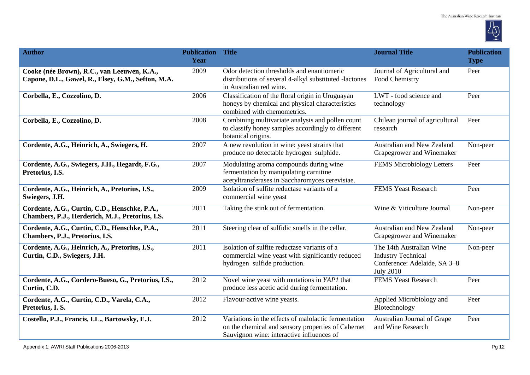

| <b>Author</b>                                                                                     | <b>Publication Title</b><br>Year |                                                                                                                                                         | <b>Journal Title</b>                                                                                      | <b>Publication</b><br><b>Type</b> |
|---------------------------------------------------------------------------------------------------|----------------------------------|---------------------------------------------------------------------------------------------------------------------------------------------------------|-----------------------------------------------------------------------------------------------------------|-----------------------------------|
| Cooke (née Brown), R.C., van Leeuwen, K.A.,<br>Capone, D.L., Gawel, R., Elsey, G.M., Sefton, M.A. | 2009                             | Odor detection thresholds and enantiomeric<br>distributions of several 4-alkyl substituted -lactones<br>in Australian red wine.                         | Journal of Agricultural and<br>Food Chemistry                                                             | Peer                              |
| Corbella, E., Cozzolino, D.                                                                       | 2006                             | Classification of the floral origin in Uruguayan<br>honeys by chemical and physical characteristics<br>combined with chemometrics.                      | LWT - food science and<br>technology                                                                      | Peer                              |
| Corbella, E., Cozzolino, D.                                                                       | 2008                             | Combining multivariate analysis and pollen count<br>to classify honey samples accordingly to different<br>botanical origins.                            | Chilean journal of agricultural<br>research                                                               | Peer                              |
| Cordente, A.G., Heinrich, A., Swiegers, H.                                                        | 2007                             | A new revolution in wine: yeast strains that<br>produce no detectable hydrogen sulphide.                                                                | Australian and New Zealand<br>Grapegrower and Winemaker                                                   | Non-peer                          |
| Cordente, A.G., Swiegers, J.H., Hegardt, F.G.,<br>Pretorius, I.S.                                 | 2007                             | Modulating aroma compounds during wine<br>fermentation by manipulating carnitine<br>acetyltransferases in Saccharomyces cerevisiae.                     | FEMS Microbiology Letters                                                                                 | Peer                              |
| Cordente, A.G., Heinrich, A., Pretorius, I.S.,<br>Swiegers, J.H.                                  | 2009                             | Isolation of sulfite reductase variants of a<br>commercial wine yeast                                                                                   | FEMS Yeast Research                                                                                       | Peer                              |
| Cordente, A.G., Curtin, C.D., Henschke, P.A.,<br>Chambers, P.J., Herderich, M.J., Pretorius, I.S. | 2011                             | Taking the stink out of fermentation.                                                                                                                   | Wine & Viticulture Journal                                                                                | Non-peer                          |
| Cordente, A.G., Curtin, C.D., Henschke, P.A.,<br>Chambers, P.J., Pretorius, I.S.                  | 2011                             | Steering clear of sulfidic smells in the cellar.                                                                                                        | Australian and New Zealand<br>Grapegrower and Winemaker                                                   | Non-peer                          |
| Cordente, A.G., Heinrich, A., Pretorius, I.S.,<br>Curtin, C.D., Swiegers, J.H.                    | 2011                             | Isolation of sulfite reductase variants of a<br>commercial wine yeast with significantly reduced<br>hydrogen sulfide production.                        | The 14th Australian Wine<br><b>Industry Technical</b><br>Conference: Adelaide, SA 3-8<br><b>July 2010</b> | Non-peer                          |
| Cordente, A.G., Cordero-Bueso, G., Pretorius, I.S.,<br>Curtin, C.D.                               | 2012                             | Novel wine yeast with mutations in YAP1 that<br>produce less acetic acid during fermentation.                                                           | <b>FEMS Yeast Research</b>                                                                                | Peer                              |
| Cordente, A.G., Curtin, C.D., Varela, C.A.,<br>Pretorius, I. S.                                   | 2012                             | Flavour-active wine yeasts.                                                                                                                             | Applied Microbiology and<br>Biotechnology                                                                 | Peer                              |
| Costello, P.J., Francis, I.L., Bartowsky, E.J.                                                    | 2012                             | Variations in the effects of malolactic fermentation<br>on the chemical and sensory properties of Cabernet<br>Sauvignon wine: interactive influences of | Australian Journal of Grape<br>and Wine Research                                                          | Peer                              |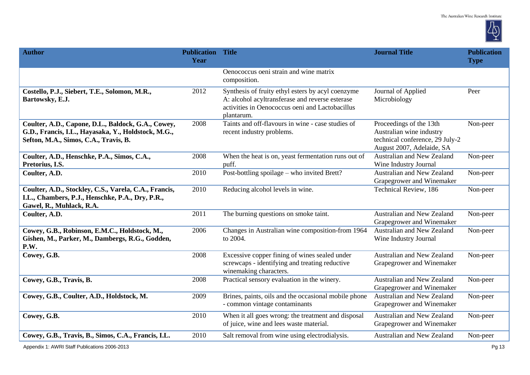

| <b>Author</b>                                                                                                                                      | <b>Publication Title</b><br>Year |                                                                                                                                                                       | <b>Journal Title</b>                                                                                                | <b>Publication</b><br><b>Type</b> |
|----------------------------------------------------------------------------------------------------------------------------------------------------|----------------------------------|-----------------------------------------------------------------------------------------------------------------------------------------------------------------------|---------------------------------------------------------------------------------------------------------------------|-----------------------------------|
|                                                                                                                                                    |                                  | Oenococcus oeni strain and wine matrix<br>composition.                                                                                                                |                                                                                                                     |                                   |
| Costello, P.J., Siebert, T.E., Solomon, M.R.,<br>Bartowsky, E.J.                                                                                   | 2012                             | Synthesis of fruity ethyl esters by acyl coenzyme<br>A: alcohol acyltransferase and reverse esterase<br>activities in Oenococcus oeni and Lactobacillus<br>plantarum. | Journal of Applied<br>Microbiology                                                                                  | Peer                              |
| Coulter, A.D., Capone, D.L., Baldock, G.A., Cowey,<br>G.D., Francis, I.L., Hayasaka, Y., Holdstock, M.G.,<br>Sefton, M.A., Simos, C.A., Travis, B. | 2008                             | Taints and off-flavours in wine - case studies of<br>recent industry problems.                                                                                        | Proceedings of the 13th<br>Australian wine industry<br>technical conference, 29 July-2<br>August 2007, Adelaide, SA | Non-peer                          |
| Coulter, A.D., Henschke, P.A., Simos, C.A.,<br>Pretorius, I.S.                                                                                     | 2008                             | When the heat is on, yeast fermentation runs out of<br>puff.                                                                                                          | Australian and New Zealand<br>Wine Industry Journal                                                                 | Non-peer                          |
| Coulter, A.D.                                                                                                                                      | 2010                             | Post-bottling spoilage – who invited Brett?                                                                                                                           | Australian and New Zealand<br>Grapegrower and Winemaker                                                             | Non-peer                          |
| Coulter, A.D., Stockley, C.S., Varela, C.A., Francis,<br>I.L., Chambers, P.J., Henschke, P.A., Dry, P.R.,<br>Gawel, R., Muhlack, R.A.              | 2010                             | Reducing alcohol levels in wine.                                                                                                                                      | <b>Technical Review</b> , 186                                                                                       | Non-peer                          |
| Coulter, A.D.                                                                                                                                      | 2011                             | The burning questions on smoke taint.                                                                                                                                 | Australian and New Zealand<br>Grapegrower and Winemaker                                                             | Non-peer                          |
| Cowey, G.B., Robinson, E.M.C., Holdstock, M.,<br>Gishen, M., Parker, M., Dambergs, R.G., Godden,<br>P.W.                                           | 2006                             | Changes in Australian wine composition-from 1964<br>to 2004.                                                                                                          | Australian and New Zealand<br>Wine Industry Journal                                                                 | Non-peer                          |
| Cowey, G.B.                                                                                                                                        | 2008                             | Excessive copper fining of wines sealed under<br>screwcaps - identifying and treating reductive<br>winemaking characters.                                             | Australian and New Zealand<br>Grapegrower and Winemaker                                                             | Non-peer                          |
| Cowey, G.B., Travis, B.                                                                                                                            | 2008                             | Practical sensory evaluation in the winery.                                                                                                                           | Australian and New Zealand<br>Grapegrower and Winemaker                                                             | Non-peer                          |
| Cowey, G.B., Coulter, A.D., Holdstock, M.                                                                                                          | 2009                             | Brines, paints, oils and the occasional mobile phone<br>- common vintage contaminants                                                                                 | Australian and New Zealand<br>Grapegrower and Winemaker                                                             | Non-peer                          |
| Cowey, G.B.                                                                                                                                        | 2010                             | When it all goes wrong: the treatment and disposal<br>of juice, wine and lees waste material.                                                                         | Australian and New Zealand<br>Grapegrower and Winemaker                                                             | Non-peer                          |
| Cowey, G.B., Travis, B., Simos, C.A., Francis, I.L.                                                                                                | 2010                             | Salt removal from wine using electrodialysis.                                                                                                                         | Australian and New Zealand                                                                                          | Non-peer                          |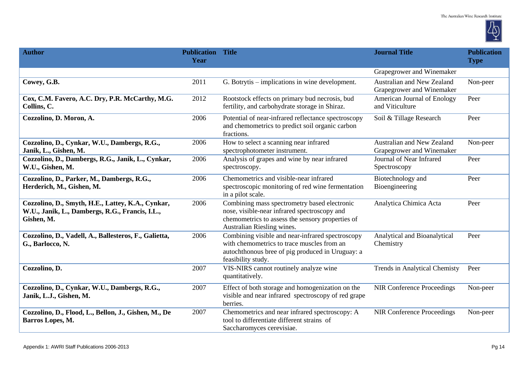

| <b>Author</b>                                                                                                      | <b>Publication Title</b><br>Year |                                                                                                                                                                                | <b>Journal Title</b>                                           | <b>Publication</b><br><b>Type</b> |
|--------------------------------------------------------------------------------------------------------------------|----------------------------------|--------------------------------------------------------------------------------------------------------------------------------------------------------------------------------|----------------------------------------------------------------|-----------------------------------|
|                                                                                                                    |                                  |                                                                                                                                                                                | Grapegrower and Winemaker                                      |                                   |
| Cowey, G.B.                                                                                                        | 2011                             | G. Botrytis – implications in wine development.                                                                                                                                | Australian and New Zealand<br>Grapegrower and Winemaker        | Non-peer                          |
| Cox, C.M. Favero, A.C. Dry, P.R. McCarthy, M.G.<br>Collins, C.                                                     | 2012                             | Rootstock effects on primary bud necrosis, bud<br>fertility, and carbohydrate storage in Shiraz.                                                                               | American Journal of Enology<br>and Viticulture                 | Peer                              |
| Cozzolino, D. Moron, A.                                                                                            | 2006                             | Potential of near-infrared reflectance spectroscopy<br>and chemometrics to predict soil organic carbon<br>fractions.                                                           | Soil & Tillage Research                                        | Peer                              |
| Cozzolino, D., Cynkar, W.U., Dambergs, R.G.,<br>Janik, L., Gishen, M.                                              | 2006                             | How to select a scanning near infrared<br>spectrophotometer instrument.                                                                                                        | <b>Australian and New Zealand</b><br>Grapegrower and Winemaker | Non-peer                          |
| Cozzolino, D., Dambergs, R.G., Janik, L., Cynkar,<br>W.U., Gishen, M.                                              | 2006                             | Analysis of grapes and wine by near infrared<br>spectroscopy.                                                                                                                  | Journal of Near Infrared<br>Spectroscopy                       | Peer                              |
| Cozzolino, D., Parker, M., Dambergs, R.G.,<br>Herderich, M., Gishen, M.                                            | 2006                             | Chemometrics and visible-near infrared<br>spectroscopic monitoring of red wine fermentation<br>in a pilot scale.                                                               | Biotechnology and<br>Bioengineering                            | Peer                              |
| Cozzolino, D., Smyth, H.E., Lattey, K.A., Cynkar,<br>W.U., Janik, L., Dambergs, R.G., Francis, I.L.,<br>Gishen, M. | 2006                             | Combining mass spectrometry based electronic<br>nose, visible-near infrared spectroscopy and<br>chemometrics to assess the sensory properties of<br>Australian Riesling wines. | Analytica Chimica Acta                                         | Peer                              |
| Cozzolino, D., Vadell, A., Ballesteros, F., Galietta,<br>G., Barlocco, N.                                          | 2006                             | Combining visible and near-infrared spectroscopy<br>with chemometrics to trace muscles from an<br>autochthonous bree of pig produced in Uruguay: a<br>feasibility study.       | Analytical and Bioanalytical<br>Chemistry                      | Peer                              |
| Cozzolino, D.                                                                                                      | 2007                             | VIS-NIRS cannot routinely analyze wine<br>quantitatively.                                                                                                                      | Trends in Analytical Chemisty                                  | Peer                              |
| Cozzolino, D., Cynkar, W.U., Dambergs, R.G.,<br>Janik, L.J., Gishen, M.                                            | 2007                             | Effect of both storage and homogenization on the<br>visible and near infrared spectroscopy of red grape<br>berries.                                                            | <b>NIR Conference Proceedings</b>                              | Non-peer                          |
| Cozzolino, D., Flood, L., Bellon, J., Gishen, M., De<br>Barros Lopes, M.                                           | 2007                             | Chemometrics and near infrared spectroscopy: A<br>tool to differentiate different strains of<br>Saccharomyces cerevisiae.                                                      | <b>NIR Conference Proceedings</b>                              | Non-peer                          |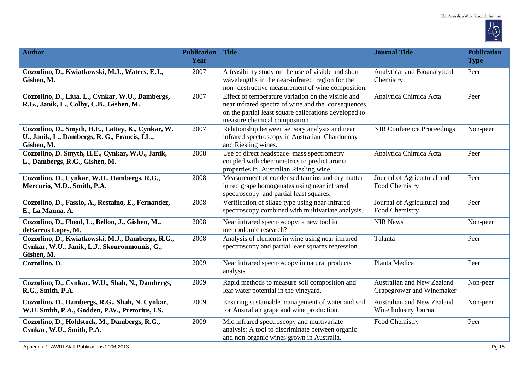

| <b>Author</b>                                                                                                      | <b>Publication Title</b><br>Year |                                                                                                                                                                                                    | <b>Journal Title</b>                                    | <b>Publication</b><br><b>Type</b> |
|--------------------------------------------------------------------------------------------------------------------|----------------------------------|----------------------------------------------------------------------------------------------------------------------------------------------------------------------------------------------------|---------------------------------------------------------|-----------------------------------|
| Cozzolino, D., Kwiatkowski, M.J., Waters, E.J.,<br>Gishen, M.                                                      | 2007                             | A feasibility study on the use of visible and short<br>wavelengths in the near-infrared region for the<br>non-destructive measurement of wine composition.                                         | Analytical and Bioanalytical<br>Chemistry               | Peer                              |
| Cozzolino, D., Liua, L., Cynkar, W.U., Dambergs,<br>R.G., Janik, L., Colby, C.B., Gishen, M.                       | 2007                             | Effect of temperature variation on the visible and<br>near infrared spectra of wine and the consequences<br>on the partial least square calibrations developed to<br>measure chemical composition. | Analytica Chimica Acta                                  | Peer                              |
| Cozzolino, D., Smyth, H.E., Lattey, K., Cynkar, W.<br>U., Janik, L., Dambergs, R. G., Francis, I.L.,<br>Gishen, M. | 2007                             | Relationship between sensory analysis and near<br>infrared spectroscopy in Australian Chardonnay<br>and Riesling wines.                                                                            | <b>NIR Conference Proceedings</b>                       | Non-peer                          |
| Cozzolino, D. Smyth, H.E., Cynkar, W.U., Janik,<br>L., Dambergs, R.G., Gishen, M.                                  | 2008                             | Use of direct headspace-mass spectrometry<br>coupled with chemometrics to predict aroma<br>properties in Australian Riesling wine.                                                                 | Analytica Chimica Acta                                  | Peer                              |
| Cozzolino, D., Cynkar, W.U., Dambergs, R.G.,<br>Mercurio, M.D., Smith, P.A.                                        | 2008                             | Measurement of condensed tannins and dry matter<br>in red grape homogenates using near infrared<br>spectroscopy and partial least squares.                                                         | Journal of Agricultural and<br>Food Chemistry           | Peer                              |
| Cozzolino, D., Fassio, A., Restaino, E., Fernandez,<br>E., La Manna, A.                                            | 2008                             | Verification of silage type using near-infrared<br>spectroscopy combined with multivariate analysis.                                                                                               | Journal of Agricultural and<br>Food Chemistry           | Peer                              |
| Cozzolino, D., Flood, L., Bellon, J., Gishen, M.,<br>deBarros Lopes, M.                                            | 2008                             | Near infrared spectroscopy: a new tool in<br>metabolomic research?                                                                                                                                 | <b>NIR News</b>                                         | Non-peer                          |
| Cozzolino, D., Kwiatkowski, M.J., Dambergs, R.G.,<br>Cynkar, W.U., Janik, L.J., Skouroumounis, G.,<br>Gishen, M.   | 2008                             | Analysis of elements in wine using near infrared<br>spectroscopy and partial least squares regression.                                                                                             | Talanta                                                 | Peer                              |
| Cozzolino, D.                                                                                                      | 2009                             | Near infrared spectroscopy in natural products<br>analysis.                                                                                                                                        | Planta Medica                                           | Peer                              |
| Cozzolino, D., Cynkar, W.U., Shah, N., Dambergs,<br>R.G., Smith, P.A.                                              | 2009                             | Rapid methods to measure soil composition and<br>leaf water potential in the vineyard.                                                                                                             | Australian and New Zealand<br>Grapegrower and Winemaker | Non-peer                          |
| Cozzolino, D., Dambergs, R.G., Shah, N. Cynkar,<br>W.U. Smith, P.A., Godden, P.W., Pretorius, I.S.                 | 2009                             | Ensuring sustainable management of water and soil<br>for Australian grape and wine production.                                                                                                     | Australian and New Zealand<br>Wine Industry Journal     | Non-peer                          |
| Cozzolino, D., Holdstock, M., Dambergs, R.G.,<br>Cynkar, W.U., Smith, P.A.                                         | 2009                             | Mid infrared spectroscopy and multivariate<br>analysis: A tool to discriminate between organic<br>and non-organic wines grown in Australia.                                                        | Food Chemistry                                          | Peer                              |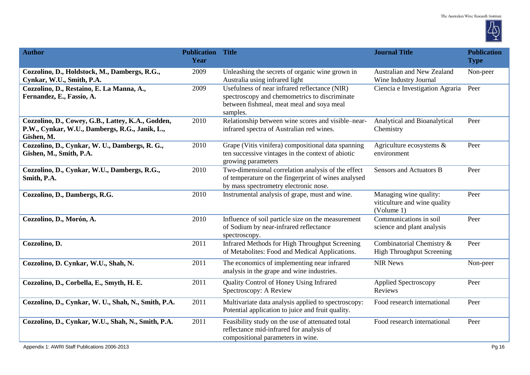

| <b>Author</b>                                                                                                     | <b>Publication Title</b><br>Year |                                                                                                                                                         | <b>Journal Title</b>                                                 | <b>Publication</b><br><b>Type</b> |
|-------------------------------------------------------------------------------------------------------------------|----------------------------------|---------------------------------------------------------------------------------------------------------------------------------------------------------|----------------------------------------------------------------------|-----------------------------------|
| Cozzolino, D., Holdstock, M., Dambergs, R.G.,<br>Cynkar, W.U., Smith, P.A.                                        | 2009                             | Unleashing the secrets of organic wine grown in<br>Australia using infrared light                                                                       | Australian and New Zealand<br>Wine Industry Journal                  | Non-peer                          |
| Cozzolino, D., Restaino, E. La Manna, A.,<br>Fernandez, E., Fassio, A.                                            | 2009                             | Usefulness of near infrared reflectance (NIR)<br>spectroscopy and chemometrics to discriminate<br>between fishmeal, meat meal and soya meal<br>samples. | Ciencia e Investigation Agraria                                      | Peer                              |
| Cozzolino, D., Cowey, G.B., Lattey, K.A., Godden,<br>P.W., Cynkar, W.U., Dambergs, R.G., Janik, L.,<br>Gishen, M. | 2010                             | Relationship between wine scores and visible-near-<br>infrared spectra of Australian red wines.                                                         | Analytical and Bioanalytical<br>Chemistry                            | Peer                              |
| Cozzolino, D., Cynkar, W. U., Dambergs, R. G.,<br>Gishen, M., Smith, P.A.                                         | 2010                             | Grape (Vitis vinifera) compositional data spanning<br>ten successive vintages in the context of abiotic<br>growing parameters                           | Agriculture ecosystems $\&$<br>environment                           | Peer                              |
| Cozzolino, D., Cynkar, W.U., Dambergs, R.G.,<br>Smith, P.A.                                                       | 2010                             | Two-dimensional correlation analysis of the effect<br>of temperature on the fingerprint of wines analysed<br>by mass spectrometry electronic nose.      | <b>Sensors and Actuators B</b>                                       | Peer                              |
| Cozzolino, D., Dambergs, R.G.                                                                                     | 2010                             | Instrumental analysis of grape, must and wine.                                                                                                          | Managing wine quality:<br>viticulture and wine quality<br>(Volume 1) | Peer                              |
| Cozzolino, D., Morón, A.                                                                                          | 2010                             | Influence of soil particle size on the measurement<br>of Sodium by near-infrared reflectance<br>spectroscopy.                                           | Communications in soil<br>science and plant analysis                 | Peer                              |
| Cozzolino, D.                                                                                                     | 2011                             | Infrared Methods for High Throughput Screening<br>of Metabolites: Food and Medical Applications.                                                        | Combinatorial Chemistry &<br><b>High Throughput Screening</b>        | Peer                              |
| Cozzolino, D. Cynkar, W.U., Shah, N.                                                                              | 2011                             | The economics of implementing near infrared<br>analysis in the grape and wine industries.                                                               | <b>NIR News</b>                                                      | Non-peer                          |
| Cozzolino, D., Corbella, E., Smyth, H. E.                                                                         | 2011                             | Quality Control of Honey Using Infrared<br>Spectroscopy: A Review                                                                                       | <b>Applied Spectroscopy</b><br>Reviews                               | Peer                              |
| Cozzolino, D., Cynkar, W. U., Shah, N., Smith, P.A.                                                               | 2011                             | Multivariate data analysis applied to spectroscopy:<br>Potential application to juice and fruit quality.                                                | Food research international                                          | Peer                              |
| Cozzolino, D., Cynkar, W.U., Shah, N., Smith, P.A.                                                                | 2011                             | Feasibility study on the use of attenuated total<br>reflectance mid-infrared for analysis of<br>compositional parameters in wine.                       | Food research international                                          | Peer                              |
| Appendix 1: AWRI Staff Publications 2006-2013                                                                     |                                  |                                                                                                                                                         |                                                                      | Pg 16                             |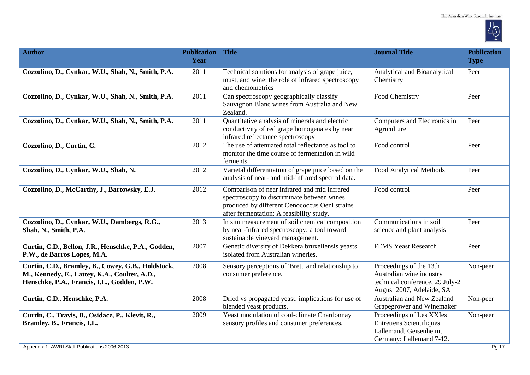

| <b>Author</b>                                                                                                                                      | <b>Publication Title</b><br>Year |                                                                                                                                                                                         | <b>Journal Title</b>                                                                                                | <b>Publication</b><br><b>Type</b> |
|----------------------------------------------------------------------------------------------------------------------------------------------------|----------------------------------|-----------------------------------------------------------------------------------------------------------------------------------------------------------------------------------------|---------------------------------------------------------------------------------------------------------------------|-----------------------------------|
| Cozzolino, D., Cynkar, W.U., Shah, N., Smith, P.A.                                                                                                 | 2011                             | Technical solutions for analysis of grape juice,<br>must, and wine: the role of infrared spectroscopy<br>and chemometrics                                                               | Analytical and Bioanalytical<br>Chemistry                                                                           | Peer                              |
| Cozzolino, D., Cynkar, W.U., Shah, N., Smith, P.A.                                                                                                 | 2011                             | Can spectroscopy geographically classify<br>Sauvignon Blanc wines from Australia and New<br>Zealand.                                                                                    | Food Chemistry                                                                                                      | Peer                              |
| Cozzolino, D., Cynkar, W.U., Shah, N., Smith, P.A.                                                                                                 | 2011                             | Quantitative analysis of minerals and electric<br>conductivity of red grape homogenates by near<br>infrared reflectance spectroscopy                                                    | Computers and Electronics in<br>Agriculture                                                                         | Peer                              |
| Cozzolino, D., Curtin, C.                                                                                                                          | 2012                             | The use of attenuated total reflectance as tool to<br>monitor the time course of fermentation in wild<br>ferments.                                                                      | Food control                                                                                                        | Peer                              |
| Cozzolino, D., Cynkar, W.U., Shah, N.                                                                                                              | 2012                             | Varietal differentiation of grape juice based on the<br>analysis of near- and mid-infrared spectral data.                                                                               | Food Analytical Methods                                                                                             | Peer                              |
| Cozzolino, D., McCarthy, J., Bartowsky, E.J.                                                                                                       | 2012                             | Comparison of near infrared and mid infrared<br>spectroscopy to discriminate between wines<br>produced by different Oenococcus Oeni strains<br>after fermentation: A feasibility study. | Food control                                                                                                        | Peer                              |
| Cozzolino, D., Cynkar, W.U., Dambergs, R.G.,<br>Shah, N., Smith, P.A.                                                                              | 2013                             | In situ measurement of soil chemical composition<br>by near-Infrared spectroscopy: a tool toward<br>sustainable vineyard management.                                                    | Communications in soil<br>science and plant analysis                                                                | Peer                              |
| Curtin, C.D., Bellon, J.R., Henschke, P.A., Godden,<br>P.W., de Barros Lopes, M.A.                                                                 | 2007                             | Genetic diversity of Dekkera bruxellensis yeasts<br>isolated from Australian wineries.                                                                                                  | <b>FEMS Yeast Research</b>                                                                                          | Peer                              |
| Curtin, C.D., Bramley, B., Cowey, G.B., Holdstock,<br>M., Kennedy, E., Lattey, K.A., Coulter, A.D.,<br>Henschke, P.A., Francis, I.L., Godden, P.W. | 2008                             | Sensory perceptions of 'Brett' and relationship to<br>consumer preference.                                                                                                              | Proceedings of the 13th<br>Australian wine industry<br>technical conference, 29 July-2<br>August 2007, Adelaide, SA | Non-peer                          |
| Curtin, C.D., Henschke, P.A.                                                                                                                       | 2008                             | Dried vs propagated yeast: implications for use of<br>blended yeast products.                                                                                                           | <b>Australian and New Zealand</b><br>Grapegrower and Winemaker                                                      | Non-peer                          |
| Curtin, C., Travis, B., Osidacz, P., Kievit, R.,<br>Bramley, B., Francis, I.L.                                                                     | 2009                             | Yeast modulation of cool-climate Chardonnay<br>sensory profiles and consumer preferences.                                                                                               | Proceedings of Les XXIes<br><b>Entretiens Scientifiques</b><br>Lallemand, Geisenheim,<br>Germany: Lallemand 7-12.   | Non-peer                          |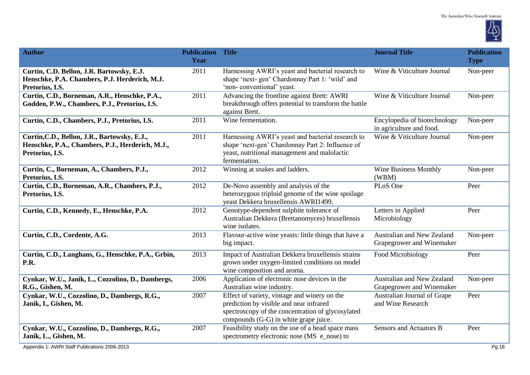

| <b>Author</b>                                                                                                       | <b>Publication Title</b><br>Year |                                                                                                                                                                                       | <b>Journal Title</b>                                     | <b>Publication</b><br><b>Type</b> |
|---------------------------------------------------------------------------------------------------------------------|----------------------------------|---------------------------------------------------------------------------------------------------------------------------------------------------------------------------------------|----------------------------------------------------------|-----------------------------------|
| Curtin, C.D. Bellon, J.R. Bartowsky, E.J.<br>Henschke, P.A. Chambers, P.J. Herderich, M.J.<br>Pretorius, I.S.       | 2011                             | Harnessing AWRI's yeast and bacterial research to<br>shape 'next-gen' Chardonnay Part 1: 'wild' and<br>'non-conventional' yeast.                                                      | Wine & Viticulture Journal                               | Non-peer                          |
| Curtin, C.D., Borneman, A.R., Henschke, P.A.,<br>Godden, P.W., Chambers, P.J., Pretorius, I.S.                      | 2011                             | Advancing the frontline against Brett: AWRI<br>breakthrough offers potential to transform the battle<br>against Brett.                                                                | Wine & Viticulture Journal                               | Non-peer                          |
| Curtin, C.D., Chambers, P.J., Pretorius, I.S.                                                                       | 2011                             | Wine fermentation.                                                                                                                                                                    | Encylopedia of biotechnology<br>in agriculture and food. | Non-peer                          |
| Curtin, C.D., Bellon, J.R., Bartowsky, E.J.,<br>Henschke, P.A., Chambers, P.J., Herderich, M.J.,<br>Pretorius, I.S. | 2011                             | Harnessing AWRI's yeast and bacterial research to<br>shape 'next-gen' Chardonnay Part 2: Influence of<br>yeast, nutritional management and malolactic<br>fermentation.                | Wine & Viticulture Journal                               | Non-peer                          |
| Curtin, C., Borneman, A., Chambers, P.J.,<br>Pretorius, I.S.                                                        | 2012                             | Winning at snakes and ladders.                                                                                                                                                        | <b>Wine Business Monthly</b><br>(WBM)                    | Non-peer                          |
| Curtin, C.D., Borneman, A.R., Chambers, P.J.,<br>Pretorius, I.S.                                                    | 2012                             | De-Novo assembly and analysis of the<br>heterozygous triploid genome of the wine spoilage<br>yeast Dekkera bruxellensis AWRI1499.                                                     | PLoS One                                                 | Peer                              |
| Curtin, C.D., Kennedy, E., Henschke, P.A.                                                                           | 2012                             | Genotype-dependent sulphite tolerance of<br>Australian Dekkera (Brettanomyces) bruxellensis<br>wine isolates.                                                                         | Letters in Applied<br>Microbiology                       | Peer                              |
| Curtin, C.D., Cordente, A.G.                                                                                        | 2013                             | Flavour-active wine yeasts: little things that have a<br>big impact.                                                                                                                  | Australian and New Zealand<br>Grapegrower and Winemaker  | Non-peer                          |
| Curtin, C.D., Langhans, G., Henschke, P.A., Grbin,<br>P.R.                                                          | 2013                             | Impact of Australian Dekkera bruxellensis strains<br>grown under oxygen-limited conditions on model<br>wine composition and aroma.                                                    | Food Microbiology                                        | Peer                              |
| Cynkar, W.U., Janik, L., Cozzolino, D., Dambergs,<br>R.G., Gishen, M.                                               | 2006                             | Application of electronic nose devices in the<br>Australian wine industry.                                                                                                            | Australian and New Zealand<br>Grapegrower and Winemaker  | Non-peer                          |
| Cynkar, W.U., Cozzolino, D., Dambergs, R.G.,<br>Janik, I., Gishen, M.                                               | 2007                             | Effect of variety, vintage and winery on the<br>prediction by visible and near infrared<br>spectroscopy of the concentration of glycosylated<br>compounds (G-G) in white grape juice. | Australian Journal of Grape<br>and Wine Research         | Peer                              |
| Cynkar, W.U., Cozzolino, D., Dambergs, R.G.,<br>Janik, L., Gishen, M.                                               | 2007                             | Feasibility study on the use of a head space mass<br>spectrometry electronic nose (MS e_nose) to                                                                                      | <b>Sensors and Actuators B</b>                           | Peer                              |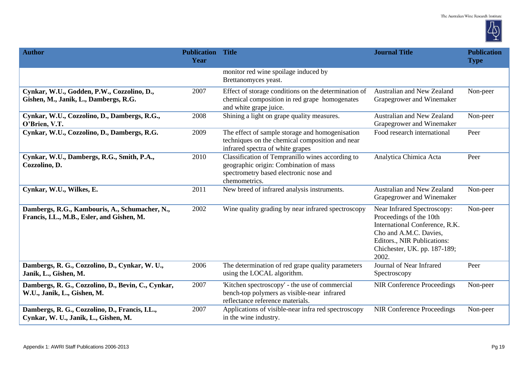

| <b>Author</b>                                                                                | <b>Publication Title</b><br>Year |                                                                                                                                                       | <b>Journal Title</b>                                                                                                                                                                       | <b>Publication</b><br><b>Type</b> |
|----------------------------------------------------------------------------------------------|----------------------------------|-------------------------------------------------------------------------------------------------------------------------------------------------------|--------------------------------------------------------------------------------------------------------------------------------------------------------------------------------------------|-----------------------------------|
|                                                                                              |                                  | monitor red wine spoilage induced by<br>Brettanomyces yeast.                                                                                          |                                                                                                                                                                                            |                                   |
| Cynkar, W.U., Godden, P.W., Cozzolino, D.,<br>Gishen, M., Janik, L., Dambergs, R.G.          | 2007                             | Effect of storage conditions on the determination of<br>chemical composition in red grape homogenates<br>and white grape juice.                       | Australian and New Zealand<br>Grapegrower and Winemaker                                                                                                                                    | Non-peer                          |
| Cynkar, W.U., Cozzolino, D., Dambergs, R.G.,<br>O'Brien, V.T.                                | 2008                             | Shining a light on grape quality measures.                                                                                                            | Australian and New Zealand<br>Grapegrower and Winemaker                                                                                                                                    | Non-peer                          |
| Cynkar, W.U., Cozzolino, D., Dambergs, R.G.                                                  | 2009                             | The effect of sample storage and homogenisation<br>techniques on the chemical composition and near<br>infrared spectra of white grapes                | Food research international                                                                                                                                                                | Peer                              |
| Cynkar, W.U., Dambergs, R.G., Smith, P.A.,<br>Cozzolino, D.                                  | 2010                             | Classification of Tempranillo wines according to<br>geographic origin: Combination of mass<br>spectrometry based electronic nose and<br>chemometrics. | Analytica Chimica Acta                                                                                                                                                                     | Peer                              |
| Cynkar, W.U., Wilkes, E.                                                                     | 2011                             | New breed of infrared analysis instruments.                                                                                                           | Australian and New Zealand<br>Grapegrower and Winemaker                                                                                                                                    | Non-peer                          |
| Dambergs, R.G., Kambouris, A., Schumacher, N.,<br>Francis, I.L., M.B., Esler, and Gishen, M. | 2002                             | Wine quality grading by near infrared spectroscopy                                                                                                    | Near Infrared Spectroscopy:<br>Proceedings of the 10th<br>International Conference, R.K.<br>Cho and A.M.C. Davies,<br>Editors., NIR Publications:<br>Chichester, UK. pp. 187-189;<br>2002. | Non-peer                          |
| Dambergs, R. G., Cozzolino, D., Cynkar, W. U.,<br>Janik, L., Gishen, M.                      | 2006                             | The determination of red grape quality parameters<br>using the LOCAL algorithm.                                                                       | Journal of Near Infrared<br>Spectroscopy                                                                                                                                                   | Peer                              |
| Dambergs, R. G., Cozzolino, D., Bevin, C., Cynkar,<br>W.U., Janik, L., Gishen, M.            | 2007                             | 'Kitchen spectroscopy' - the use of commercial<br>bench-top polymers as visible-near infrared<br>reflectance reference materials.                     | <b>NIR Conference Proceedings</b>                                                                                                                                                          | Non-peer                          |
| Dambergs, R. G., Cozzolino, D., Francis, I.L.,<br>Cynkar, W. U., Janik, L., Gishen, M.       | 2007                             | Applications of visible-near infra red spectroscopy<br>in the wine industry.                                                                          | <b>NIR Conference Proceedings</b>                                                                                                                                                          | Non-peer                          |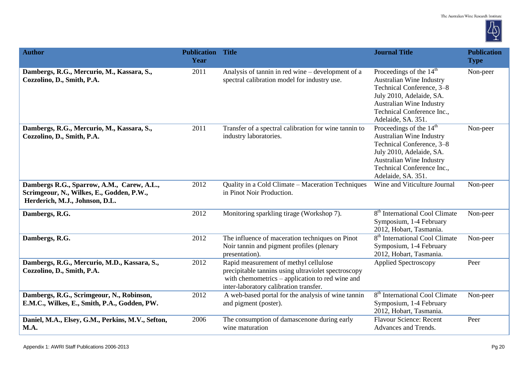

| <b>Author</b>                                                                                                             | <b>Publication</b><br>Year | <b>Title</b>                                                                                                                                                                              | <b>Journal Title</b>                                                                                                                                                                                            | <b>Publication</b><br><b>Type</b> |
|---------------------------------------------------------------------------------------------------------------------------|----------------------------|-------------------------------------------------------------------------------------------------------------------------------------------------------------------------------------------|-----------------------------------------------------------------------------------------------------------------------------------------------------------------------------------------------------------------|-----------------------------------|
| Dambergs, R.G., Mercurio, M., Kassara, S.,<br>Cozzolino, D., Smith, P.A.                                                  | 2011                       | Analysis of tannin in red wine – development of a<br>spectral calibration model for industry use.                                                                                         | Proceedings of the $14th$<br>Australian Wine Industry<br>Technical Conference, 3-8<br>July 2010, Adelaide, SA.<br>Australian Wine Industry<br>Technical Conference Inc.,<br>Adelaide, SA. 351.                  | Non-peer                          |
| Dambergs, R.G., Mercurio, M., Kassara, S.,<br>Cozzolino, D., Smith, P.A.                                                  | 2011                       | Transfer of a spectral calibration for wine tannin to<br>industry laboratories.                                                                                                           | Proceedings of the 14 <sup>th</sup><br><b>Australian Wine Industry</b><br>Technical Conference, 3-8<br>July 2010, Adelaide, SA.<br>Australian Wine Industry<br>Technical Conference Inc.,<br>Adelaide, SA. 351. | Non-peer                          |
| Dambergs R.G., Sparrow, A.M., Carew, A.L.,<br>Scrimgeour, N., Wilkes, E., Godden, P.W.,<br>Herderich, M.J., Johnson, D.L. | 2012                       | Quality in a Cold Climate - Maceration Techniques<br>in Pinot Noir Production.                                                                                                            | Wine and Viticulture Journal                                                                                                                                                                                    | Non-peer                          |
| Dambergs, R.G.                                                                                                            | 2012                       | Monitoring sparkling tirage (Workshop 7).                                                                                                                                                 | 8 <sup>th</sup> International Cool Climate<br>Symposium, 1-4 February<br>2012, Hobart, Tasmania.                                                                                                                | Non-peer                          |
| Dambergs, R.G.                                                                                                            | 2012                       | The influence of maceration techniques on Pinot<br>Noir tannin and pigment profiles (plenary<br>presentation).                                                                            | 8 <sup>th</sup> International Cool Climate<br>Symposium, 1-4 February<br>2012, Hobart, Tasmania.                                                                                                                | Non-peer                          |
| Dambergs, R.G., Mercurio, M.D., Kassara, S.,<br>Cozzolino, D., Smith, P.A.                                                | 2012                       | Rapid measurement of methyl cellulose<br>precipitable tannins using ultraviolet spectroscopy<br>with chemometrics – application to red wine and<br>inter-laboratory calibration transfer. | <b>Applied Spectroscopy</b>                                                                                                                                                                                     | Peer                              |
| Dambergs, R.G., Scrimgeour, N., Robinson,<br>E.M.C., Wilkes, E., Smith, P.A., Godden, PW.                                 | 2012                       | A web-based portal for the analysis of wine tannin<br>and pigment (poster).                                                                                                               | 8 <sup>th</sup> International Cool Climate<br>Symposium, 1-4 February<br>2012, Hobart, Tasmania.                                                                                                                | Non-peer                          |
| Daniel, M.A., Elsey, G.M., Perkins, M.V., Sefton,<br><b>M.A.</b>                                                          | 2006                       | The consumption of damascenone during early<br>wine maturation                                                                                                                            | <b>Flavour Science: Recent</b><br>Advances and Trends.                                                                                                                                                          | Peer                              |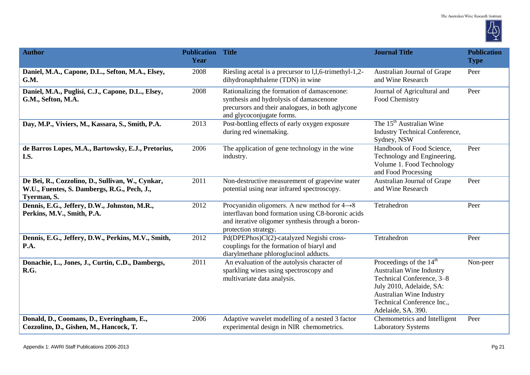

| <b>Author</b>                                                                                                  | <b>Publication Title</b><br>Year |                                                                                                                                                                                            | <b>Journal Title</b>                                                                                                                                                                           | <b>Publication</b><br><b>Type</b> |
|----------------------------------------------------------------------------------------------------------------|----------------------------------|--------------------------------------------------------------------------------------------------------------------------------------------------------------------------------------------|------------------------------------------------------------------------------------------------------------------------------------------------------------------------------------------------|-----------------------------------|
| Daniel, M.A., Capone, D.L., Sefton, M.A., Elsey,<br>G.M.                                                       | 2008                             | Riesling acetal is a precursor to 1,1,6-trimethyl-1,2-<br>dihydronaphthalene (TDN) in wine                                                                                                 | Australian Journal of Grape<br>and Wine Research                                                                                                                                               | Peer                              |
| Daniel, M.A., Puglisi, C.J., Capone, D.L., Elsey,<br>G.M., Sefton, M.A.                                        | 2008                             | Rationalizing the formation of damascenone:<br>synthesis and hydrolysis of damascenone<br>precursors and their analogues, in both aglycone<br>and glycoconjugate forms.                    | Journal of Agricultural and<br>Food Chemistry                                                                                                                                                  | Peer                              |
| Day, M.P., Viviers, M., Kassara, S., Smith, P.A.                                                               | 2013                             | Post-bottling effects of early oxygen exposure<br>during red winemaking.                                                                                                                   | The 15 <sup>th</sup> Australian Wine<br>Industry Technical Conference,<br>Sydney, NSW                                                                                                          |                                   |
| de Barros Lopes, M.A., Bartowsky, E.J., Pretorius,<br>I.S.                                                     | 2006                             | The application of gene technology in the wine<br>industry.                                                                                                                                | Handbook of Food Science,<br>Technology and Engineering.<br>Volume 1. Food Technology<br>and Food Processing                                                                                   | Peer                              |
| De Bei, R., Cozzolino, D., Sullivan, W., Cynkar,<br>W.U., Fuentes, S. Dambergs, R.G., Pech, J.,<br>Tyerman, S. | 2011                             | Non-destructive measurement of grapevine water<br>potential using near infrared spectroscopy.                                                                                              | Australian Journal of Grape<br>and Wine Research                                                                                                                                               | Peer                              |
| Dennis, E.G., Jeffery, D.W., Johnston, M.R.,<br>Perkins, M.V., Smith, P.A.                                     | 2012                             | Procyanidin oligomers. A new method for $4\rightarrow 8$<br>interflavan bond formation using C8-boronic acids<br>and iterative oligomer synthesis through a boron-<br>protection strategy. | Tetrahedron                                                                                                                                                                                    | Peer                              |
| Dennis, E.G., Jeffery, D.W., Perkins, M.V., Smith,<br>P.A.                                                     | 2012                             | Pd(DPEPhos)Cl(2)-catalyzed Negishi cross-<br>couplings for the formation of biaryl and<br>diarylmethane phloroglucinol adducts.                                                            | Tetrahedron                                                                                                                                                                                    | Peer                              |
| Donachie, L., Jones, J., Curtin, C.D., Dambergs,<br>R.G.                                                       | 2011                             | An evaluation of the autolysis character of<br>sparkling wines using spectroscopy and<br>multivariate data analysis.                                                                       | Proceedings of the $14th$<br>Australian Wine Industry<br>Technical Conference, 3-8<br>July 2010, Adelaide, SA:<br>Australian Wine Industry<br>Technical Conference Inc.,<br>Adelaide, SA. 390. | Non-peer                          |
| Donald, D., Coomans, D., Everingham, E.,<br>Cozzolino, D., Gishen, M., Hancock, T.                             | 2006                             | Adaptive wavelet modelling of a nested 3 factor<br>experimental design in NIR chemometrics.                                                                                                | Chemometrics and Intelligent<br><b>Laboratory Systems</b>                                                                                                                                      | Peer                              |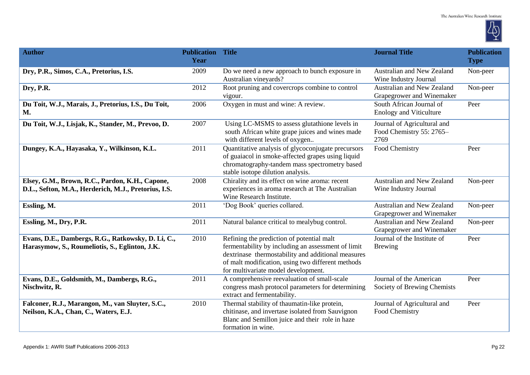

| <b>Author</b>                                                                                           | <b>Publication Title</b><br>Year |                                                                                                                                                                                                                                                   | <b>Journal Title</b>                                            | <b>Publication</b><br><b>Type</b> |
|---------------------------------------------------------------------------------------------------------|----------------------------------|---------------------------------------------------------------------------------------------------------------------------------------------------------------------------------------------------------------------------------------------------|-----------------------------------------------------------------|-----------------------------------|
| Dry, P.R., Simos, C.A., Pretorius, I.S.                                                                 | 2009                             | Do we need a new approach to bunch exposure in<br>Australian vineyards?                                                                                                                                                                           | Australian and New Zealand<br>Wine Industry Journal             | Non-peer                          |
| Dry, P.R.                                                                                               | 2012                             | Root pruning and covercrops combine to control<br>vigour.                                                                                                                                                                                         | Australian and New Zealand<br>Grapegrower and Winemaker         | Non-peer                          |
| Du Toit, W.J., Marais, J., Pretorius, I.S., Du Toit,<br><b>M.</b>                                       | 2006                             | Oxygen in must and wine: A review.                                                                                                                                                                                                                | South African Journal of<br><b>Enology and Viticulture</b>      | Peer                              |
| Du Toit, W.J., Lisjak, K., Stander, M., Prevoo, D.                                                      | 2007                             | Using LC-MSMS to assess glutathione levels in<br>south African white grape juices and wines made<br>with different levels of oxygen                                                                                                               | Journal of Agricultural and<br>Food Chemistry 55: 2765-<br>2769 |                                   |
| Dungey, K.A., Hayasaka, Y., Wilkinson, K.L.                                                             | 2011                             | Quantitative analysis of glycoconjugate precursors<br>of guaiacol in smoke-affected grapes using liquid<br>chromatography-tandem mass spectrometry based<br>stable isotope dilution analysis.                                                     | Food Chemistry                                                  | Peer                              |
| Elsey, G.M., Brown, R.C., Pardon, K.H., Capone,<br>D.L., Sefton, M.A., Herderich, M.J., Pretorius, I.S. | 2008                             | Chirality and its effect on wine aroma: recent<br>experiences in aroma research at The Australian<br>Wine Research Institute.                                                                                                                     | Australian and New Zealand<br>Wine Industry Journal             | Non-peer                          |
| Essling, M.                                                                                             | 2011                             | 'Dog Book' queries collared.                                                                                                                                                                                                                      | Australian and New Zealand<br>Grapegrower and Winemaker         | Non-peer                          |
| Essling, M., Dry, P.R.                                                                                  | 2011                             | Natural balance critical to mealybug control.                                                                                                                                                                                                     | Australian and New Zealand<br>Grapegrower and Winemaker         | Non-peer                          |
| Evans, D.E., Dambergs, R.G., Ratkowsky, D. Li, C.,<br>Harasymow, S., Roumeliotis, S., Eglinton, J.K.    | 2010                             | Refining the prediction of potential malt<br>fermentability by including an assessment of limit<br>dextrinase thermostability and additional measures<br>of malt modification, using two different methods<br>for multivariate model development. | Journal of the Institute of<br><b>Brewing</b>                   | Peer                              |
| Evans, D.E., Goldsmith, M., Dambergs, R.G.,<br>Nischwitz, R.                                            | 2011                             | A comprehensive reevaluation of small-scale<br>congress mash protocol parameters for determining<br>extract and fermentability.                                                                                                                   | Journal of the American<br>Society of Brewing Chemists          | Peer                              |
| Falconer, R.J., Marangon, M., van Sluyter, S.C.,<br>Neilson, K.A., Chan, C., Waters, E.J.               | 2010                             | Thermal stability of thaumatin-like protein,<br>chitinase, and invertase isolated from Sauvignon<br>Blanc and Semillon juice and their role in haze<br>formation in wine.                                                                         | Journal of Agricultural and<br>Food Chemistry                   | Peer                              |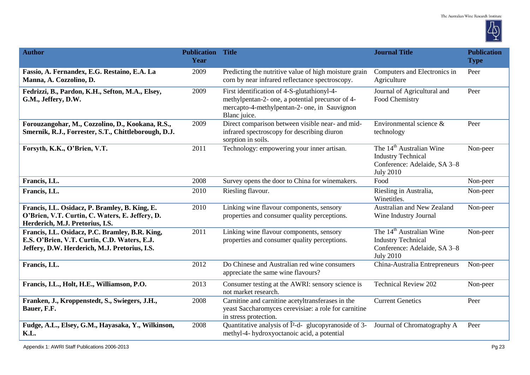

| <b>Author</b>                                                                                                                                    | <b>Publication Title</b><br>Year |                                                                                                                                                                 | <b>Journal Title</b>                                                                                                  | <b>Publication</b><br><b>Type</b> |
|--------------------------------------------------------------------------------------------------------------------------------------------------|----------------------------------|-----------------------------------------------------------------------------------------------------------------------------------------------------------------|-----------------------------------------------------------------------------------------------------------------------|-----------------------------------|
| Fassio, A. Fernandex, E.G. Restaino, E.A. La<br>Manna, A. Cozzolino, D.                                                                          | 2009                             | Predicting the nutritive value of high moisture grain<br>corn by near infrared reflectance spectroscopy.                                                        | Computers and Electronics in<br>Agriculture                                                                           | Peer                              |
| Fedrizzi, B., Pardon, K.H., Sefton, M.A., Elsey,<br>G.M., Jeffery, D.W.                                                                          | 2009                             | First identification of 4-S-glutathionyl-4-<br>methylpentan-2- one, a potential precursor of 4-<br>mercapto-4-methylpentan-2- one, in Sauvignon<br>Blanc juice. | Journal of Agricultural and<br>Food Chemistry                                                                         | Peer                              |
| Forouzangohar, M., Cozzolino, D., Kookana, R.S.,<br>Smernik, R.J., Forrester, S.T., Chittleborough, D.J.                                         | 2009                             | Direct comparison between visible near- and mid-<br>infrared spectroscopy for describing diuron<br>sorption in soils.                                           | Environmental science &<br>technology                                                                                 | Peer                              |
| Forsyth, K.K., O'Brien, V.T.                                                                                                                     | 2011                             | Technology: empowering your inner artisan.                                                                                                                      | The 14 <sup>th</sup> Australian Wine<br><b>Industry Technical</b><br>Conference: Adelaide, SA 3-8<br><b>July 2010</b> | Non-peer                          |
| Francis, I.L.                                                                                                                                    | 2008                             | Survey opens the door to China for winemakers.                                                                                                                  | Food                                                                                                                  | Non-peer                          |
| Francis, I.L.                                                                                                                                    | 2010                             | Riesling flavour.                                                                                                                                               | Riesling in Australia,<br>Winetitles.                                                                                 | Non-peer                          |
| Francis, I.L. Osidacz, P. Bramley, B. King, E.<br>O'Brien, V.T. Curtin, C. Waters, E. Jeffery, D.<br>Herderich, M.J. Pretorius, I.S.             | 2010                             | Linking wine flavour components, sensory<br>properties and consumer quality perceptions.                                                                        | Australian and New Zealand<br>Wine Industry Journal                                                                   | Non-peer                          |
| Francis, I.L. Osidacz, P.C. Bramley, B.R. King,<br>E.S. O'Brien, V.T. Curtin, C.D. Waters, E.J.<br>Jeffery, D.W. Herderich, M.J. Pretorius, I.S. | 2011                             | Linking wine flavour components, sensory<br>properties and consumer quality perceptions.                                                                        | The 14 <sup>th</sup> Australian Wine<br><b>Industry Technical</b><br>Conference: Adelaide, SA 3-8<br><b>July 2010</b> | Non-peer                          |
| Francis, I.L.                                                                                                                                    | 2012                             | Do Chinese and Australian red wine consumers<br>appreciate the same wine flavours?                                                                              | China-Australia Entrepreneurs                                                                                         | Non-peer                          |
| Francis, I.L., Holt, H.E., Williamson, P.O.                                                                                                      | 2013                             | Consumer testing at the AWRI: sensory science is<br>not market research.                                                                                        | <b>Technical Review 202</b>                                                                                           | Non-peer                          |
| Franken, J., Kroppenstedt, S., Swiegers, J.H.,<br>Bauer, F.F.                                                                                    | 2008                             | Carnitine and carnitine acetyltransferases in the<br>yeast Saccharomyces cerevisiae: a role for carnitine<br>in stress protection.                              | <b>Current Genetics</b>                                                                                               | Peer                              |
| Fudge, A.L., Elsey, G.M., Hayasaka, Y., Wilkinson,<br>K.L.                                                                                       | 2008                             | Quantitative analysis of $\hat{I}^2$ -d- glucopyranoside of 3-<br>methyl-4- hydroxyoctanoic acid, a potential                                                   | Journal of Chromatography A                                                                                           | Peer                              |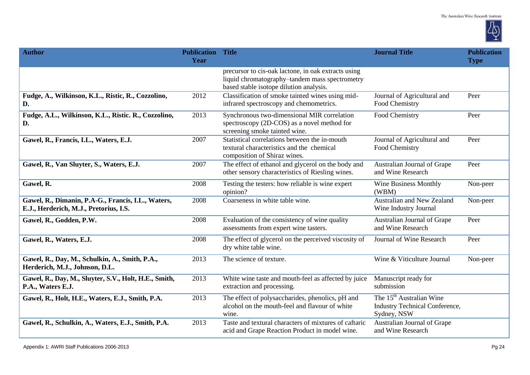

| <b>Author</b>                                                                                | <b>Publication Title</b><br>Year |                                                                                                                                                  | <b>Journal Title</b>                                                                         | <b>Publication</b><br><b>Type</b> |
|----------------------------------------------------------------------------------------------|----------------------------------|--------------------------------------------------------------------------------------------------------------------------------------------------|----------------------------------------------------------------------------------------------|-----------------------------------|
|                                                                                              |                                  | precursor to cis-oak lactone, in oak extracts using<br>liquid chromatography-tandem mass spectrometry<br>based stable isotope dilution analysis. |                                                                                              |                                   |
| Fudge, A., Wilkinson, K.L., Ristic, R., Cozzolino,<br>D.                                     | 2012                             | Classification of smoke tainted wines using mid-<br>infrared spectroscopy and chemometrics.                                                      | Journal of Agricultural and<br>Food Chemistry                                                | Peer                              |
| Fudge, A.L., Wilkinson, K.L., Ristic. R., Cozzolino,<br>D.                                   | 2013                             | Synchronous two-dimensional MIR correlation<br>spectroscopy (2D-COS) as a novel method for<br>screening smoke tainted wine.                      | Food Chemistry                                                                               | Peer                              |
| Gawel, R., Francis, I.L., Waters, E.J.                                                       | 2007                             | Statistical correlations between the in-mouth<br>textural characteristics and the chemical<br>composition of Shiraz wines.                       | Journal of Agricultural and<br>Food Chemistry                                                | Peer                              |
| Gawel, R., Van Sluyter, S., Waters, E.J.                                                     | 2007                             | The effect of ethanol and glycerol on the body and<br>other sensory characteristics of Riesling wines.                                           | Australian Journal of Grape<br>and Wine Research                                             | Peer                              |
| Gawel, R.                                                                                    | 2008                             | Testing the testers: how reliable is wine expert<br>opinion?                                                                                     | Wine Business Monthly<br>(WBM)                                                               | Non-peer                          |
| Gawel, R., Dimanin, P.A-G., Francis, I.L., Waters,<br>E.J., Herderich, M.J., Pretorius, I.S. | 2008                             | Coarseness in white table wine.                                                                                                                  | Australian and New Zealand<br>Wine Industry Journal                                          | Non-peer                          |
| Gawel, R., Godden, P.W.                                                                      | 2008                             | Evaluation of the consistency of wine quality<br>assessments from expert wine tasters.                                                           | Australian Journal of Grape<br>and Wine Research                                             | Peer                              |
| Gawel, R., Waters, E.J.                                                                      | 2008                             | The effect of glycerol on the perceived viscosity of<br>dry white table wine.                                                                    | Journal of Wine Research                                                                     | Peer                              |
| Gawel, R., Day, M., Schulkin, A., Smith, P.A.,<br>Herderich, M.J., Johnson, D.L.             | 2013                             | The science of texture.                                                                                                                          | Wine & Viticulture Journal                                                                   | Non-peer                          |
| Gawel, R., Day, M., Sluyter, S.V., Holt, H.E., Smith,<br>P.A., Waters E.J.                   | 2013                             | White wine taste and mouth-feel as affected by juice<br>extraction and processing.                                                               | Manuscript ready for<br>submission                                                           |                                   |
| Gawel, R., Holt, H.E., Waters, E.J., Smith, P.A.                                             | 2013                             | The effect of polysaccharides, phenolics, pH and<br>alcohol on the mouth-feel and flavour of white<br>wine.                                      | The 15 <sup>th</sup> Australian Wine<br><b>Industry Technical Conference,</b><br>Sydney, NSW |                                   |
| Gawel, R., Schulkin, A., Waters, E.J., Smith, P.A.                                           | 2013                             | Taste and textural characters of mixtures of caftaric<br>acid and Grape Reaction Product in model wine.                                          | Australian Journal of Grape<br>and Wine Research                                             |                                   |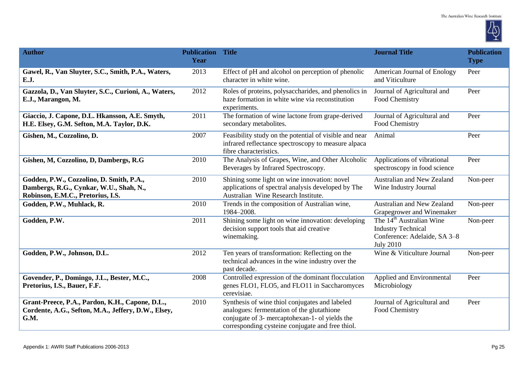

| <b>Author</b>                                                                                                            | <b>Publication Title</b><br>Year |                                                                                                                                                                                                    | <b>Journal Title</b>                                                                                                  | <b>Publication</b><br><b>Type</b> |
|--------------------------------------------------------------------------------------------------------------------------|----------------------------------|----------------------------------------------------------------------------------------------------------------------------------------------------------------------------------------------------|-----------------------------------------------------------------------------------------------------------------------|-----------------------------------|
| Gawel, R., Van Sluyter, S.C., Smith, P.A., Waters,<br>E.J.                                                               | 2013                             | Effect of pH and alcohol on perception of phenolic<br>character in white wine.                                                                                                                     | American Journal of Enology<br>and Viticulture                                                                        | Peer                              |
| Gazzola, D., Van Sluyter, S.C., Curioni, A., Waters,<br>E.J., Marangon, M.                                               | 2012                             | Roles of proteins, polysaccharides, and phenolics in<br>haze formation in white wine via reconstitution<br>experiments.                                                                            | Journal of Agricultural and<br>Food Chemistry                                                                         | Peer                              |
| Giaccio, J. Capone, D.L. Hkansson, A.E. Smyth,<br>H.E. Elsey, G.M. Sefton, M.A. Taylor, D.K.                             | 2011                             | The formation of wine lactone from grape-derived<br>secondary metabolites.                                                                                                                         | Journal of Agricultural and<br>Food Chemistry                                                                         | Peer                              |
| Gishen, M., Cozzolino, D.                                                                                                | 2007                             | Feasibility study on the potential of visible and near<br>infrared reflectance spectroscopy to measure alpaca<br>fibre characteristics.                                                            | Animal                                                                                                                | Peer                              |
| Gishen, M, Cozzolino, D, Dambergs, R.G                                                                                   | 2010                             | The Analysis of Grapes, Wine, and Other Alcoholic<br>Beverages by Infrared Spectroscopy.                                                                                                           | Applications of vibrational<br>spectroscopy in food science                                                           | Peer                              |
| Godden, P.W., Cozzolino, D. Smith, P.A.,<br>Dambergs, R.G., Cynkar, W.U., Shah, N.,<br>Robinson, E.M.C., Pretorius, I.S. | 2010                             | Shining some light on wine innovation: novel<br>applications of spectral analysis developed by The<br>Australian Wine Research Institute.                                                          | Australian and New Zealand<br>Wine Industry Journal                                                                   | Non-peer                          |
| Godden, P.W., Muhlack, R.                                                                                                | 2010                             | Trends in the composition of Australian wine,<br>1984-2008.                                                                                                                                        | Australian and New Zealand<br>Grapegrower and Winemaker                                                               | Non-peer                          |
| Godden, P.W.                                                                                                             | 2011                             | Shining some light on wine innovation: developing<br>decision support tools that aid creative<br>winemaking.                                                                                       | The 14 <sup>th</sup> Australian Wine<br><b>Industry Technical</b><br>Conference: Adelaide, SA 3-8<br><b>July 2010</b> | Non-peer                          |
| Godden, P.W., Johnson, D.L.                                                                                              | 2012                             | Ten years of transformation: Reflecting on the<br>technical advances in the wine industry over the<br>past decade.                                                                                 | Wine & Viticulture Journal                                                                                            | Non-peer                          |
| Govender, P., Domingo, J.L., Bester, M.C.,<br>Pretorius, I.S., Bauer, F.F.                                               | 2008                             | Controlled expression of the dominant flocculation<br>genes FLO1, FLO5, and FLO11 in Saccharomyces<br>cerevisiae.                                                                                  | Applied and Environmental<br>Microbiology                                                                             | Peer                              |
| Grant-Preece, P.A., Pardon, K.H., Capone, D.L.,<br>Cordente, A.G., Sefton, M.A., Jeffery, D.W., Elsey,<br>G.M.           | 2010                             | Synthesis of wine thiol conjugates and labeled<br>analogues: fermentation of the glutathione<br>conjugate of 3- mercaptohexan-1- ol yields the<br>corresponding cysteine conjugate and free thiol. | Journal of Agricultural and<br>Food Chemistry                                                                         | Peer                              |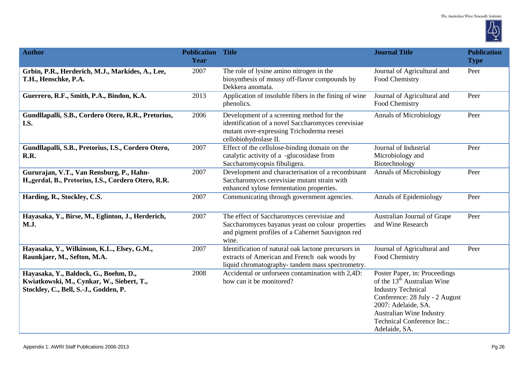

| <b>Author</b>                                                                                                               | <b>Publication</b><br>Year | <b>Title</b>                                                                                                                                                          | <b>Journal Title</b>                                                                                                                                                                                                                      | <b>Publication</b><br><b>Type</b> |
|-----------------------------------------------------------------------------------------------------------------------------|----------------------------|-----------------------------------------------------------------------------------------------------------------------------------------------------------------------|-------------------------------------------------------------------------------------------------------------------------------------------------------------------------------------------------------------------------------------------|-----------------------------------|
| Grbin, P.R., Herderich, M.J., Markides, A., Lee,<br>T.H., Henschke, P.A.                                                    | 2007                       | The role of lysine amino nitrogen in the<br>biosynthesis of mousy off-flavor compounds by<br>Dekkera anomala.                                                         | Journal of Agricultural and<br>Food Chemistry                                                                                                                                                                                             | Peer                              |
| Guerrero, R.F., Smith, P.A., Bindon, K.A.                                                                                   | 2013                       | Application of insoluble fibers in the fining of wine<br>phenolics.                                                                                                   | Journal of Agricultural and<br>Food Chemistry                                                                                                                                                                                             | Peer                              |
| Gundllapalli, S.B., Cordero Otero, R.R., Pretorius,<br>I.S.                                                                 | 2006                       | Development of a screening method for the<br>identification of a novel Saccharomyces cerevisiae<br>mutant over-expressing Trichoderma reesei<br>cellobiohydrolase II. | <b>Annals of Microbiology</b>                                                                                                                                                                                                             | Peer                              |
| Gundllapalli, S.B., Pretorius, I.S., Cordero Otero,<br>R.R.                                                                 | 2007                       | Effect of the cellulose-binding domain on the<br>catalytic activity of a -glucosidase from<br>Saccharomycopsis fibuligera.                                            | Journal of Industrial<br>Microbiology and<br>Biotechnology                                                                                                                                                                                | Peer                              |
| Gururajan, V.T., Van Rensburg, P., Hahn-<br>H, gerdal, B., Pretorius, I.S., Cordero Otero, R.R.                             | 2007                       | Development and characterisation of a recombinant<br>Saccharomyces cerevisiae mutant strain with<br>enhanced xylose fermentation properties.                          | <b>Annals of Microbiology</b>                                                                                                                                                                                                             | Peer                              |
| Harding, R., Stockley, C.S.                                                                                                 | 2007                       | Communicating through government agencies.                                                                                                                            | Annals of Epidemiology                                                                                                                                                                                                                    | Peer                              |
| Hayasaka, Y., Birse, M., Eglinton, J., Herderich,<br><b>M.J.</b>                                                            | 2007                       | The effect of Saccharomyces cerevisiae and<br>Saccharomyces bayanus yeast on colour properties<br>and pigment profiles of a Cabernet Sauvignon red<br>wine.           | Australian Journal of Grape<br>and Wine Research                                                                                                                                                                                          | Peer                              |
| Hayasaka, Y., Wilkinson, K.L., Elsey, G.M.,<br>Raunkjaer, M., Sefton, M.A.                                                  | 2007                       | Identification of natural oak lactone precursors in<br>extracts of American and French oak woods by<br>liquid chromatography-tandem mass spectrometry.                | Journal of Agricultural and<br>Food Chemistry                                                                                                                                                                                             | Peer                              |
| Hayasaka, Y., Baldock, G., Boehm, D.,<br>Kwiatkowski, M., Cynkar, W., Siebert, T.,<br>Stockley, C., Bell, S.-J., Godden, P. | 2008                       | Accidental or unforseen contamination with 2,4D:<br>how can it be monitored?                                                                                          | Poster Paper, in: Proceedings<br>of the 13 <sup>th</sup> Australian Wine<br><b>Industry Technical</b><br>Conference: 28 July - 2 August<br>2007: Adelaide, SA.<br>Australian Wine Industry<br>Technical Conference Inc.:<br>Adelaide, SA. |                                   |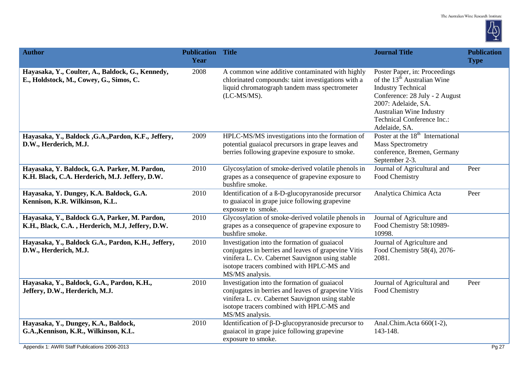

| <b>Author</b>                                                                                                                  | <b>Publication Title</b><br>Year |                                                                                                                                                                                                                        | <b>Journal Title</b>                                                                                                                                                                                                                             | <b>Publication</b><br><b>Type</b> |
|--------------------------------------------------------------------------------------------------------------------------------|----------------------------------|------------------------------------------------------------------------------------------------------------------------------------------------------------------------------------------------------------------------|--------------------------------------------------------------------------------------------------------------------------------------------------------------------------------------------------------------------------------------------------|-----------------------------------|
| Hayasaka, Y., Coulter, A., Baldock, G., Kennedy,<br>E., Holdstock, M., Cowey, G., Simos, C.                                    | 2008                             | A common wine additive contaminated with highly<br>chlorinated compounds: taint investigations with a<br>liquid chromatograph tandem mass spectrometer<br>$(LC-MS/MS).$                                                | Poster Paper, in: Proceedings<br>of the 13 <sup>th</sup> Australian Wine<br><b>Industry Technical</b><br>Conference: 28 July - 2 August<br>2007: Adelaide, SA.<br><b>Australian Wine Industry</b><br>Technical Conference Inc.:<br>Adelaide, SA. |                                   |
| Hayasaka, Y., Baldock , G.A., Pardon, K.F., Jeffery,<br>D.W., Herderich, M.J.                                                  | 2009                             | HPLC-MS/MS investigations into the formation of<br>potential guaiacol precursors in grape leaves and<br>berries following grapevine exposure to smoke.                                                                 | Poster at the 18 <sup>th</sup> International<br><b>Mass Spectrometry</b><br>conference, Bremen, Germany<br>September 2-3.                                                                                                                        |                                   |
| Hayasaka, Y. Baldock, G.A. Parker, M. Pardon,<br>K.H. Black, C.A. Herderich, M.J. Jeffery, D.W.                                | 2010                             | Glycosylation of smoke-derived volatile phenols in<br>grapes as a consequence of grapevine exposure to<br>bushfire smoke.                                                                                              | Journal of Agricultural and<br>Food Chemistry                                                                                                                                                                                                    | Peer                              |
| Hayasaka, Y. Dungey, K.A. Baldock, G.A.<br>Kennison, K.R. Wilkinson, K.L.                                                      | 2010                             | Identification of a ß-D-glucopyranoside precursor<br>to guaiacol in grape juice following grapevine<br>exposure to smoke.                                                                                              | Analytica Chimica Acta                                                                                                                                                                                                                           | Peer                              |
| Hayasaka, Y., Baldock G.A, Parker, M. Pardon,<br>K.H., Black, C.A., Herderich, M.J, Jeffery, D.W.                              | 2010                             | Glycosylation of smoke-derived volatile phenols in<br>grapes as a consequence of grapevine exposure to<br>bushfire smoke.                                                                                              | Journal of Agriculture and<br>Food Chemistry 58:10989-<br>10998.                                                                                                                                                                                 |                                   |
| Hayasaka, Y., Baldock G.A., Pardon, K.H., Jeffery,<br>D.W., Herderich, M.J.                                                    | 2010                             | Investigation into the formation of guaiacol<br>conjugates in berries and leaves of grapevine Vitis<br>vinifera L. Cv. Cabernet Sauvignon using stable<br>isotope tracers combined with HPLC-MS and<br>MS/MS analysis. | Journal of Agriculture and<br>Food Chemistry 58(4), 2076-<br>2081.                                                                                                                                                                               |                                   |
| Hayasaka, Y., Baldock, G.A., Pardon, K.H.,<br>Jeffery, D.W., Herderich, M.J.                                                   | 2010                             | Investigation into the formation of guaiacol<br>conjugates in berries and leaves of grapevine Vitis<br>vinifera L. cv. Cabernet Sauvignon using stable<br>isotope tracers combined with HPLC-MS and<br>MS/MS analysis. | Journal of Agricultural and<br>Food Chemistry                                                                                                                                                                                                    | Peer                              |
| Hayasaka, Y., Dungey, K.A., Baldock,<br>G.A., Kennison, K.R., Wilkinson, K.L.<br>Appendix 1: AWRI Staff Publications 2006-2013 | 2010                             | Identification of $\beta$ -D-glucopyranoside precursor to<br>guaiacol in grape juice following grapevine<br>exposure to smoke.                                                                                         | Anal.Chim.Acta 660(1-2),<br>143-148.                                                                                                                                                                                                             | Pg 27                             |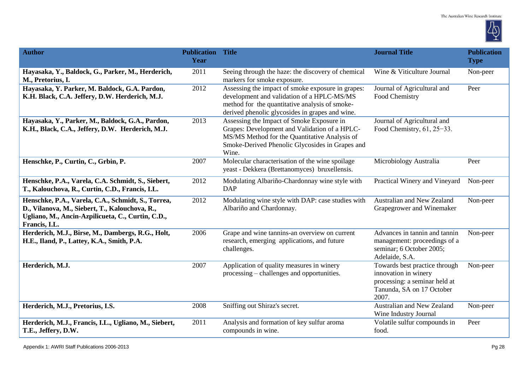

| <b>Author</b>                                                                                                                                                              | <b>Publication Title</b><br>Year |                                                                                                                                                                                                         | <b>Journal Title</b>                                                                                                         | <b>Publication</b><br><b>Type</b> |
|----------------------------------------------------------------------------------------------------------------------------------------------------------------------------|----------------------------------|---------------------------------------------------------------------------------------------------------------------------------------------------------------------------------------------------------|------------------------------------------------------------------------------------------------------------------------------|-----------------------------------|
| Hayasaka, Y., Baldock, G., Parker, M., Herderich,<br>M., Pretorius, I.                                                                                                     | 2011                             | Seeing through the haze: the discovery of chemical<br>markers for smoke exposure.                                                                                                                       | Wine & Viticulture Journal                                                                                                   | Non-peer                          |
| Hayasaka, Y. Parker, M. Baldock, G.A. Pardon,<br>K.H. Black, C.A. Jeffery, D.W. Herderich, M.J.                                                                            | 2012                             | Assessing the impact of smoke exposure in grapes:<br>development and validation of a HPLC-MS/MS<br>method for the quantitative analysis of smoke-<br>derived phenolic glycosides in grapes and wine.    | Journal of Agricultural and<br>Food Chemistry                                                                                | Peer                              |
| Hayasaka, Y., Parker, M., Baldock, G.A., Pardon,<br>K.H., Black, C.A., Jeffery, D.W. Herderich, M.J.                                                                       | 2013                             | Assessing the Impact of Smoke Exposure in<br>Grapes: Development and Validation of a HPLC-<br>MS/MS Method for the Quantitative Analysis of<br>Smoke-Derived Phenolic Glycosides in Grapes and<br>Wine. | Journal of Agricultural and<br>Food Chemistry, $61, 25-33$ .                                                                 |                                   |
| Henschke, P., Curtin, C., Grbin, P.                                                                                                                                        | 2007                             | Molecular characterisation of the wine spoilage<br>yeast - Dekkera (Brettanomyces) bruxellensis.                                                                                                        | Microbiology Australia                                                                                                       | Peer                              |
| Henschke, P.A., Varela, C.A. Schmidt, S., Siebert,<br>T., Kalouchova, R., Curtin, C.D., Francis, I.L.                                                                      | 2012                             | Modulating Albariño-Chardonnay wine style with<br><b>DAP</b>                                                                                                                                            | Practical Winery and Vineyard                                                                                                | Non-peer                          |
| Henschke, P.A., Varela, C.A., Schmidt, S., Torrea,<br>D., Vilanova, M., Siebert, T., Kalouchova, R.,<br>Ugliano, M., Ancin-Azpilicueta, C., Curtin, C.D.,<br>Francis, I.L. | 2012                             | Modulating wine style with DAP: case studies with<br>Albariño and Chardonnay.                                                                                                                           | Australian and New Zealand<br>Grapegrower and Winemaker                                                                      | Non-peer                          |
| Herderich, M.J., Birse, M., Dambergs, R.G., Holt,<br>H.E., Iland, P., Lattey, K.A., Smith, P.A.                                                                            | 2006                             | Grape and wine tannins-an overview on current<br>research, emerging applications, and future<br>challenges.                                                                                             | Advances in tannin and tannin<br>management: proceedings of a<br>seminar; 6 October 2005;<br>Adelaide, S.A.                  | Non-peer                          |
| Herderich, M.J.                                                                                                                                                            | 2007                             | Application of quality measures in winery<br>processing – challenges and opportunities.                                                                                                                 | Towards best practice through<br>innovation in winery<br>processing: a seminar held at<br>Tanunda, SA on 17 October<br>2007. | Non-peer                          |
| Herderich, M.J., Pretorius, I.S.                                                                                                                                           | 2008                             | Sniffing out Shiraz's secret.                                                                                                                                                                           | Australian and New Zealand<br>Wine Industry Journal                                                                          | Non-peer                          |
| Herderich, M.J., Francis, I.L., Ugliano, M., Siebert,<br>T.E., Jeffery, D.W.                                                                                               | 2011                             | Analysis and formation of key sulfur aroma<br>compounds in wine.                                                                                                                                        | Volatile sulfur compounds in<br>food.                                                                                        | Peer                              |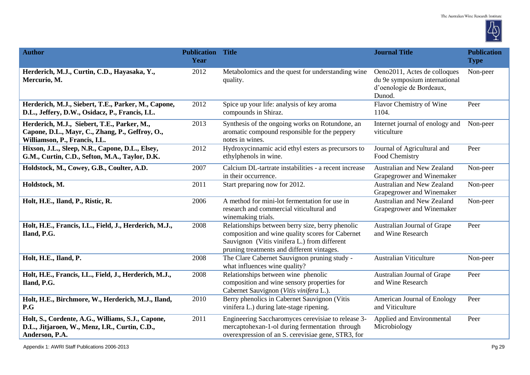

| <b>Author</b>                                                                                                                   | <b>Publication Title</b><br>Year |                                                                                                                                                                                                    | <b>Journal Title</b>                                                                                | <b>Publication</b><br><b>Type</b> |
|---------------------------------------------------------------------------------------------------------------------------------|----------------------------------|----------------------------------------------------------------------------------------------------------------------------------------------------------------------------------------------------|-----------------------------------------------------------------------------------------------------|-----------------------------------|
| Herderich, M.J., Curtin, C.D., Hayasaka, Y.,<br>Mercurio, M.                                                                    | 2012                             | Metabolomics and the quest for understanding wine<br>quality.                                                                                                                                      | Oeno2011, Actes de colloques<br>du 9e symposium international<br>d'oenologie de Bordeaux,<br>Dunod. | Non-peer                          |
| Herderich, M.J., Siebert, T.E., Parker, M., Capone,<br>D.L., Jeffery, D.W., Osidacz, P., Francis, I.L.                          | 2012                             | Spice up your life: analysis of key aroma<br>compounds in Shiraz.                                                                                                                                  | <b>Flavor Chemistry of Wine</b><br>1104.                                                            | Peer                              |
| Herderich, M.J., Siebert, T.E., Parker, M.,<br>Capone, D.L., Mayr, C., Zhang, P., Geffroy, O.,<br>Williamson, P., Francis, I.L. | 2013                             | Synthesis of the ongoing works on Rotundone, an<br>aromatic compound responsible for the peppery<br>notes in wines.                                                                                | Internet journal of enology and<br>viticulture                                                      | Non-peer                          |
| Hixson, J.L., Sleep, N.R., Capone, D.L., Elsey,<br>G.M., Curtin, C.D., Sefton, M.A., Taylor, D.K.                               | 2012                             | Hydroxycinnamic acid ethyl esters as precursors to<br>ethylphenols in wine.                                                                                                                        | Journal of Agricultural and<br>Food Chemistry                                                       | Peer                              |
| Holdstock, M., Cowey, G.B., Coulter, A.D.                                                                                       | 2007                             | Calcium DL-tartrate instabilities - a recent increase<br>in their occurrence.                                                                                                                      | Australian and New Zealand<br>Grapegrower and Winemaker                                             | Non-peer                          |
| Holdstock, M.                                                                                                                   | 2011                             | Start preparing now for 2012.                                                                                                                                                                      | Australian and New Zealand<br>Grapegrower and Winemaker                                             | Non-peer                          |
| Holt, H.E., Iland, P., Ristic, R.                                                                                               | 2006                             | A method for mini-lot fermentation for use in<br>research and commercial viticultural and<br>winemaking trials.                                                                                    | Australian and New Zealand<br>Grapegrower and Winemaker                                             | Non-peer                          |
| Holt, H.E., Francis, I.L., Field, J., Herderich, M.J.,<br>Iland, P.G.                                                           | 2008                             | Relationships between berry size, berry phenolic<br>composition and wine quality scores for Cabernet<br>Sauvignon (Vitis vinifera L.) from different<br>pruning treatments and different vintages. | Australian Journal of Grape<br>and Wine Research                                                    | Peer                              |
| Holt, H.E., Iland, P.                                                                                                           | 2008                             | The Clare Cabernet Sauvignon pruning study -<br>what influences wine quality?                                                                                                                      | <b>Australian Viticulture</b>                                                                       | Non-peer                          |
| Holt, H.E., Francis, I.L., Field, J., Herderich, M.J.,<br>Iland, P.G.                                                           | 2008                             | Relationships between wine phenolic<br>composition and wine sensory properties for<br>Cabernet Sauvignon (Vitis vinifera L.).                                                                      | Australian Journal of Grape<br>and Wine Research                                                    | Peer                              |
| Holt, H.E., Birchmore, W., Herderich, M.J., Iland,<br>P.G                                                                       | 2010                             | Berry phenolics in Cabernet Sauvignon (Vitis<br>vinifera L.) during late-stage ripening.                                                                                                           | American Journal of Enology<br>and Viticulture                                                      | Peer                              |
| Holt, S., Cordente, A.G., Williams, S.J., Capone,<br>D.L., Jitjaroen, W., Menz, I.R., Curtin, C.D.,<br>Anderson, P.A.           | 2011                             | Engineering Saccharomyces cerevisiae to release 3-<br>mercaptohexan-1-ol during fermentation through<br>overexpression of an S. cerevisiae gene, STR3, for                                         | Applied and Environmental<br>Microbiology                                                           | Peer                              |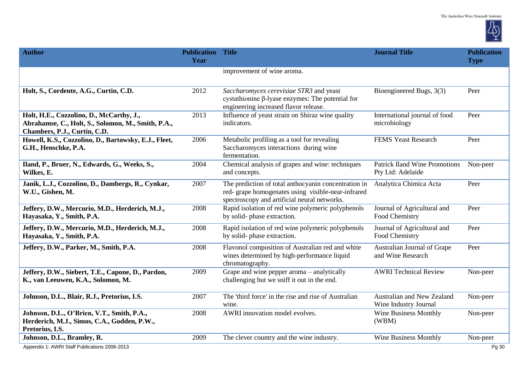

| <b>Author</b>                                                                                                                  | <b>Publication Title</b><br>Year |                                                                                                                                                            | <b>Journal Title</b>                                      | <b>Publication</b><br><b>Type</b> |
|--------------------------------------------------------------------------------------------------------------------------------|----------------------------------|------------------------------------------------------------------------------------------------------------------------------------------------------------|-----------------------------------------------------------|-----------------------------------|
|                                                                                                                                |                                  | improvement of wine aroma.                                                                                                                                 |                                                           |                                   |
| Holt, S., Cordente, A.G., Curtin, C.D.                                                                                         | 2012                             | Saccharomyces cerevisiae STR3 and yeast<br>cystathionine $\beta$ -lyase enzymes: The potential for<br>engineering increased flavor release.                | Bioengineered Bugs, 3(3)                                  | Peer                              |
| Holt, H.E., Cozzolino, D., McCarthy, J.,<br>Abrahamse, C., Holt, S., Solomon, M., Smith, P.A.,<br>Chambers, P.J., Curtin, C.D. | 2013                             | Influence of yeast strain on Shiraz wine quality<br>indicators.                                                                                            | International journal of food<br>microbiology             | Peer                              |
| Howell, K.S., Cozzolino, D., Bartowsky, E.J., Fleet,<br>G.H., Henschke, P.A.                                                   | 2006                             | Metabolic profiling as a tool for revealing<br>Saccharomyces interactions during wine<br>fermentation.                                                     | <b>FEMS Yeast Research</b>                                | Peer                              |
| Iland, P., Bruer, N., Edwards, G., Weeks, S.,<br>Wilkes, E.                                                                    | 2004                             | Chemical analysis of grapes and wine: techniques<br>and concepts.                                                                                          | <b>Patrick Iland Wine Promotions</b><br>Pty Ltd: Adelaide | Non-peer                          |
| Janik, L.J., Cozzolino, D., Dambergs, R., Cynkar,<br>W.U., Gishen, M.                                                          | 2007                             | The prediction of total anthocyanin concentration in<br>red- grape homogenates using visible-near-infrared<br>spectroscopy and artificial neural networks. | Analytica Chimica Acta                                    | Peer                              |
| Jeffery, D.W., Mercurio, M.D., Herderich, M.J.,<br>Hayasaka, Y., Smith, P.A.                                                   | 2008                             | Rapid isolation of red wine polymeric polyphenols<br>by solid-phase extraction.                                                                            | Journal of Agricultural and<br>Food Chemistry             | Peer                              |
| Jeffery, D.W., Mercurio, M.D., Herderich, M.J.,<br>Hayasaka, Y., Smith, P.A.                                                   | 2008                             | Rapid isolation of red wine polymeric polyphenols<br>by solid-phase extraction.                                                                            | Journal of Agricultural and<br>Food Chemistry             | Peer                              |
| Jeffery, D.W., Parker, M., Smith, P.A.                                                                                         | 2008                             | Flavonol composition of Australian red and white<br>wines determined by high-performance liquid<br>chromatography.                                         | Australian Journal of Grape<br>and Wine Research          | Peer                              |
| Jeffery, D.W., Siebert, T.E., Capone, D., Pardon,<br>K., van Leeuwen, K.A., Solomon, M.                                        | 2009                             | Grape and wine pepper aroma – analytically<br>challenging but we sniff it out in the end.                                                                  | <b>AWRI Technical Review</b>                              | Non-peer                          |
| Johnson, D.L., Blair, R.J., Pretorius, I.S.                                                                                    | 2007                             | The 'third force' in the rise and rise of Australian<br>wine.                                                                                              | Australian and New Zealand<br>Wine Industry Journal       | Non-peer                          |
| Johnson, D.L., O'Brien, V.T., Smith, P.A.,<br>Herderich, M.J., Simos, C.A., Godden, P.W.,<br>Pretorius, I.S.                   | 2008                             | AWRI innovation model evolves.                                                                                                                             | <b>Wine Business Monthly</b><br>(WBM)                     | Non-peer                          |
| Johnson, D.L., Bramley, R.                                                                                                     | 2009                             | The clever country and the wine industry.                                                                                                                  | <b>Wine Business Monthly</b>                              | Non-peer                          |
| Appendix 1: AWRI Staff Publications 2006-2013                                                                                  |                                  |                                                                                                                                                            |                                                           | Pg 30                             |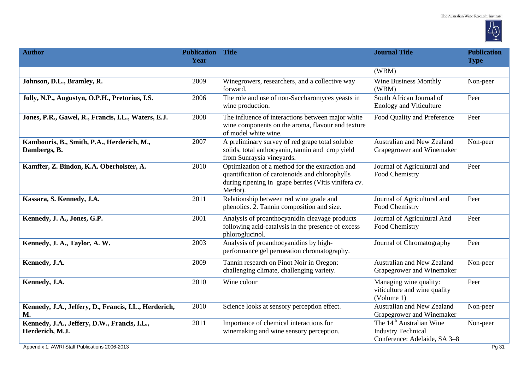

| <b>Author</b>                                                      | <b>Publication Title</b><br>Year |                                                                                                                                                                       | <b>Journal Title</b>                                                                              | <b>Publication</b><br><b>Type</b> |
|--------------------------------------------------------------------|----------------------------------|-----------------------------------------------------------------------------------------------------------------------------------------------------------------------|---------------------------------------------------------------------------------------------------|-----------------------------------|
|                                                                    |                                  |                                                                                                                                                                       | (WBM)                                                                                             |                                   |
| Johnson, D.L., Bramley, R.                                         | 2009                             | Winegrowers, researchers, and a collective way<br>forward.                                                                                                            | Wine Business Monthly<br>(WBM)                                                                    | Non-peer                          |
| Jolly, N.P., Augustyn, O.P.H., Pretorius, I.S.                     | 2006                             | The role and use of non-Saccharomyces yeasts in<br>wine production.                                                                                                   | South African Journal of<br><b>Enology and Viticulture</b>                                        | Peer                              |
| Jones, P.R., Gawel, R., Francis, I.L., Waters, E.J.                | 2008                             | The influence of interactions between major white<br>wine components on the aroma, flavour and texture<br>of model white wine.                                        | Food Quality and Preference                                                                       | Peer                              |
| Kambouris, B., Smith, P.A., Herderich, M.,<br>Dambergs, B.         | 2007                             | A preliminary survey of red grape total soluble<br>solids, total anthocyanin, tannin and crop yield<br>from Sunraysia vineyards.                                      | Australian and New Zealand<br>Grapegrower and Winemaker                                           | Non-peer                          |
| Kamffer, Z. Bindon, K.A. Oberholster, A.                           | 2010                             | Optimization of a method for the extraction and<br>quantification of carotenoids and chlorophylls<br>during ripening in grape berries (Vitis vinifera cv.<br>Merlot). | Journal of Agricultural and<br>Food Chemistry                                                     | Peer                              |
| Kassara, S. Kennedy, J.A.                                          | 2011                             | Relationship between red wine grade and<br>phenolics. 2. Tannin composition and size.                                                                                 | Journal of Agricultural and<br>Food Chemistry                                                     | Peer                              |
| Kennedy, J. A., Jones, G.P.                                        | 2001                             | Analysis of proanthocyanidin cleavage products<br>following acid-catalysis in the presence of excess<br>phloroglucinol.                                               | Journal of Agricultural And<br>Food Chemistry                                                     | Peer                              |
| Kennedy, J. A., Taylor, A. W.                                      | 2003                             | Analysis of proanthocyanidins by high-<br>performance gel permeation chromatography.                                                                                  | Journal of Chromatography                                                                         | Peer                              |
| Kennedy, J.A.                                                      | 2009                             | Tannin research on Pinot Noir in Oregon:<br>challenging climate, challenging variety.                                                                                 | <b>Australian and New Zealand</b><br>Grapegrower and Winemaker                                    | Non-peer                          |
| Kennedy, J.A.                                                      | 2010                             | Wine colour                                                                                                                                                           | Managing wine quality:<br>viticulture and wine quality<br>(Volume 1)                              | Peer                              |
| Kennedy, J.A., Jeffery, D., Francis, I.L., Herderich,<br><b>M.</b> | 2010                             | Science looks at sensory perception effect.                                                                                                                           | Australian and New Zealand<br>Grapegrower and Winemaker                                           | Non-peer                          |
| Kennedy, J.A., Jeffery, D.W., Francis, I.L.,<br>Herderich, M.J.    | 2011                             | Importance of chemical interactions for<br>winemaking and wine sensory perception.                                                                                    | The 14 <sup>th</sup> Australian Wine<br><b>Industry Technical</b><br>Conference: Adelaide, SA 3-8 | Non-peer                          |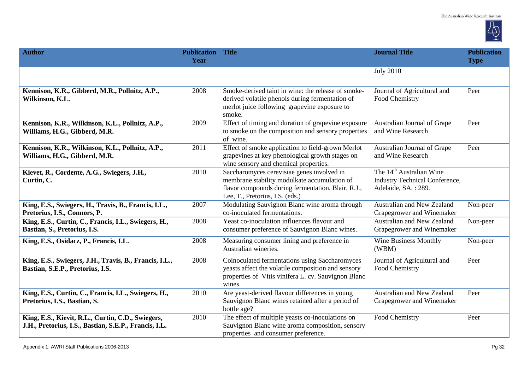

| <b>Author</b>                                                                                              | <b>Publication Title</b><br>Year |                                                                                                                                                                                     | <b>Journal Title</b>                                                                                 | <b>Publication</b><br><b>Type</b> |
|------------------------------------------------------------------------------------------------------------|----------------------------------|-------------------------------------------------------------------------------------------------------------------------------------------------------------------------------------|------------------------------------------------------------------------------------------------------|-----------------------------------|
|                                                                                                            |                                  |                                                                                                                                                                                     | <b>July 2010</b>                                                                                     |                                   |
| Kennison, K.R., Gibberd, M.R., Pollnitz, A.P.,<br>Wilkinson, K.L.                                          | 2008                             | Smoke-derived taint in wine: the release of smoke-<br>derived volatile phenols during fermentation of<br>merlot juice following grapevine exposure to<br>smoke.                     | Journal of Agricultural and<br>Food Chemistry                                                        | Peer                              |
| Kennison, K.R., Wilkinson, K.L., Pollnitz, A.P.,<br>Williams, H.G., Gibberd, M.R.                          | 2009                             | Effect of timing and duration of grapevine exposure<br>to smoke on the composition and sensory properties<br>of wine.                                                               | Australian Journal of Grape<br>and Wine Research                                                     | Peer                              |
| Kennison, K.R., Wilkinson, K.L., Pollnitz, A.P.,<br>Williams, H.G., Gibberd, M.R.                          | 2011                             | Effect of smoke application to field-grown Merlot<br>grapevines at key phenological growth stages on<br>wine sensory and chemical properties.                                       | Australian Journal of Grape<br>and Wine Research                                                     | Peer                              |
| Kievet, R., Cordente, A.G., Swiegers, J.H.,<br>Curtin, C.                                                  | 2010                             | Saccharomyces cerevisiae genes involved in<br>membrane stability modulkate accumulation of<br>flavor compounds during fermentation. Blair, R.J.,<br>Lee, T., Pretorius, I.S. (eds.) | The 14 <sup>th</sup> Australian Wine<br><b>Industry Technical Conference,</b><br>Adelaide, SA.: 289. |                                   |
| King, E.S., Swiegers, H., Travis, B., Francis, I.L.,<br>Pretorius, I.S., Connors, P.                       | 2007                             | Modulating Sauvignon Blanc wine aroma through<br>co-inoculated fermentations.                                                                                                       | Australian and New Zealand<br>Grapegrower and Winemaker                                              | Non-peer                          |
| King, E.S., Curtin, C., Francis, I.L., Swiegers, H.,<br>Bastian, S., Pretorius, I.S.                       | 2008                             | Yeast co-inoculation influences flavour and<br>consumer preference of Sauvignon Blanc wines.                                                                                        | <b>Australian and New Zealand</b><br>Grapegrower and Winemaker                                       | Non-peer                          |
| King, E.S., Osidacz, P., Francis, I.L.                                                                     | 2008                             | Measuring consumer lining and preference in<br>Australian wineries.                                                                                                                 | Wine Business Monthly<br>(WBM)                                                                       | Non-peer                          |
| King, E.S., Swiegers, J.H., Travis, B., Francis, I.L.,<br>Bastian, S.E.P., Pretorius, I.S.                 | 2008                             | Coinoculated fermentations using Saccharomyces<br>yeasts affect the volatile composition and sensory<br>properties of Vitis vinifera L. cv. Sauvignon Blanc<br>wines.               | Journal of Agricultural and<br>Food Chemistry                                                        | Peer                              |
| King, E.S., Curtin, C., Francis, I.L., Swiegers, H.,<br>Pretorius, I.S., Bastian, S.                       | 2010                             | Are yeast-derived flavour differences in young<br>Sauvignon Blanc wines retained after a period of<br>bottle age?                                                                   | Australian and New Zealand<br>Grapegrower and Winemaker                                              | Peer                              |
| King, E.S., Kievit, R.L., Curtin, C.D., Swiegers,<br>J.H., Pretorius, I.S., Bastian, S.E.P., Francis, I.L. | 2010                             | The effect of multiple yeasts co-inoculations on<br>Sauvignon Blanc wine aroma composition, sensory<br>properties and consumer preference.                                          | Food Chemistry                                                                                       | Peer                              |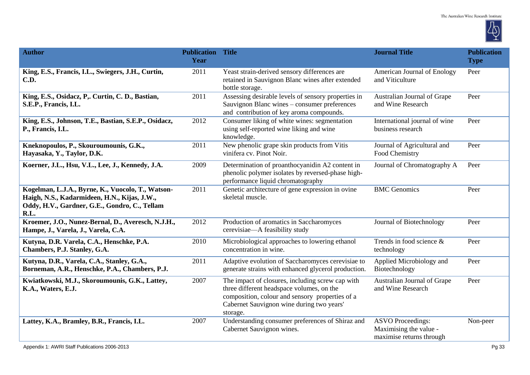

| <b>Author</b>                                                                                                                                              | <b>Publication Title</b><br>Year |                                                                                                                                                                                                           | <b>Journal Title</b>                                                           | <b>Publication</b><br><b>Type</b> |
|------------------------------------------------------------------------------------------------------------------------------------------------------------|----------------------------------|-----------------------------------------------------------------------------------------------------------------------------------------------------------------------------------------------------------|--------------------------------------------------------------------------------|-----------------------------------|
| King, E.S., Francis, I.L., Swiegers, J.H., Curtin,<br><b>C.D.</b>                                                                                          | 2011                             | Yeast strain-derived sensory differences are<br>retained in Sauvignon Blanc wines after extended<br>bottle storage.                                                                                       | American Journal of Enology<br>and Viticulture                                 | Peer                              |
| King, E.S., Osidacz, P., Curtin, C. D., Bastian,<br>S.E.P., Francis, I.L.                                                                                  | 2011                             | Assessing desirable levels of sensory properties in<br>Sauvignon Blanc wines – consumer preferences<br>and contribution of key aroma compounds.                                                           | Australian Journal of Grape<br>and Wine Research                               | Peer                              |
| King, E.S., Johnson, T.E., Bastian, S.E.P., Osidacz,<br>P., Francis, I.L.                                                                                  | 2012                             | Consumer liking of white wines: segmentation<br>using self-reported wine liking and wine<br>knowledge.                                                                                                    | International journal of wine<br>business research                             | Peer                              |
| Kneknopoulos, P., Skouroumounis, G.K.,<br>Hayasaka, Y., Taylor, D.K.                                                                                       | 2011                             | New phenolic grape skin products from Vitis<br>vinifera cv. Pinot Noir.                                                                                                                                   | Journal of Agricultural and<br>Food Chemistry                                  | Peer                              |
| Koerner, J.L., Hsu, V.L., Lee, J., Kennedy, J.A.                                                                                                           | 2009                             | Determination of proanthocyanidin A2 content in<br>phenolic polymer isolates by reversed-phase high-<br>performance liquid chromatography                                                                 | Journal of Chromatography A                                                    | Peer                              |
| Kogelman, L.J.A., Byrne, K., Vuocolo, T., Watson-<br>Haigh, N.S., Kadarmideen, H.N., Kijas, J.W.,<br>Oddy, H.V., Gardner, G.E., Gondro, C., Tellam<br>R.L. | 2011                             | Genetic architecture of gene expression in ovine<br>skeletal muscle.                                                                                                                                      | <b>BMC</b> Genomics                                                            | Peer                              |
| Kroemer, J.O., Nunez-Bernal, D., Averesch, N.J.H.,<br>Hampe, J., Varela, J., Varela, C.A.                                                                  | 2012                             | Production of aromatics in Saccharomyces<br>cerevisiae—A feasibility study                                                                                                                                | Journal of Biotechnology                                                       | Peer                              |
| Kutyna, D.R. Varela, C.A., Henschke, P.A.<br>Chambers, P.J. Stanley, G.A.                                                                                  | 2010                             | Microbiological approaches to lowering ethanol<br>concentration in wine.                                                                                                                                  | Trends in food science &<br>technology                                         | Peer                              |
| Kutyna, D.R., Varela, C.A., Stanley, G.A.,<br>Borneman, A.R., Henschke, P.A., Chambers, P.J.                                                               | 2011                             | Adaptive evolution of Saccharomyces cerevisiae to<br>generate strains with enhanced glycerol production.                                                                                                  | Applied Microbiology and<br>Biotechnology                                      | Peer                              |
| Kwiatkowski, M.J., Skoroumounis, G.K., Lattey,<br>K.A., Waters, E.J.                                                                                       | 2007                             | The impact of closures, including screw cap with<br>three different headspace volumes, on the<br>composition, colour and sensory properties of a<br>Cabernet Sauvignon wine during two years'<br>storage. | Australian Journal of Grape<br>and Wine Research                               | Peer                              |
| Lattey, K.A., Bramley, B.R., Francis, I.L.                                                                                                                 | 2007                             | Understanding consumer preferences of Shiraz and<br>Cabernet Sauvignon wines.                                                                                                                             | <b>ASVO Proceedings:</b><br>Maximising the value -<br>maximise returns through | Non-peer                          |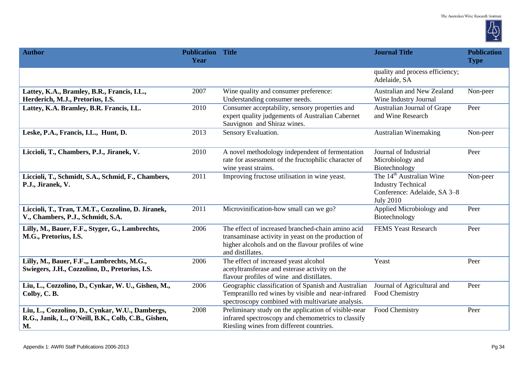

| <b>Author</b>                                                                                                | <b>Publication Title</b><br>Year |                                                                                                                                                                                     | <b>Journal Title</b>                                                                                                  | <b>Publication</b><br><b>Type</b> |
|--------------------------------------------------------------------------------------------------------------|----------------------------------|-------------------------------------------------------------------------------------------------------------------------------------------------------------------------------------|-----------------------------------------------------------------------------------------------------------------------|-----------------------------------|
|                                                                                                              |                                  |                                                                                                                                                                                     | quality and process efficiency;<br>Adelaide, SA                                                                       |                                   |
| Lattey, K.A., Bramley, B.R., Francis, I.L.,<br>Herderich, M.J., Pretorius, I.S.                              | 2007                             | Wine quality and consumer preference:<br>Understanding consumer needs.                                                                                                              | Australian and New Zealand<br>Wine Industry Journal                                                                   | Non-peer                          |
| Lattey, K.A. Bramley, B.R. Francis, I.L.                                                                     | 2010                             | Consumer acceptability, sensory properties and<br>expert quality judgements of Australian Cabernet<br>Sauvignon and Shiraz wines.                                                   | Australian Journal of Grape<br>and Wine Research                                                                      | Peer                              |
| Leske, P.A., Francis, I.L., Hunt, D.                                                                         | 2013                             | Sensory Evaluation.                                                                                                                                                                 | <b>Australian Winemaking</b>                                                                                          | Non-peer                          |
| Liccioli, T., Chambers, P.J., Jiranek, V.                                                                    | 2010                             | A novel methodology independent of fermentation<br>rate for assessment of the fructophilic character of<br>wine yeast strains.                                                      | Journal of Industrial<br>Microbiology and<br>Biotechnology                                                            | Peer                              |
| Liccioli, T., Schmidt, S.A., Schmid, F., Chambers,<br>P.J., Jiranek, V.                                      | 2011                             | Improving fructose utilisation in wine yeast.                                                                                                                                       | The 14 <sup>th</sup> Australian Wine<br><b>Industry Technical</b><br>Conference: Adelaide, SA 3-8<br><b>July 2010</b> | Non-peer                          |
| Liccioli, T., Tran, T.M.T., Cozzolino, D. Jiranek,<br>V., Chambers, P.J., Schmidt, S.A.                      | 2011                             | Microvinification-how small can we go?                                                                                                                                              | Applied Microbiology and<br>Biotechnology                                                                             | Peer                              |
| Lilly, M., Bauer, F.F., Styger, G., Lambrechts,<br>M.G., Pretorius, I.S.                                     | 2006                             | The effect of increased branched-chain amino acid<br>transaminase activity in yeast on the production of<br>higher alcohols and on the flavour profiles of wine<br>and distillates. | <b>FEMS Yeast Research</b>                                                                                            | Peer                              |
| Lilly, M., Bauer, F.F.,, Lambrechts, M.G.,<br>Swiegers, J.H., Cozzolino, D., Pretorius, I.S.                 | 2006                             | The effect of increased yeast alcohol<br>acetyltransferase and esterase activity on the<br>flavour profiles of wine and distillates.                                                | Yeast                                                                                                                 | Peer                              |
| Liu, L., Cozzolino, D., Cynkar, W. U., Gishen, M.,<br>Colby, C.B.                                            | 2006                             | Geographic classification of Spanish and Australian<br>Tempranillo red wines by visible and near-infrared<br>spectroscopy combined with multivariate analysis.                      | Journal of Agricultural and<br>Food Chemistry                                                                         | Peer                              |
| Liu, L., Cozzolino, D., Cynkar, W.U., Dambergs,<br>R.G., Janik, L., O'Neill, B.K., Colb, C.B., Gishen,<br>M. | 2008                             | Preliminary study on the application of visible-near<br>infrared spectroscopy and chemometrics to classify<br>Riesling wines from different countries.                              | Food Chemistry                                                                                                        | Peer                              |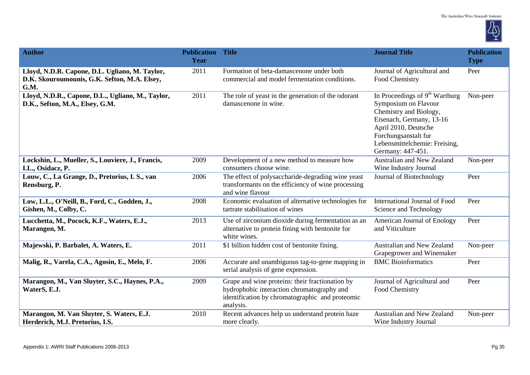

| <b>Author</b>                                                                                          | <b>Publication Title</b><br>Year |                                                                                                                                                               | <b>Journal Title</b>                                                                                                                                                                                                 | <b>Publication</b><br><b>Type</b> |
|--------------------------------------------------------------------------------------------------------|----------------------------------|---------------------------------------------------------------------------------------------------------------------------------------------------------------|----------------------------------------------------------------------------------------------------------------------------------------------------------------------------------------------------------------------|-----------------------------------|
| Lloyd, N.D.R. Capone, D.L. Ugliano, M. Taylor,<br>D.K. Skouroumounis, G.K. Sefton, M.A. Elsey,<br>G.M. | 2011                             | Formation of beta-damascenone under both<br>commercial and model fermentation conditions.                                                                     | Journal of Agricultural and<br>Food Chemistry                                                                                                                                                                        | Peer                              |
| Lloyd, N.D.R., Capone, D.L., Ugliano, M., Taylor,<br>D.K., Sefton, M.A., Elsey, G.M.                   | 2011                             | The role of yeast in the generation of the odorant<br>damascenone in wine.                                                                                    | In Proceedings of $9th$ Wartburg<br>Symposium on Flavour<br>Chemistry and Biology,<br>Eisenach, Germany, 13-16<br>April 2010, Deutsche<br>Forchungsanstalt fur<br>Lebensmittelchemie: Freising,<br>Germany: 447-451. | Non-peer                          |
| Lockshin, L., Mueller, S., Louviere, J., Francis,<br>I.L., Osidacz, P.                                 | 2009                             | Development of a new method to measure how<br>consumers choose wine.                                                                                          | Australian and New Zealand<br>Wine Industry Journal                                                                                                                                                                  | Non-peer                          |
| Louw, C., La Grange, D., Pretorius, I. S., van<br>Rensburg, P.                                         | 2006                             | The effect of polysaccharide-degrading wine yeast<br>transformants on the efficiency of wine processing<br>and wine flavour                                   | Journal of Biotechnology                                                                                                                                                                                             | Peer                              |
| Low, L.L., O'Neill, B., Ford, C., Godden, J.,<br>Gishen, M., Colby, C.                                 | 2008                             | Economic evaluation of alternative technologies for<br>tartrate stabilisation of wines                                                                        | International Journal of Food<br>Science and Technology                                                                                                                                                              | Peer                              |
| Lucchetta, M., Pocock, K.F., Waters, E.J.,<br>Marangon, M.                                             | 2013                             | Use of zirconium dioxide during fermentation as an<br>alternative to protein fining with bentonite for<br>white wines.                                        | American Journal of Enology<br>and Viticulture                                                                                                                                                                       | Peer                              |
| Majewski, P. Barbalet, A. Waters, E.                                                                   | 2011                             | \$1 billion hidden cost of bentonite fining.                                                                                                                  | Australian and New Zealand<br>Grapegrower and Winemaker                                                                                                                                                              | Non-peer                          |
| Malig, R., Varela, C.A., Agosin, E., Melo, F.                                                          | 2006                             | Accurate and unambiguous tag-to-gene mapping in<br>serial analysis of gene expression.                                                                        | <b>BMC</b> Bioinformatics                                                                                                                                                                                            | Peer                              |
| Marangon, M., Van Sluyter, S.C., Haynes, P.A.,<br>WaterS, E.J.                                         | 2009                             | Grape and wine proteins: their fractionation by<br>hydrophobic interaction chromatography and<br>identification by chromatographic and proteomic<br>analysis. | Journal of Agricultural and<br>Food Chemistry                                                                                                                                                                        | Peer                              |
| Marangon, M. Van Sluyter, S. Waters, E.J.<br>Herderich, M.J. Pretorius, I.S.                           | 2010                             | Recent advances help us understand protein haze<br>more clearly.                                                                                              | Australian and New Zealand<br>Wine Industry Journal                                                                                                                                                                  | Non-peer                          |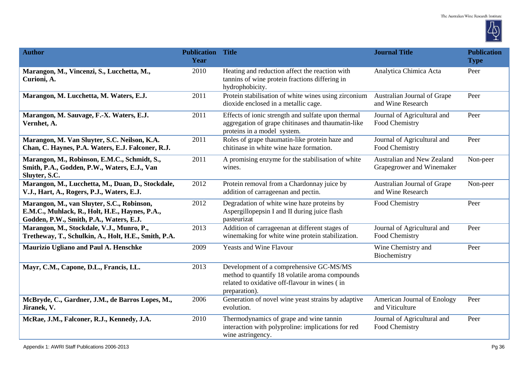

| <b>Author</b>                                                                                                                           | <b>Publication Title</b><br>Year |                                                                                                                                                             | <b>Journal Title</b>                                    | <b>Publication</b><br><b>Type</b> |
|-----------------------------------------------------------------------------------------------------------------------------------------|----------------------------------|-------------------------------------------------------------------------------------------------------------------------------------------------------------|---------------------------------------------------------|-----------------------------------|
| Marangon, M., Vincenzi, S., Lucchetta, M.,<br>Curioni, A.                                                                               | 2010                             | Heating and reduction affect the reaction with<br>tannins of wine protein fractions differing in<br>hydrophobicity.                                         | Analytica Chimica Acta                                  | Peer                              |
| Marangon, M. Lucchetta, M. Waters, E.J.                                                                                                 | 2011                             | Protein stabilisation of white wines using zirconium<br>dioxide enclosed in a metallic cage.                                                                | Australian Journal of Grape<br>and Wine Research        | Peer                              |
| Marangon, M. Sauvage, F.-X. Waters, E.J.<br>Vernhet, A.                                                                                 | 2011                             | Effects of ionic strength and sulfate upon thermal<br>aggregation of grape chitinases and thaumatin-like<br>proteins in a model system.                     | Journal of Agricultural and<br>Food Chemistry           | Peer                              |
| Marangon, M. Van Sluyter, S.C. Neilson, K.A.<br>Chan, C. Haynes, P.A. Waters, E.J. Falconer, R.J.                                       | 2011                             | Roles of grape thaumatin-like protein haze and<br>chitinase in white wine haze formation.                                                                   | Journal of Agricultural and<br>Food Chemistry           | Peer                              |
| Marangon, M., Robinson, E.M.C., Schmidt, S.,<br>Smith, P.A., Godden, P.W., Waters, E.J., Van<br>Sluyter, S.C.                           | 2011                             | A promising enzyme for the stabilisation of white<br>wines.                                                                                                 | Australian and New Zealand<br>Grapegrower and Winemaker | Non-peer                          |
| Marangon, M., Lucchetta, M., Duan, D., Stockdale,<br>V.J., Hart, A., Rogers, P.J., Waters, E.J.                                         | 2012                             | Protein removal from a Chardonnay juice by<br>addition of carrageenan and pectin.                                                                           | Australian Journal of Grape<br>and Wine Research        | Non-peer                          |
| Marangon, M., van Sluyter, S.C., Robinson,<br>E.M.C., Muhlack, R., Holt, H.E., Haynes, P.A.,<br>Godden, P.W., Smith, P.A., Waters, E.J. | 2012                             | Degradation of white wine haze proteins by<br>Aspergillopepsin I and II during juice flash<br>pasteurizat                                                   | Food Chemistry                                          | Peer                              |
| Marangon, M., Stockdale, V.J., Munro, P.,<br>Tretheway, T., Schulkin, A., Holt, H.E., Smith, P.A.                                       | 2013                             | Addition of carrageenan at different stages of<br>winemaking for white wine protein stabilization.                                                          | Journal of Agricultural and<br>Food Chemistry           | Peer                              |
| Maurizio Ugliano and Paul A. Henschke                                                                                                   | 2009                             | <b>Yeasts and Wine Flavour</b>                                                                                                                              | Wine Chemistry and<br>Biochemistry                      | Peer                              |
| Mayr, C.M., Capone, D.L., Francis, I.L.                                                                                                 | 2013                             | Development of a comprehensive GC-MS/MS<br>method to quantify 18 volatile aroma compounds<br>related to oxidative off-flavour in wines (in<br>preparation). |                                                         |                                   |
| McBryde, C., Gardner, J.M., de Barros Lopes, M.,<br>Jiranek, V.                                                                         | 2006                             | Generation of novel wine yeast strains by adaptive<br>evolution.                                                                                            | American Journal of Enology<br>and Viticulture          | Peer                              |
| McRae, J.M., Falconer, R.J., Kennedy, J.A.                                                                                              | 2010                             | Thermodynamics of grape and wine tannin<br>interaction with polyproline: implications for red<br>wine astringency.                                          | Journal of Agricultural and<br>Food Chemistry           | Peer                              |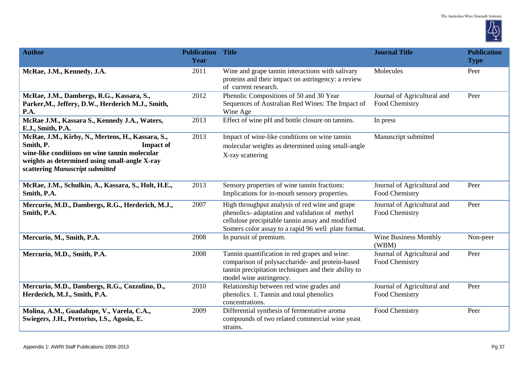

| <b>Author</b>                                                                                                                                                                                                           | <b>Publication Title</b><br>Year |                                                                                                                                                                                                             | <b>Journal Title</b>                          | <b>Publication</b><br><b>Type</b> |
|-------------------------------------------------------------------------------------------------------------------------------------------------------------------------------------------------------------------------|----------------------------------|-------------------------------------------------------------------------------------------------------------------------------------------------------------------------------------------------------------|-----------------------------------------------|-----------------------------------|
| McRae, J.M., Kennedy, J.A.                                                                                                                                                                                              | 2011                             | Wine and grape tannin interactions with salivary<br>proteins and their impact on astringency: a review<br>of current research.                                                                              | Molecules                                     | Peer                              |
| McRae, J.M., Dambergs, R.G., Kassara, S.,<br>Parker, M., Jeffery, D.W., Herderich M.J., Smith,<br>P.A.                                                                                                                  | 2012                             | Phenolic Compositions of 50 and 30 Year<br>Sequences of Australian Red Wines: The Impact of<br>Wine Age                                                                                                     | Journal of Agricultural and<br>Food Chemistry | Peer                              |
| McRae J.M., Kassara S., Kennedy J.A., Waters,<br>E.J., Smith, P.A.                                                                                                                                                      | 2013                             | Effect of wine pH and bottle closure on tannins.                                                                                                                                                            | In press                                      |                                   |
| McRae, J.M., Kirby, N., Mertens, H., Kassara, S.,<br>Smith, P.<br><b>Impact of</b><br>wine-like conditions on wine tannin molecular<br>weights as determined using small-angle X-ray<br>scattering Manuscript submitted | 2013                             | Impact of wine-like conditions on wine tannin<br>molecular weights as determined using small-angle<br>X-ray scattering                                                                                      | Manuscript submitted                          |                                   |
| McRae, J.M., Schulkin, A., Kassara, S., Holt, H.E.,<br>Smith, P.A.                                                                                                                                                      | 2013                             | Sensory properties of wine tannin fractions:<br>Implications for in-mouth sensory properties.                                                                                                               | Journal of Agricultural and<br>Food Chemistry | Peer                              |
| Mercurio, M.D., Dambergs, R.G., Herderich, M.J.,<br>Smith, P.A.                                                                                                                                                         | 2007                             | High throughput analysis of red wine and grape<br>phenolics- adaptation and validation of methyl<br>cellulose precipitable tannin assay and modified<br>Somers color assay to a rapid 96 well plate format. | Journal of Agricultural and<br>Food Chemistry | Peer                              |
| Mercurio, M., Smith, P.A.                                                                                                                                                                                               | 2008                             | In pursuit of premium.                                                                                                                                                                                      | <b>Wine Business Monthly</b><br>(WBM)         | Non-peer                          |
| Mercurio, M.D., Smith, P.A.                                                                                                                                                                                             | 2008                             | Tannin quantification in red grapes and wine:<br>comparison of polysaccharide- and protein-based<br>tannin precipitation techniques and their ability to<br>model wine astringency.                         | Journal of Agricultural and<br>Food Chemistry | Peer                              |
| Mercurio, M.D., Dambergs, R.G., Cozzolino, D.,<br>Herderich, M.J., Smith, P.A.                                                                                                                                          | 2010                             | Relationship between red wine grades and<br>phenolics. 1. Tannin and total phenolics<br>concentrations.                                                                                                     | Journal of Agricultural and<br>Food Chemistry | Peer                              |
| Molina, A.M., Guadalupe, V., Varela, C.A.,<br>Swiegers, J.H., Pretorius, I.S., Agosin, E.                                                                                                                               | 2009                             | Differential synthesis of fermentative aroma<br>compounds of two related commercial wine yeast<br>strains.                                                                                                  | Food Chemistry                                | Peer                              |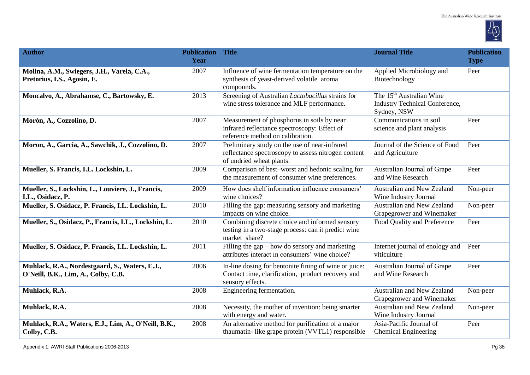

| <b>Author</b>                                                                         | <b>Publication Title</b><br>Year |                                                                                                                                  | <b>Journal Title</b>                                                                         | <b>Publication</b><br><b>Type</b> |
|---------------------------------------------------------------------------------------|----------------------------------|----------------------------------------------------------------------------------------------------------------------------------|----------------------------------------------------------------------------------------------|-----------------------------------|
| Molina, A.M., Swiegers, J.H., Varela, C.A.,<br>Pretorius, I.S., Agosin, E.            | 2007                             | Influence of wine fermentation temperature on the<br>synthesis of yeast-derived volatile aroma<br>compounds.                     | Applied Microbiology and<br>Biotechnology                                                    | Peer                              |
| Moncalvo, A., Abrahamse, C., Bartowsky, E.                                            | 2013                             | Screening of Australian Lactobacillus strains for<br>wine stress tolerance and MLF performance.                                  | The 15 <sup>th</sup> Australian Wine<br><b>Industry Technical Conference,</b><br>Sydney, NSW |                                   |
| Morón, A., Cozzolino, D.                                                              | 2007                             | Measurement of phosphorus in soils by near<br>infrared reflectance spectroscopy: Effect of<br>reference method on calibration.   | Communications in soil<br>science and plant analysis                                         | Peer                              |
| Moron, A., Garcia, A., Sawchik, J., Cozzolino, D.                                     | 2007                             | Preliminary study on the use of near-infrared<br>reflectance spectroscopy to assess nitrogen content<br>of undried wheat plants. | Journal of the Science of Food<br>and Agriculture                                            | Peer                              |
| Mueller, S. Francis, I.L. Lockshin, L.                                                | 2009                             | Comparison of best-worst and hedonic scaling for<br>the measurement of consumer wine preferences.                                | Australian Journal of Grape<br>and Wine Research                                             | Peer                              |
| Mueller, S., Lockshin, L., Louviere, J., Francis,<br>I.L., Osidacz, P.                | 2009                             | How does shelf information influence consumers'<br>wine choices?                                                                 | Australian and New Zealand<br>Wine Industry Journal                                          | Non-peer                          |
| Mueller, S. Osidacz, P. Francis, I.L. Lockshin, L.                                    | 2010                             | Filling the gap: measuring sensory and marketing<br>impacts on wine choice.                                                      | Australian and New Zealand<br>Grapegrower and Winemaker                                      | Non-peer                          |
| Mueller, S., Osidacz, P., Francis, I.L., Lockshin, L.                                 | 2010                             | Combining discrete choice and informed sensory<br>testing in a two-stage process: can it predict wine<br>market share?           | Food Quality and Preference                                                                  | Peer                              |
| Mueller, S. Osidacz, P. Francis, I.L. Lockshin, L.                                    | 2011                             | Filling the gap $-$ how do sensory and marketing<br>attributes interact in consumers' wine choice?                               | Internet journal of enology and<br>viticulture                                               | Peer                              |
| Muhlack, R.A., Nordestgaard, S., Waters, E.J.,<br>O'Neill, B.K., Lim, A., Colby, C.B. | 2006                             | In-line dosing for bentonite fining of wine or juice:<br>Contact time, clarification, product recovery and<br>sensory effects.   | Australian Journal of Grape<br>and Wine Research                                             | Peer                              |
| Muhlack, R.A.                                                                         | 2008                             | Engineering fermentation.                                                                                                        | Australian and New Zealand<br>Grapegrower and Winemaker                                      | Non-peer                          |
| Muhlack, R.A.                                                                         | 2008                             | Necessity, the mother of invention: being smarter<br>with energy and water.                                                      | Australian and New Zealand<br>Wine Industry Journal                                          | Non-peer                          |
| Muhlack, R.A., Waters, E.J., Lim, A., O'Neill, B.K.,<br>Colby, C.B.                   | 2008                             | An alternative method for purification of a major<br>thaumatin- like grape protein (VVTL1) responsible                           | Asia-Pacific Journal of<br><b>Chemical Engineering</b>                                       | Peer                              |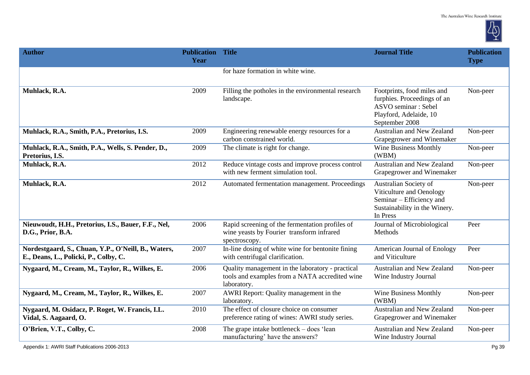

| <b>Author</b>                                                                                | <b>Publication</b><br>Year | <b>Title</b>                                                                                                      | <b>Journal Title</b>                                                                                                                | <b>Publication</b><br><b>Type</b> |
|----------------------------------------------------------------------------------------------|----------------------------|-------------------------------------------------------------------------------------------------------------------|-------------------------------------------------------------------------------------------------------------------------------------|-----------------------------------|
|                                                                                              |                            | for haze formation in white wine.                                                                                 |                                                                                                                                     |                                   |
| Muhlack, R.A.                                                                                | 2009                       | Filling the potholes in the environmental research<br>landscape.                                                  | Footprints, food miles and<br>furphies. Proceedings of an<br><b>ASVO</b> seminar: Sebel<br>Playford, Adelaide, 10<br>September 2008 | Non-peer                          |
| Muhlack, R.A., Smith, P.A., Pretorius, I.S.                                                  | 2009                       | Engineering renewable energy resources for a<br>carbon constrained world.                                         | Australian and New Zealand<br>Grapegrower and Winemaker                                                                             | Non-peer                          |
| Muhlack, R.A., Smith, P.A., Wells, S. Pender, D.,<br>Pretorius, I.S.                         | 2009                       | The climate is right for change.                                                                                  | <b>Wine Business Monthly</b><br>(WBM)                                                                                               | Non-peer                          |
| Muhlack, R.A.                                                                                | 2012                       | Reduce vintage costs and improve process control<br>with new ferment simulation tool.                             | <b>Australian and New Zealand</b><br>Grapegrower and Winemaker                                                                      | Non-peer                          |
| Muhlack, R.A.                                                                                | 2012                       | Automated fermentation management. Proceedings                                                                    | Australian Society of<br>Viticulture and Oenology<br>Seminar - Efficiency and<br>Sustainability in the Winery.<br>In Press          | Non-peer                          |
| Nieuwoudt, H.H., Pretorius, I.S., Bauer, F.F., Nel,<br>D.G., Prior, B.A.                     | 2006                       | Rapid screening of the fermentation profiles of<br>wine yeasts by Fourier transform infrared<br>spectroscopy.     | Journal of Microbiological<br>Methods                                                                                               | Peer                              |
| Nordestgaard, S., Chuan, Y.P., O'Neill, B., Waters,<br>E., Deans, L., Policki, P., Colby, C. | 2007                       | In-line dosing of white wine for bentonite fining<br>with centrifugal clarification.                              | American Journal of Enology<br>and Viticulture                                                                                      | Peer                              |
| Nygaard, M., Cream, M., Taylor, R., Wilkes, E.                                               | 2006                       | Quality management in the laboratory - practical<br>tools and examples from a NATA accredited wine<br>laboratory. | Australian and New Zealand<br>Wine Industry Journal                                                                                 | Non-peer                          |
| Nygaard, M., Cream, M., Taylor, R., Wilkes, E.                                               | 2007                       | AWRI Report: Quality management in the<br>laboratory.                                                             | <b>Wine Business Monthly</b><br>(WBM)                                                                                               | Non-peer                          |
| Nygaard, M. Osidacz, P. Roget, W. Francis, I.L.<br>Vidal, S. Aagaard, O.                     | 2010                       | The effect of closure choice on consumer<br>preference rating of wines: AWRI study series.                        | Australian and New Zealand<br>Grapegrower and Winemaker                                                                             | Non-peer                          |
| O'Brien, V.T., Colby, C.                                                                     | 2008                       | The grape intake bottleneck $-$ does 'lean<br>manufacturing' have the answers?                                    | Australian and New Zealand<br>Wine Industry Journal                                                                                 | Non-peer                          |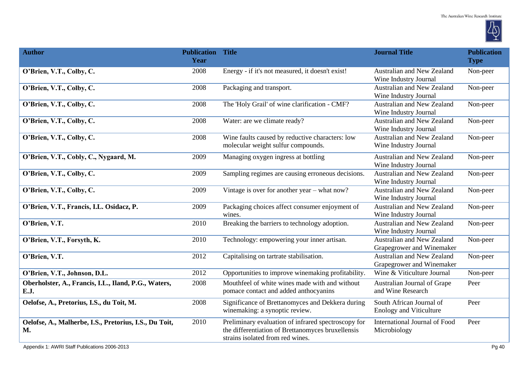

| <b>Author</b>                                                | <b>Publication Title</b><br>Year |                                                                                                                                              | <b>Journal Title</b>                                       | <b>Publication</b><br><b>Type</b> |
|--------------------------------------------------------------|----------------------------------|----------------------------------------------------------------------------------------------------------------------------------------------|------------------------------------------------------------|-----------------------------------|
| O'Brien, V.T., Colby, C.                                     | 2008                             | Energy - if it's not measured, it doesn't exist!                                                                                             | Australian and New Zealand<br>Wine Industry Journal        | Non-peer                          |
| O'Brien, V.T., Colby, C.                                     | 2008                             | Packaging and transport.                                                                                                                     | Australian and New Zealand<br>Wine Industry Journal        | Non-peer                          |
| O'Brien, V.T., Colby, C.                                     | 2008                             | The 'Holy Grail' of wine clarification - CMF?                                                                                                | <b>Australian and New Zealand</b><br>Wine Industry Journal | Non-peer                          |
| O'Brien, V.T., Colby, C.                                     | 2008                             | Water: are we climate ready?                                                                                                                 | <b>Australian and New Zealand</b><br>Wine Industry Journal | Non-peer                          |
| O'Brien, V.T., Colby, C.                                     | 2008                             | Wine faults caused by reductive characters: low<br>molecular weight sulfur compounds.                                                        | Australian and New Zealand<br>Wine Industry Journal        | Non-peer                          |
| O'Brien, V.T., Cobly, C., Nygaard, M.                        | 2009                             | Managing oxygen ingress at bottling                                                                                                          | Australian and New Zealand<br>Wine Industry Journal        | Non-peer                          |
| O'Brien, V.T., Colby, C.                                     | 2009                             | Sampling regimes are causing erroneous decisions.                                                                                            | Australian and New Zealand<br>Wine Industry Journal        | Non-peer                          |
| O'Brien, V.T., Colby, C.                                     | 2009                             | Vintage is over for another year - what now?                                                                                                 | Australian and New Zealand<br>Wine Industry Journal        | Non-peer                          |
| O'Brien, V.T., Francis, I.L. Osidacz, P.                     | 2009                             | Packaging choices affect consumer enjoyment of<br>wines.                                                                                     | Australian and New Zealand<br>Wine Industry Journal        | Non-peer                          |
| O'Brien, V.T.                                                | 2010                             | Breaking the barriers to technology adoption.                                                                                                | Australian and New Zealand<br>Wine Industry Journal        | Non-peer                          |
| O'Brien, V.T., Forsyth, K.                                   | 2010                             | Technology: empowering your inner artisan.                                                                                                   | Australian and New Zealand<br>Grapegrower and Winemaker    | Non-peer                          |
| O'Brien, V.T.                                                | 2012                             | Capitalising on tartrate stabilisation.                                                                                                      | Australian and New Zealand<br>Grapegrower and Winemaker    | Non-peer                          |
| O'Brien, V.T., Johnson, D.L.                                 | 2012                             | Opportunities to improve winemaking profitability.                                                                                           | Wine & Viticulture Journal                                 | Non-peer                          |
| Oberholster, A., Francis, I.L., Iland, P.G., Waters,<br>E.J. | 2008                             | Mouthfeel of white wines made with and without<br>pomace contact and added anthocyanins                                                      | Australian Journal of Grape<br>and Wine Research           | Peer                              |
| Oelofse, A., Pretorius, I.S., du Toit, M.                    | 2008                             | Significance of Brettanomyces and Dekkera during<br>winemaking: a synoptic review.                                                           | South African Journal of<br><b>Enology and Viticulture</b> | Peer                              |
| Oelofse, A., Malherbe, I.S., Pretorius, I.S., Du Toit,<br>M. | 2010                             | Preliminary evaluation of infrared spectroscopy for<br>the differentiation of Brettanomyces bruxellensis<br>strains isolated from red wines. | International Journal of Food<br>Microbiology              | Peer                              |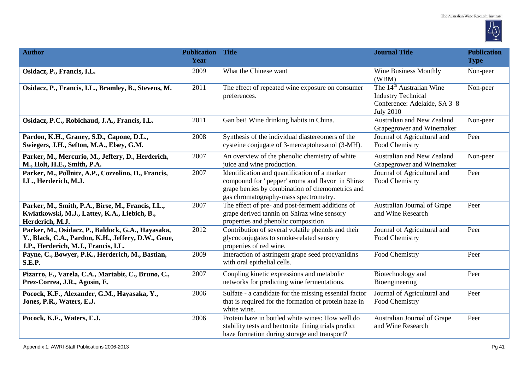

| <b>Author</b>                                                                                                                                    | <b>Publication Title</b><br>Year |                                                                                                                                                                                                 | <b>Journal Title</b>                                                                                                  | <b>Publication</b><br><b>Type</b> |
|--------------------------------------------------------------------------------------------------------------------------------------------------|----------------------------------|-------------------------------------------------------------------------------------------------------------------------------------------------------------------------------------------------|-----------------------------------------------------------------------------------------------------------------------|-----------------------------------|
| Osidacz, P., Francis, I.L.                                                                                                                       | 2009                             | What the Chinese want                                                                                                                                                                           | <b>Wine Business Monthly</b><br>(WBM)                                                                                 | Non-peer                          |
| Osidacz, P., Francis, I.L., Bramley, B., Stevens, M.                                                                                             | 2011                             | The effect of repeated wine exposure on consumer<br>preferences.                                                                                                                                | The 14 <sup>th</sup> Australian Wine<br><b>Industry Technical</b><br>Conference: Adelaide, SA 3-8<br><b>July 2010</b> | Non-peer                          |
| Osidacz, P.C., Robichaud, J.A., Francis, I.L.                                                                                                    | 2011                             | Gan bei! Wine drinking habits in China.                                                                                                                                                         | Australian and New Zealand<br>Grapegrower and Winemaker                                                               | Non-peer                          |
| Pardon, K.H., Graney, S.D., Capone, D.L.,<br>Swiegers, J.H., Sefton, M.A., Elsey, G.M.                                                           | 2008                             | Synthesis of the individual diastereomers of the<br>cysteine conjugate of 3-mercaptohexanol (3-MH).                                                                                             | Journal of Agricultural and<br>Food Chemistry                                                                         | Peer                              |
| Parker, M., Mercurio, M., Jeffery, D., Herderich,<br>M., Holt, H.E., Smith, P.A.                                                                 | 2007                             | An overview of the phenolic chemistry of white<br>juice and wine production.                                                                                                                    | Australian and New Zealand<br>Grapegrower and Winemaker                                                               | Non-peer                          |
| Parker, M., Pollnitz, A.P., Cozzolino, D., Francis,<br>I.L., Herderich, M.J.                                                                     | 2007                             | Identification and quantification of a marker<br>compound for ' pepper' aroma and flavor in Shiraz<br>grape berries by combination of chemometrics and<br>gas chromatography-mass spectrometry. | Journal of Agricultural and<br>Food Chemistry                                                                         | Peer                              |
| Parker, M., Smith, P.A., Birse, M., Francis, I.L.,<br>Kwiatkowski, M.J., Lattey, K.A., Liebich, B.,<br>Herderich, M.J.                           | 2007                             | The effect of pre- and post-ferment additions of<br>grape derived tannin on Shiraz wine sensory<br>properties and phenolic composition                                                          | Australian Journal of Grape<br>and Wine Research                                                                      | Peer                              |
| Parker, M., Osidacz, P., Baldock, G.A., Hayasaka,<br>Y., Black, C.A., Pardon, K.H., Jeffery, D.W., Geue,<br>J.P., Herderich, M.J., Francis, I.L. | 2012                             | Contribution of several volatile phenols and their<br>glycoconjugates to smoke-related sensory<br>properties of red wine.                                                                       | Journal of Agricultural and<br>Food Chemistry                                                                         | Peer                              |
| Payne, C., Bowyer, P.K., Herderich, M., Bastian,<br><b>S.E.P.</b>                                                                                | 2009                             | Interaction of astringent grape seed procyanidins<br>with oral epithelial cells.                                                                                                                | Food Chemistry                                                                                                        | Peer                              |
| Pizarro, F., Varela, C.A., Martabit, C., Bruno, C.,<br>Prez-Correa, J.R., Agosin, E.                                                             | 2007                             | Coupling kinetic expressions and metabolic<br>networks for predicting wine fermentations.                                                                                                       | Biotechnology and<br>Bioengineering                                                                                   | Peer                              |
| Pocock, K.F., Alexander, G.M., Hayasaka, Y.,<br>Jones, P.R., Waters, E.J.                                                                        | 2006                             | Sulfate - a candidate for the missing essential factor<br>that is required for the formation of protein haze in<br>white wine.                                                                  | Journal of Agricultural and<br>Food Chemistry                                                                         | Peer                              |
| Pocock, K.F., Waters, E.J.                                                                                                                       | 2006                             | Protein haze in bottled white wines: How well do<br>stability tests and bentonite fining trials predict<br>haze formation during storage and transport?                                         | Australian Journal of Grape<br>and Wine Research                                                                      | Peer                              |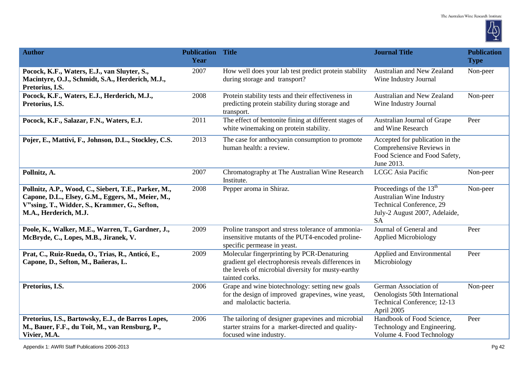

| <b>Author</b>                                                                                                                                                                       | <b>Publication Title</b><br>Year |                                                                                                                                                                           | <b>Journal Title</b>                                                                                                                             | <b>Publication</b><br><b>Type</b> |
|-------------------------------------------------------------------------------------------------------------------------------------------------------------------------------------|----------------------------------|---------------------------------------------------------------------------------------------------------------------------------------------------------------------------|--------------------------------------------------------------------------------------------------------------------------------------------------|-----------------------------------|
| Pocock, K.F., Waters, E.J., van Sluyter, S.,<br>Macintyre, O.J., Schmidt, S.A., Herderich, M.J.,<br>Pretorius, I.S.                                                                 | 2007                             | How well does your lab test predict protein stability<br>during storage and transport?                                                                                    | Australian and New Zealand<br>Wine Industry Journal                                                                                              | Non-peer                          |
| Pocock, K.F., Waters, E.J., Herderich, M.J.,<br>Pretorius, I.S.                                                                                                                     | 2008                             | Protein stability tests and their effectiveness in<br>predicting protein stability during storage and<br>transport.                                                       | <b>Australian and New Zealand</b><br>Wine Industry Journal                                                                                       | Non-peer                          |
| Pocock, K.F., Salazar, F.N., Waters, E.J.                                                                                                                                           | 2011                             | The effect of bentonite fining at different stages of<br>white winemaking on protein stability.                                                                           | Australian Journal of Grape<br>and Wine Research                                                                                                 | Peer                              |
| Pojer, E., Mattivi, F., Johnson, D.L., Stockley, C.S.                                                                                                                               | 2013                             | The case for anthocyanin consumption to promote<br>human health: a review.                                                                                                | Accepted for publication in the<br>Comprehensive Reviews in<br>Food Science and Food Safety,<br>June 2013.                                       |                                   |
| Pollnitz, A.                                                                                                                                                                        | 2007                             | Chromatography at The Australian Wine Research<br>Institute.                                                                                                              | LCGC Asia Pacific                                                                                                                                | Non-peer                          |
| Pollnitz, A.P., Wood, C., Siebert, T.E., Parker, M.,<br>Capone, D.L., Elsey, G.M., Eggers, M., Meier, M.,<br>V"ssing, T., Widder, S., Krammer, G., Sefton,<br>M.A., Herderich, M.J. | 2008                             | Pepper aroma in Shiraz.                                                                                                                                                   | Proceedings of the 13 <sup>th</sup><br><b>Australian Wine Industry</b><br>Technical Conference, 29<br>July-2 August 2007, Adelaide,<br><b>SA</b> | Non-peer                          |
| Poole, K., Walker, M.E., Warren, T., Gardner, J.,<br>McBryde, C., Lopes, M.B., Jiranek, V.                                                                                          | 2009                             | Proline transport and stress tolerance of ammonia-<br>insensitive mutants of the PUT4-encoded proline-<br>specific permease in yeast.                                     | Journal of General and<br><b>Applied Microbiology</b>                                                                                            | Peer                              |
| Prat, C., Ruiz-Rueda, O., Trias, R., Anticó, E.,<br>Capone, D., Sefton, M., Bañeras, L.                                                                                             | 2009                             | Molecular fingerprinting by PCR-Denaturing<br>gradient gel electrophoresis reveals differences in<br>the levels of microbial diversity for musty-earthy<br>tainted corks. | Applied and Environmental<br>Microbiology                                                                                                        | Peer                              |
| Pretorius, I.S.                                                                                                                                                                     | 2006                             | Grape and wine biotechnology: setting new goals<br>for the design of improved grapevines, wine yeast,<br>and malolactic bacteria.                                         | German Association of<br>Oenologists 50th International<br>Technical Conference; 12-13<br>April 2005                                             | Non-peer                          |
| Pretorius, I.S., Bartowsky, E.J., de Barros Lopes,<br>M., Bauer, F.F., du Toit, M., van Rensburg, P.,<br>Vivier, M.A.                                                               | 2006                             | The tailoring of designer grapevines and microbial<br>starter strains for a market-directed and quality-<br>focused wine industry.                                        | Handbook of Food Science,<br>Technology and Engineering.<br>Volume 4. Food Technology                                                            | Peer                              |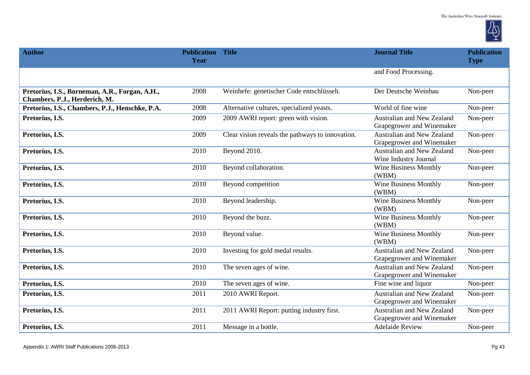

| <b>Author</b>                                                                   | <b>Publication Title</b><br>Year |                                                  | <b>Journal Title</b>                                           | <b>Publication</b><br><b>Type</b> |
|---------------------------------------------------------------------------------|----------------------------------|--------------------------------------------------|----------------------------------------------------------------|-----------------------------------|
|                                                                                 |                                  |                                                  | and Food Processing.                                           |                                   |
| Pretorius, I.S., Borneman, A.R., Forgan, A.H.,<br>Chambers, P.J., Herderich, M. | 2008                             | Weinhefe: genetischer Code entschlüsselt.        | Der Deutsche Weinbau                                           | Non-peer                          |
| Pretorius, I.S., Chambers, P.J., Henschke, P.A.                                 | 2008                             | Alternative cultures, specialized yeasts.        | World of fine wine                                             | Non-peer                          |
| Pretorius, I.S.                                                                 | 2009                             | 2009 AWRI report: green with vision.             | Australian and New Zealand<br>Grapegrower and Winemaker        | Non-peer                          |
| Pretorius, I.S.                                                                 | 2009                             | Clear vision reveals the pathways to innovation. | Australian and New Zealand<br>Grapegrower and Winemaker        | Non-peer                          |
| Pretorius, I.S.                                                                 | 2010                             | Beyond 2010.                                     | Australian and New Zealand<br>Wine Industry Journal            | Non-peer                          |
| Pretorius, I.S.                                                                 | 2010                             | Beyond collaboration.                            | <b>Wine Business Monthly</b><br>(WBM)                          | Non-peer                          |
| Pretorius, I.S.                                                                 | 2010                             | Beyond competition                               | <b>Wine Business Monthly</b><br>(WBM)                          | Non-peer                          |
| Pretorius, I.S.                                                                 | 2010                             | Beyond leadership.                               | <b>Wine Business Monthly</b><br>(WBM)                          | Non-peer                          |
| Pretorius, I.S.                                                                 | 2010                             | Beyond the buzz.                                 | <b>Wine Business Monthly</b><br>(WBM)                          | Non-peer                          |
| Pretorius, I.S.                                                                 | 2010                             | Beyond value.                                    | <b>Wine Business Monthly</b><br>(WBM)                          | Non-peer                          |
| Pretorius, I.S.                                                                 | 2010                             | Investing for gold medal results.                | Australian and New Zealand<br>Grapegrower and Winemaker        | Non-peer                          |
| Pretorius, I.S.                                                                 | 2010                             | The seven ages of wine.                          | <b>Australian and New Zealand</b><br>Grapegrower and Winemaker | Non-peer                          |
| Pretorius, I.S.                                                                 | 2010                             | The seven ages of wine.                          | Fine wine and liquor                                           | Non-peer                          |
| Pretorius, I.S.                                                                 | 2011                             | 2010 AWRI Report.                                | Australian and New Zealand<br>Grapegrower and Winemaker        | Non-peer                          |
| Pretorius, I.S.                                                                 | 2011                             | 2011 AWRI Report: putting industry first.        | <b>Australian and New Zealand</b><br>Grapegrower and Winemaker | Non-peer                          |
| Pretorius, I.S.                                                                 | 2011                             | Message in a bottle.                             | <b>Adelaide Review</b>                                         | Non-peer                          |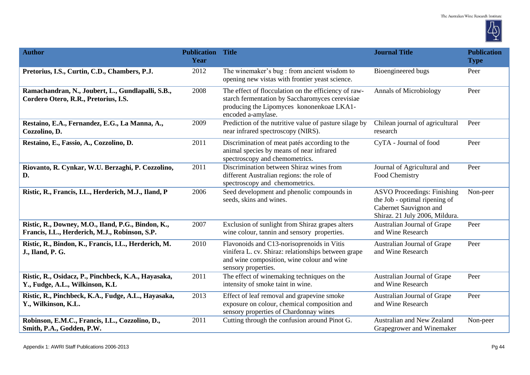

| <b>Author</b>                                                                                        | <b>Publication Title</b><br>Year |                                                                                                                                                                            | <b>Journal Title</b>                                                                                                            | <b>Publication</b><br><b>Type</b> |
|------------------------------------------------------------------------------------------------------|----------------------------------|----------------------------------------------------------------------------------------------------------------------------------------------------------------------------|---------------------------------------------------------------------------------------------------------------------------------|-----------------------------------|
| Pretorius, I.S., Curtin, C.D., Chambers, P.J.                                                        | 2012                             | The winemaker's bug: from ancient wisdom to<br>opening new vistas with frontier yeast science.                                                                             | Bioengineered bugs                                                                                                              | Peer                              |
| Ramachandran, N., Joubert, L., Gundlapalli, S.B.,<br>Cordero Otero, R.R., Pretorius, I.S.            | 2008                             | The effect of flocculation on the efficiency of raw-<br>starch fermentation by Saccharomyces cerevisiae<br>producing the Lipomyces kononenkoae LKA1-<br>encoded a-amylase. | <b>Annals of Microbiology</b>                                                                                                   | Peer                              |
| Restaino, E.A., Fernandez, E.G., La Manna, A.,<br>Cozzolino, D.                                      | 2009                             | Prediction of the nutritive value of pasture silage by<br>near infrared spectroscopy (NIRS).                                                                               | Chilean journal of agricultural<br>research                                                                                     | Peer                              |
| Restaino, E., Fassio, A., Cozzolino, D.                                                              | 2011                             | Discrimination of meat patés according to the<br>animal species by means of near infrared<br>spectroscopy and chemometrics.                                                | CyTA - Journal of food                                                                                                          | Peer                              |
| Riovanto, R. Cynkar, W.U. Berzaghi, P. Cozzolino,<br>D.                                              | 2011                             | Discrimination between Shiraz wines from<br>different Australian regions: the role of<br>spectroscopy and chemometrics.                                                    | Journal of Agricultural and<br>Food Chemistry                                                                                   | Peer                              |
| Ristic, R., Francis, I.L., Herderich, M.J., Iland, P                                                 | 2006                             | Seed development and phenolic compounds in<br>seeds, skins and wines.                                                                                                      | <b>ASVO Proceedings: Finishing</b><br>the Job - optimal ripening of<br>Cabernet Sauvignon and<br>Shiraz. 21 July 2006, Mildura. | Non-peer                          |
| Ristic, R., Downey, M.O., Iland, P.G., Bindon, K.,<br>Francis, I.L., Herderich, M.J., Robinson, S.P. | 2007                             | Exclusion of sunlight from Shiraz grapes alters<br>wine colour, tannin and sensory properties.                                                                             | Australian Journal of Grape<br>and Wine Research                                                                                | Peer                              |
| Ristic, R., Bindon, K., Francis, I.L., Herderich, M.<br>J., Iland, P. G.                             | 2010                             | Flavonoids and C13-norisoprenoids in Vitis<br>vinifera L. cv. Shiraz: relationships between grape<br>and wine composition, wine colour and wine<br>sensory properties.     | Australian Journal of Grape<br>and Wine Research                                                                                | Peer                              |
| Ristic, R., Osidacz, P., Pinchbeck, K.A., Hayasaka,<br>Y., Fudge, A.L., Wilkinson, K.L               | 2011                             | The effect of winemaking techniques on the<br>intensity of smoke taint in wine.                                                                                            | Australian Journal of Grape<br>and Wine Research                                                                                | Peer                              |
| Ristic, R., Pinchbeck, K.A., Fudge, A.L., Hayasaka,<br>Y., Wilkinson, K.L.                           | 2013                             | Effect of leaf removal and grapevine smoke<br>exposure on colour, chemical composition and<br>sensory properties of Chardonnay wines                                       | Australian Journal of Grape<br>and Wine Research                                                                                | Peer                              |
| Robinson, E.M.C., Francis, I.L., Cozzolino, D.,<br>Smith, P.A., Godden, P.W.                         | 2011                             | Cutting through the confusion around Pinot G.                                                                                                                              | Australian and New Zealand<br>Grapegrower and Winemaker                                                                         | Non-peer                          |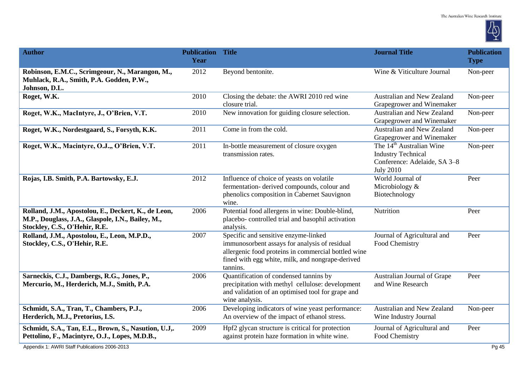

| <b>Author</b>                                                                                                                             | <b>Publication Title</b><br>Year |                                                                                                                                                                                                              | <b>Journal Title</b>                                                                                                  | <b>Publication</b><br><b>Type</b> |
|-------------------------------------------------------------------------------------------------------------------------------------------|----------------------------------|--------------------------------------------------------------------------------------------------------------------------------------------------------------------------------------------------------------|-----------------------------------------------------------------------------------------------------------------------|-----------------------------------|
| Robinson, E.M.C., Scrimgeour, N., Marangon, M.,<br>Muhlack, R.A., Smith, P.A. Godden, P.W.,<br>Johnson, D.L.                              | 2012                             | Beyond bentonite.                                                                                                                                                                                            | Wine & Viticulture Journal                                                                                            | Non-peer                          |
| Roget, W.K.                                                                                                                               | 2010                             | Closing the debate: the AWRI 2010 red wine<br>closure trial.                                                                                                                                                 | <b>Australian and New Zealand</b><br>Grapegrower and Winemaker                                                        | Non-peer                          |
| Roget, W.K., MacIntyre, J., O'Brien, V.T.                                                                                                 | 2010                             | New innovation for guiding closure selection.                                                                                                                                                                | Australian and New Zealand<br>Grapegrower and Winemaker                                                               | Non-peer                          |
| Roget, W.K., Nordestgaard, S., Forsyth, K.K.                                                                                              | 2011                             | Come in from the cold.                                                                                                                                                                                       | Australian and New Zealand<br>Grapegrower and Winemaker                                                               | Non-peer                          |
| Roget, W.K., Macintyre, O.J.,, O'Brien, V.T.                                                                                              | 2011                             | In-bottle measurement of closure oxygen<br>transmission rates.                                                                                                                                               | The 14 <sup>th</sup> Australian Wine<br><b>Industry Technical</b><br>Conference: Adelaide, SA 3-8<br><b>July 2010</b> | Non-peer                          |
| Rojas, I.B. Smith, P.A. Bartowsky, E.J.                                                                                                   | 2012                             | Influence of choice of yeasts on volatile<br>fermentation- derived compounds, colour and<br>phenolics composition in Cabernet Sauvignon<br>wine.                                                             | World Journal of<br>Microbiology &<br>Biotechnology                                                                   | Peer                              |
| Rolland, J.M., Apostolou, E., Deckert, K., de Leon,<br>M.P., Douglass, J.A., Glaspole, I.N., Bailey, M.,<br>Stockley, C.S., O'Hehir, R.E. | 2006                             | Potential food allergens in wine: Double-blind,<br>placebo- controlled trial and basophil activation<br>analysis.                                                                                            | Nutrition                                                                                                             | Peer                              |
| Rolland, J.M., Apostolou, E., Leon, M.P.D.,<br>Stockley, C.S., O'Hehir, R.E.                                                              | 2007                             | Specific and sensitive enzyme-linked<br>immunosorbent assays for analysis of residual<br>allergenic food proteins in commercial bottled wine<br>fined with egg white, milk, and nongrape-derived<br>tannins. | Journal of Agricultural and<br>Food Chemistry                                                                         | Peer                              |
| Sarneckis, C.J., Dambergs, R.G., Jones, P.,<br>Mercurio, M., Herderich, M.J., Smith, P.A.                                                 | 2006                             | Quantification of condensed tannins by<br>precipitation with methyl cellulose: development<br>and validation of an optimised tool for grape and<br>wine analysis.                                            | Australian Journal of Grape<br>and Wine Research                                                                      | Peer                              |
| Schmidt, S.A., Tran, T., Chambers, P.J.,<br>Herderich, M.J., Pretorius, I.S.                                                              | 2006                             | Developing indicators of wine yeast performance:<br>An overview of the impact of ethanol stress.                                                                                                             | Australian and New Zealand<br>Wine Industry Journal                                                                   | Non-peer                          |
| Schmidt, S.A., Tan, E.L., Brown, S., Nasution, U.J<br>Pettolino, F., Macintyre, O.J., Lopes, M.D.B.,                                      | 2009                             | Hpf2 glycan structure is critical for protection<br>against protein haze formation in white wine.                                                                                                            | Journal of Agricultural and<br>Food Chemistry                                                                         | Peer                              |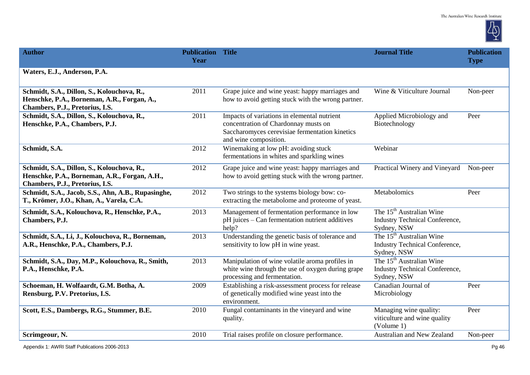

| <b>Author</b>                                                                                                                  | <b>Publication Title</b><br>Year |                                                                                                                                                                | <b>Journal Title</b>                                                                         | <b>Publication</b><br><b>Type</b> |
|--------------------------------------------------------------------------------------------------------------------------------|----------------------------------|----------------------------------------------------------------------------------------------------------------------------------------------------------------|----------------------------------------------------------------------------------------------|-----------------------------------|
| Waters, E.J., Anderson, P.A.                                                                                                   |                                  |                                                                                                                                                                |                                                                                              |                                   |
| Schmidt, S.A., Dillon, S., Kolouchova, R.,<br>Henschke, P.A., Borneman, A.R., Forgan, A.,<br>Chambers, P.J., Pretorius, I.S.   | 2011                             | Grape juice and wine yeast: happy marriages and<br>how to avoid getting stuck with the wrong partner.                                                          | Wine & Viticulture Journal                                                                   | Non-peer                          |
| Schmidt, S.A., Dillon, S., Kolouchova, R.,<br>Henschke, P.A., Chambers, P.J.                                                   | 2011                             | Impacts of variations in elemental nutrient<br>concentration of Chardonnay musts on<br>Saccharomyces cerevisiae fermentation kinetics<br>and wine composition. | Applied Microbiology and<br>Biotechnology                                                    | Peer                              |
| Schmidt, S.A.                                                                                                                  | 2012                             | Winemaking at low pH: avoiding stuck<br>fermentations in whites and sparkling wines                                                                            | Webinar                                                                                      |                                   |
| Schmidt, S.A., Dillon, S., Kolouchova, R.,<br>Henschke, P.A., Borneman, A.R., Forgan, A.H.,<br>Chambers, P.J., Pretorius, I.S. | 2012                             | Grape juice and wine yeast: happy marriages and<br>how to avoid getting stuck with the wrong partner.                                                          | Practical Winery and Vineyard                                                                | Non-peer                          |
| Schmidt, S.A., Jacob, S.S., Ahn, A.B., Rupasinghe,<br>T., Krömer, J.O., Khan, A., Varela, C.A.                                 | 2012                             | Two strings to the systems biology bow: co-<br>extracting the metabolome and proteome of yeast.                                                                | Metabolomics                                                                                 | Peer                              |
| Schmidt, S.A., Kolouchova, R., Henschke, P.A.,<br>Chambers, P.J.                                                               | 2013                             | Management of fermentation performance in low<br>pH juices – Can fermentation nutrient additives<br>help?                                                      | The 15 <sup>th</sup> Australian Wine<br>Industry Technical Conference,<br>Sydney, NSW        |                                   |
| Schmidt, S.A., Li, J., Kolouchova, R., Borneman,<br>A.R., Henschke, P.A., Chambers, P.J.                                       | 2013                             | Understanding the genetic basis of tolerance and<br>sensitivity to low pH in wine yeast.                                                                       | The 15 <sup>th</sup> Australian Wine<br>Industry Technical Conference,<br>Sydney, NSW        |                                   |
| Schmidt, S.A., Day, M.P., Kolouchova, R., Smith,<br>P.A., Henschke, P.A.                                                       | 2013                             | Manipulation of wine volatile aroma profiles in<br>white wine through the use of oxygen during grape<br>processing and fermentation.                           | The 15 <sup>th</sup> Australian Wine<br><b>Industry Technical Conference,</b><br>Sydney, NSW |                                   |
| Schoeman, H. Wolfaardt, G.M. Botha, A.<br>Rensburg, P.V. Pretorius, I.S.                                                       | 2009                             | Establishing a risk-assessment process for release<br>of genetically modified wine yeast into the<br>environment.                                              | Canadian Journal of<br>Microbiology                                                          | Peer                              |
| Scott, E.S., Dambergs, R.G., Stummer, B.E.                                                                                     | 2010                             | Fungal contaminants in the vineyard and wine<br>quality.                                                                                                       | Managing wine quality:<br>viticulture and wine quality<br>(Volume 1)                         | Peer                              |
| Scrimgeour, N.                                                                                                                 | 2010                             | Trial raises profile on closure performance.                                                                                                                   | Australian and New Zealand                                                                   | Non-peer                          |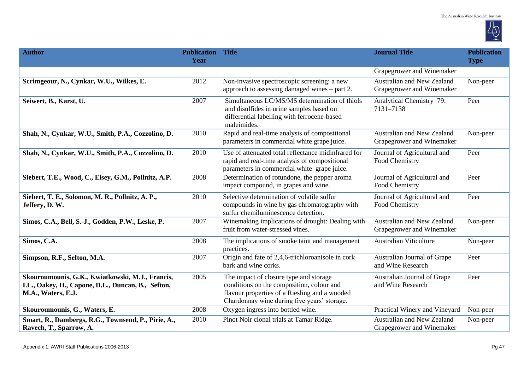

| <b>Author</b>                                                                                                                | <b>Publication Title</b><br>Year |                                                                                                                                                                                     | <b>Journal Title</b>                                    | <b>Publication</b><br><b>Type</b> |
|------------------------------------------------------------------------------------------------------------------------------|----------------------------------|-------------------------------------------------------------------------------------------------------------------------------------------------------------------------------------|---------------------------------------------------------|-----------------------------------|
|                                                                                                                              |                                  |                                                                                                                                                                                     | Grapegrower and Winemaker                               |                                   |
| Scrimgeour, N., Cynkar, W.U., Wilkes, E.                                                                                     | 2012                             | Non-invasive spectroscopic screening: a new<br>approach to assessing damaged wines – part 2.                                                                                        | Australian and New Zealand<br>Grapegrower and Winemaker | Non-peer                          |
| Seiwert, B., Karst, U.                                                                                                       | 2007                             | Simultaneous LC/MS/MS determination of thiols<br>and disulfides in urine samples based on<br>differential labelling with ferrocene-based<br>maleimides.                             | Analytical Chemistry 79:<br>7131-7138                   | Peer                              |
| Shah, N., Cynkar, W.U., Smith, P.A., Cozzolino, D.                                                                           | 2010                             | Rapid and real-time analysis of compositional<br>parameters in commercial white grape juice.                                                                                        | Australian and New Zealand<br>Grapegrower and Winemaker | Non-peer                          |
| Shah, N., Cynkar, W.U., Smith, P.A., Cozzolino, D.                                                                           | 2010                             | Use of attenuated total reflectance midinfrared for<br>rapid and real-time analysis of compositional<br>parameters in commercial white grape juice.                                 | Journal of Agricultural and<br>Food Chemistry           | Peer                              |
| Siebert, T.E., Wood, C., Elsey, G.M., Pollnitz, A.P.                                                                         | 2008                             | Determination of rotundone, the pepper aroma<br>impact compound, in grapes and wine.                                                                                                | Journal of Agricultural and<br>Food Chemistry           | Peer                              |
| Siebert, T. E., Solomon, M. R., Pollnitz, A. P.,<br>Jeffery, D.W.                                                            | 2010                             | Selective determination of volatile sulfur<br>compounds in wine by gas chromatography with<br>sulfur chemiluminescence detection.                                                   | Journal of Agricultural and<br>Food Chemistry           | Peer                              |
| Simos, C.A., Bell, S.-J., Godden, P.W., Leske, P.                                                                            | 2007                             | Winemaking implications of drought: Dealing with<br>fruit from water-stressed vines.                                                                                                | Australian and New Zealand<br>Grapegrower and Winemaker | Non-peer                          |
| Simos, C.A.                                                                                                                  | 2008                             | The implications of smoke taint and management<br>practices.                                                                                                                        | <b>Australian Viticulture</b>                           | Non-peer                          |
| Simpson, R.F., Sefton, M.A.                                                                                                  | 2007                             | Origin and fate of 2,4,6-trichloroanisole in cork<br>bark and wine corks.                                                                                                           | Australian Journal of Grape<br>and Wine Research        | Peer                              |
| Skouroumounis, G.K., Kwiatkowski, M.J., Francis,<br>I.L., Oakey, H., Capone, D.L., Duncan, B., Sefton,<br>M.A., Waters, E.J. | 2005                             | The impact of closure type and storage<br>conditions on the composition, colour and<br>flavour properties of a Riesling and a wooded<br>Chardonnay wine during five years' storage. | Australian Journal of Grape<br>and Wine Research        | Peer                              |
| Skouroumounis, G., Waters, E.                                                                                                | 2008                             | Oxygen ingress into bottled wine.                                                                                                                                                   | Practical Winery and Vineyard                           | Non-peer                          |
| Smart, R., Dambergs, R.G., Townsend, P., Pirie, A.,<br>Ravech, T., Sparrow, A.                                               | 2010                             | Pinot Noir clonal trials at Tamar Ridge.                                                                                                                                            | Australian and New Zealand<br>Grapegrower and Winemaker | Non-peer                          |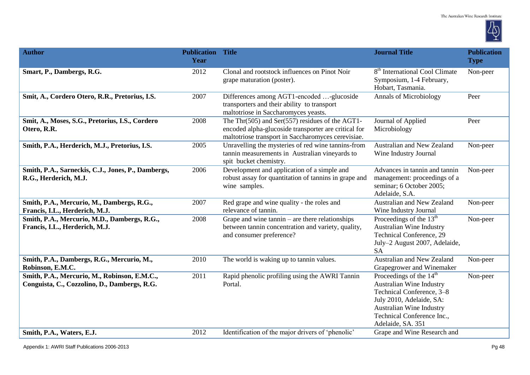

| <b>Author</b>                                                                                | <b>Publication Title</b><br>Year |                                                                                                                                                                     | <b>Journal Title</b>                                                                                                                                                                                           | <b>Publication</b><br><b>Type</b> |
|----------------------------------------------------------------------------------------------|----------------------------------|---------------------------------------------------------------------------------------------------------------------------------------------------------------------|----------------------------------------------------------------------------------------------------------------------------------------------------------------------------------------------------------------|-----------------------------------|
| Smart, P., Dambergs, R.G.                                                                    | 2012                             | Clonal and rootstock influences on Pinot Noir<br>grape maturation (poster).                                                                                         | 8 <sup>th</sup> International Cool Climate<br>Symposium, 1-4 February,<br>Hobart, Tasmania.                                                                                                                    | Non-peer                          |
| Smit, A., Cordero Otero, R.R., Pretorius, I.S.                                               | 2007                             | Differences among AGT1-encoded -glucoside<br>transporters and their ability to transport<br>maltotriose in Saccharomyces yeasts.                                    | <b>Annals of Microbiology</b>                                                                                                                                                                                  | Peer                              |
| Smit, A., Moses, S.G., Pretorius, I.S., Cordero<br>Otero, R.R.                               | 2008                             | The Thr $(505)$ and Ser $(557)$ residues of the AGT1-<br>encoded alpha-glucoside transporter are critical for<br>maltotriose transport in Saccharomyces cerevisiae. | Journal of Applied<br>Microbiology                                                                                                                                                                             | Peer                              |
| Smith, P.A., Herderich, M.J., Pretorius, I.S.                                                | 2005                             | Unravelling the mysteries of red wine tannins-from<br>tannin measurements in Australian vineyards to<br>spit bucket chemistry.                                      | Australian and New Zealand<br>Wine Industry Journal                                                                                                                                                            | Non-peer                          |
| Smith, P.A., Sarneckis, C.J., Jones, P., Dambergs,<br>R.G., Herderich, M.J.                  | 2006                             | Development and application of a simple and<br>robust assay for quantitation of tannins in grape and<br>wine samples.                                               | Advances in tannin and tannin<br>management: proceedings of a<br>seminar; 6 October 2005;<br>Adelaide, S.A.                                                                                                    | Non-peer                          |
| Smith, P.A., Mercurio, M., Dambergs, R.G.,<br>Francis, I.L., Herderich, M.J.                 | 2007                             | Red grape and wine quality - the roles and<br>relevance of tannin.                                                                                                  | Australian and New Zealand<br>Wine Industry Journal                                                                                                                                                            | Non-peer                          |
| Smith, P.A., Mercurio, M.D., Dambergs, R.G.,<br>Francis, I.L., Herderich, M.J.               | 2008                             | Grape and wine tannin – are there relationships<br>between tannin concentration and variety, quality,<br>and consumer preference?                                   | Proceedings of the $13th$<br>Australian Wine Industry<br><b>Technical Conference</b> , 29<br>July-2 August 2007, Adelaide,<br><b>SA</b>                                                                        | Non-peer                          |
| Smith, P.A., Dambergs, R.G., Mercurio, M.,<br>Robinson, E.M.C.                               | 2010                             | The world is waking up to tannin values.                                                                                                                            | Australian and New Zealand<br>Grapegrower and Winemaker                                                                                                                                                        | Non-peer                          |
| Smith, P.A., Mercurio, M., Robinson, E.M.C.,<br>Conguista, C., Cozzolino, D., Dambergs, R.G. | 2011                             | Rapid phenolic profiling using the AWRI Tannin<br>Portal.                                                                                                           | Proceedings of the 14 <sup>th</sup><br><b>Australian Wine Industry</b><br>Technical Conference, 3-8<br>July 2010, Adelaide, SA:<br>Australian Wine Industry<br>Technical Conference Inc.,<br>Adelaide, SA. 351 | Non-peer                          |
| Smith, P.A., Waters, E.J.                                                                    | 2012                             | Identification of the major drivers of 'phenolic'                                                                                                                   | Grape and Wine Research and                                                                                                                                                                                    |                                   |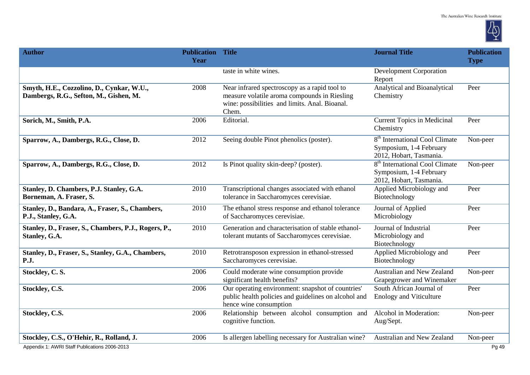

| <b>Author</b>                                                                       | <b>Publication Title</b><br>Year |                                                                                                                                                          | <b>Journal Title</b>                                                                             | <b>Publication</b><br><b>Type</b> |
|-------------------------------------------------------------------------------------|----------------------------------|----------------------------------------------------------------------------------------------------------------------------------------------------------|--------------------------------------------------------------------------------------------------|-----------------------------------|
|                                                                                     |                                  | taste in white wines.                                                                                                                                    | <b>Development Corporation</b><br>Report                                                         |                                   |
| Smyth, H.E., Cozzolino, D., Cynkar, W.U.,<br>Dambergs, R.G., Sefton, M., Gishen, M. | 2008                             | Near infrared spectroscopy as a rapid tool to<br>measure volatile aroma compounds in Riesling<br>wine: possibilities and limits. Anal. Bioanal.<br>Chem. | Analytical and Bioanalytical<br>Chemistry                                                        | Peer                              |
| Sorich, M., Smith, P.A.                                                             | 2006                             | Editorial.                                                                                                                                               | <b>Current Topics in Medicinal</b><br>Chemistry                                                  | Peer                              |
| Sparrow, A., Dambergs, R.G., Close, D.                                              | 2012                             | Seeing double Pinot phenolics (poster).                                                                                                                  | 8 <sup>th</sup> International Cool Climate<br>Symposium, 1-4 February<br>2012, Hobart, Tasmania. | Non-peer                          |
| Sparrow, A., Dambergs, R.G., Close, D.                                              | 2012                             | Is Pinot quality skin-deep? (poster).                                                                                                                    | 8 <sup>th</sup> International Cool Climate<br>Symposium, 1-4 February<br>2012, Hobart, Tasmania. | Non-peer                          |
| Stanley, D. Chambers, P.J. Stanley, G.A.<br>Borneman, A. Fraser, S.                 | 2010                             | Transcriptional changes associated with ethanol<br>tolerance in Saccharomyces cerevisiae.                                                                | Applied Microbiology and<br>Biotechnology                                                        | Peer                              |
| Stanley, D., Bandara, A., Fraser, S., Chambers,<br>P.J., Stanley, G.A.              | 2010                             | The ethanol stress response and ethanol tolerance<br>of Saccharomyces cerevisiae.                                                                        | Journal of Applied<br>Microbiology                                                               | Peer                              |
| Stanley, D., Fraser, S., Chambers, P.J., Rogers, P.,<br>Stanley, G.A.               | 2010                             | Generation and characterisation of stable ethanol-<br>tolerant mutants of Saccharomyces cerevisiae.                                                      | Journal of Industrial<br>Microbiology and<br>Biotechnology                                       | Peer                              |
| Stanley, D., Fraser, S., Stanley, G.A., Chambers,<br><b>P.J.</b>                    | 2010                             | Retrotransposon expression in ethanol-stressed<br>Saccharomyces cerevisiae.                                                                              | Applied Microbiology and<br>Biotechnology                                                        | Peer                              |
| Stockley, C.S.                                                                      | 2006                             | Could moderate wine consumption provide<br>significant health benefits?                                                                                  | <b>Australian and New Zealand</b><br>Grapegrower and Winemaker                                   | Non-peer                          |
| Stockley, C.S.                                                                      | 2006                             | Our operating environment: snapshot of countries'<br>public health policies and guidelines on alcohol and<br>hence wine consumption                      | South African Journal of<br><b>Enology and Viticulture</b>                                       | Peer                              |
| Stockley, C.S.                                                                      | 2006                             | Relationship between alcohol consumption and<br>cognitive function.                                                                                      | Alcohol in Moderation:<br>Aug/Sept.                                                              | Non-peer                          |
| Stockley, C.S., O'Hehir, R., Rolland, J.                                            | 2006                             | Is allergen labelling necessary for Australian wine?                                                                                                     | Australian and New Zealand                                                                       | Non-peer                          |
| Appendix 1: AWRI Staff Publications 2006-2013                                       |                                  |                                                                                                                                                          |                                                                                                  | Pg 49                             |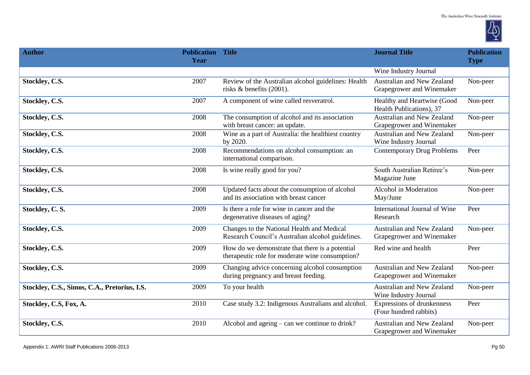

| <b>Author</b>                                | <b>Publication Title</b><br>Year |                                                                                                    | <b>Journal Title</b>                                           | <b>Publication</b><br><b>Type</b> |
|----------------------------------------------|----------------------------------|----------------------------------------------------------------------------------------------------|----------------------------------------------------------------|-----------------------------------|
|                                              |                                  |                                                                                                    | Wine Industry Journal                                          |                                   |
| Stockley, C.S.                               | 2007                             | Review of the Australian alcohol guidelines: Health<br>risks & benefits (2001).                    | Australian and New Zealand<br>Grapegrower and Winemaker        | Non-peer                          |
| Stockley, C.S.                               | 2007                             | A component of wine called resveratrol.                                                            | Healthy and Heartwise (Good<br>Health Publications), 37        | Non-peer                          |
| Stockley, C.S.                               | 2008                             | The consumption of alcohol and its association<br>with breast cancer: an update.                   | <b>Australian and New Zealand</b><br>Grapegrower and Winemaker | Non-peer                          |
| Stockley, C.S.                               | 2008                             | Wine as a part of Australia: the healthiest country<br>by 2020.                                    | <b>Australian and New Zealand</b><br>Wine Industry Journal     | Non-peer                          |
| Stockley, C.S.                               | 2008                             | Recommendations on alcohol consumption: an<br>international comparison.                            | <b>Contemporary Drug Problems</b>                              | Peer                              |
| Stockley, C.S.                               | 2008                             | Is wine really good for you?                                                                       | South Australian Retiree's<br>Magazine June                    | Non-peer                          |
| Stockley, C.S.                               | 2008                             | Updated facts about the consumption of alcohol<br>and its association with breast cancer           | Alcohol in Moderation<br>May/June                              | Non-peer                          |
| Stockley, C.S.                               | 2009                             | Is there a role for wine in cancer and the<br>degenerative diseases of aging?                      | International Journal of Wine<br>Research                      | Peer                              |
| Stockley, C.S.                               | 2009                             | Changes to the National Health and Medical<br>Research Council's Australian alcohol guidelines.    | Australian and New Zealand<br>Grapegrower and Winemaker        | Non-peer                          |
| Stockley, C.S.                               | 2009                             | How do we demonstrate that there is a potential<br>therapeutic role for moderate wine consumption? | Red wine and health                                            | Peer                              |
| Stockley, C.S.                               | 2009                             | Changing advice concerning alcohol consumption<br>during pregnancy and breast feeding.             | Australian and New Zealand<br>Grapegrower and Winemaker        | Non-peer                          |
| Stockley, C.S., Simos, C.A., Pretorius, I.S. | 2009                             | To your health                                                                                     | Australian and New Zealand<br>Wine Industry Journal            | Non-peer                          |
| Stockley, C.S, Fox, A.                       | 2010                             | Case study 3.2: Indigenous Australians and alcohol.                                                | Expressions of drunkenness<br>(Four hundred rabbits)           | Peer                              |
| Stockley, C.S.                               | 2010                             | Alcohol and ageing $-$ can we continue to drink?                                                   | <b>Australian and New Zealand</b><br>Grapegrower and Winemaker | Non-peer                          |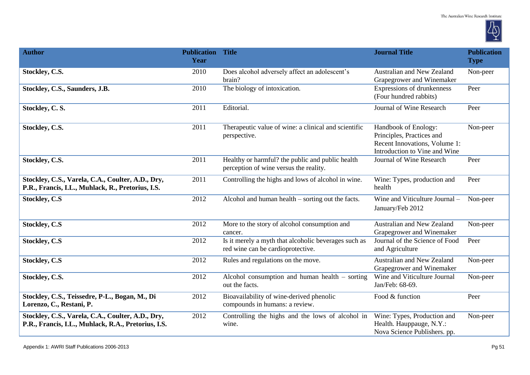

| <b>Author</b>                                                                                            | <b>Publication Title</b><br>Year |                                                                                            | <b>Journal Title</b>                                                                                                | <b>Publication</b><br><b>Type</b> |
|----------------------------------------------------------------------------------------------------------|----------------------------------|--------------------------------------------------------------------------------------------|---------------------------------------------------------------------------------------------------------------------|-----------------------------------|
| Stockley, C.S.                                                                                           | 2010                             | Does alcohol adversely affect an adolescent's<br>brain?                                    | Australian and New Zealand<br>Grapegrower and Winemaker                                                             | Non-peer                          |
| Stockley, C.S., Saunders, J.B.                                                                           | 2010                             | The biology of intoxication.                                                               | Expressions of drunkenness<br>(Four hundred rabbits)                                                                | Peer                              |
| Stockley, C.S.                                                                                           | 2011                             | Editorial.                                                                                 | Journal of Wine Research                                                                                            | Peer                              |
| Stockley, C.S.                                                                                           | 2011                             | Therapeutic value of wine: a clinical and scientific<br>perspective.                       | Handbook of Enology:<br>Principles, Practices and<br>Recent Innovations, Volume 1:<br>Introduction to Vine and Wine | Non-peer                          |
| Stockley, C.S.                                                                                           | 2011                             | Healthy or harmful? the public and public health<br>perception of wine versus the reality. | Journal of Wine Research                                                                                            | Peer                              |
| Stockley, C.S., Varela, C.A., Coulter, A.D., Dry,<br>P.R., Francis, I.L., Muhlack, R., Pretorius, I.S.   | 2011                             | Controlling the highs and lows of alcohol in wine.                                         | Wine: Types, production and<br>health                                                                               | Peer                              |
| <b>Stockley, C.S</b>                                                                                     | 2012                             | Alcohol and human health – sorting out the facts.                                          | Wine and Viticulture Journal -<br>January/Feb 2012                                                                  | Non-peer                          |
| <b>Stockley, C.S</b>                                                                                     | 2012                             | More to the story of alcohol consumption and<br>cancer.                                    | <b>Australian and New Zealand</b><br>Grapegrower and Winemaker                                                      | Non-peer                          |
| <b>Stockley, C.S</b>                                                                                     | 2012                             | Is it merely a myth that alcoholic beverages such as<br>red wine can be cardioprotective.  | Journal of the Science of Food<br>and Agriculture                                                                   | Peer                              |
| <b>Stockley, C.S</b>                                                                                     | 2012                             | Rules and regulations on the move.                                                         | Australian and New Zealand<br>Grapegrower and Winemaker                                                             | Non-peer                          |
| Stockley, C.S.                                                                                           | 2012                             | Alcohol consumption and human health – sorting<br>out the facts.                           | Wine and Viticulture Journal<br>Jan/Feb: 68-69.                                                                     | Non-peer                          |
| Stockley, C.S., Teissedre, P-L., Bogan, M., Di<br>Lorenzo, C., Restani, P.                               | 2012                             | Bioavailability of wine-derived phenolic<br>compounds in humans: a review.                 | Food & function                                                                                                     | Peer                              |
| Stockley, C.S., Varela, C.A., Coulter, A.D., Dry,<br>P.R., Francis, I.L., Muhlack, R.A., Pretorius, I.S. | 2012                             | Controlling the highs and the lows of alcohol in<br>wine.                                  | Wine: Types, Production and<br>Health. Hauppauge, N.Y.:<br>Nova Science Publishers. pp.                             | Non-peer                          |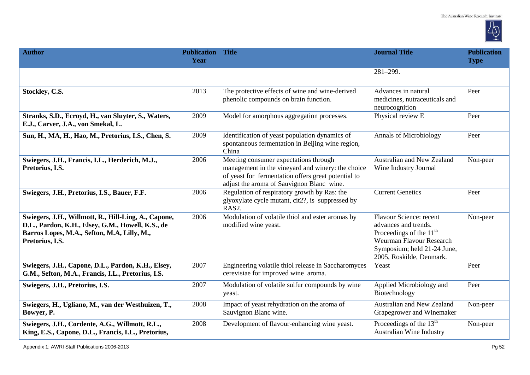

| <b>Author</b>                                                                                                                                                               | <b>Publication Title</b><br>Year |                                                                                                                                                                                                | <b>Journal Title</b>                                                                                                                                                | <b>Publication</b><br><b>Type</b> |
|-----------------------------------------------------------------------------------------------------------------------------------------------------------------------------|----------------------------------|------------------------------------------------------------------------------------------------------------------------------------------------------------------------------------------------|---------------------------------------------------------------------------------------------------------------------------------------------------------------------|-----------------------------------|
|                                                                                                                                                                             |                                  |                                                                                                                                                                                                | $281 - 299.$                                                                                                                                                        |                                   |
| Stockley, C.S.                                                                                                                                                              | 2013                             | The protective effects of wine and wine-derived<br>phenolic compounds on brain function.                                                                                                       | Advances in natural<br>medicines, nutraceuticals and<br>neurocognition                                                                                              | Peer                              |
| Stranks, S.D., Ecroyd, H., van Sluyter, S., Waters,<br>E.J., Carver, J.A., von Smekal, L.                                                                                   | 2009                             | Model for amorphous aggregation processes.                                                                                                                                                     | Physical review E                                                                                                                                                   | Peer                              |
| Sun, H., MA, H., Hao, M., Pretorius, I.S., Chen, S.                                                                                                                         | 2009                             | Identification of yeast population dynamics of<br>spontaneous fermentation in Beijing wine region,<br>China                                                                                    | <b>Annals of Microbiology</b>                                                                                                                                       | Peer                              |
| Swiegers, J.H., Francis, I.L., Herderich, M.J.,<br>Pretorius, I.S.                                                                                                          | 2006                             | Meeting consumer expectations through<br>management in the vineyard and winery: the choice<br>of yeast for fermentation offers great potential to<br>adjust the aroma of Sauvignon Blanc wine. | Australian and New Zealand<br>Wine Industry Journal                                                                                                                 | Non-peer                          |
| Swiegers, J.H., Pretorius, I.S., Bauer, F.F.                                                                                                                                | 2006                             | Regulation of respiratory growth by Ras: the<br>glyoxylate cycle mutant, cit2?, is suppressed by<br>RAS2.                                                                                      | <b>Current Genetics</b>                                                                                                                                             | Peer                              |
| Swiegers, J.H., Willmott, R., Hill-Ling, A., Capone,<br>D.L., Pardon, K.H., Elsey, G.M., Howell, K.S., de<br>Barros Lopes, M.A., Sefton, M.A, Lilly, M.,<br>Pretorius, I.S. | 2006                             | Modulation of volatile thiol and ester aromas by<br>modified wine yeast.                                                                                                                       | Flavour Science: recent<br>advances and trends.<br>Proceedings of the $11th$<br>Weurman Flavour Research<br>Symposium; held 21-24 June,<br>2005, Roskilde, Denmark. | Non-peer                          |
| Swiegers, J.H., Capone, D.L., Pardon, K.H., Elsey,<br>G.M., Sefton, M.A., Francis, I.L., Pretorius, I.S.                                                                    | 2007                             | Engineering volatile thiol release in Saccharomyces<br>cerevisiae for improved wine aroma.                                                                                                     | Yeast                                                                                                                                                               | Peer                              |
| Swiegers, J.H., Pretorius, I.S.                                                                                                                                             | 2007                             | Modulation of volatile sulfur compounds by wine<br>yeast.                                                                                                                                      | Applied Microbiology and<br>Biotechnology                                                                                                                           | Peer                              |
| Swiegers, H., Ugliano, M., van der Westhuizen, T.,<br>Bowyer, P.                                                                                                            | 2008                             | Impact of yeast rehydration on the aroma of<br>Sauvignon Blanc wine.                                                                                                                           | Australian and New Zealand<br>Grapegrower and Winemaker                                                                                                             | Non-peer                          |
| Swiegers, J.H., Cordente, A.G., Willmott, R.L.,<br>King, E.S., Capone, D.L., Francis, I.L., Pretorius,                                                                      | 2008                             | Development of flavour-enhancing wine yeast.                                                                                                                                                   | Proceedings of the $13th$<br>Australian Wine Industry                                                                                                               | Non-peer                          |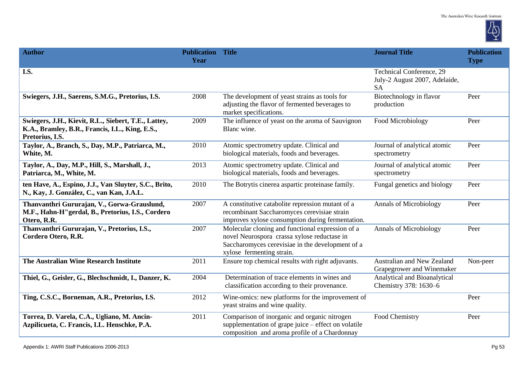

| <b>Author</b>                                                                                                              | <b>Publication Title</b><br>Year |                                                                                                                                                                                  | <b>Journal Title</b>                                                   | <b>Publication</b><br><b>Type</b> |
|----------------------------------------------------------------------------------------------------------------------------|----------------------------------|----------------------------------------------------------------------------------------------------------------------------------------------------------------------------------|------------------------------------------------------------------------|-----------------------------------|
| I.S.                                                                                                                       |                                  |                                                                                                                                                                                  | Technical Conference, 29<br>July-2 August 2007, Adelaide,<br><b>SA</b> |                                   |
| Swiegers, J.H., Saerens, S.M.G., Pretorius, I.S.                                                                           | 2008                             | The development of yeast strains as tools for<br>adjusting the flavor of fermented beverages to<br>market specifications.                                                        | Biotechnology in flavor<br>production                                  | Peer                              |
| Swiegers, J.H., Kievit, R.L., Siebert, T.E., Lattey,<br>K.A., Bramley, B.R., Francis, I.L., King, E.S.,<br>Pretorius, I.S. | 2009                             | The influence of yeast on the aroma of Sauvignon<br>Blanc wine.                                                                                                                  | Food Microbiology                                                      | Peer                              |
| Taylor, A., Branch, S., Day, M.P., Patriarca, M.,<br>White, M.                                                             | 2010                             | Atomic spectrometry update. Clinical and<br>biological materials, foods and beverages.                                                                                           | Journal of analytical atomic<br>spectrometry                           | Peer                              |
| Taylor, A., Day, M.P., Hill, S., Marshall, J.,<br>Patriarca, M., White, M.                                                 | 2013                             | Atomic spectrometry update. Clinical and<br>biological materials, foods and beverages.                                                                                           | Journal of analytical atomic<br>spectrometry                           | Peer                              |
| ten Have, A., Espino, J.J., Van Sluyter, S.C., Brito,<br>N., Kay, J. González, C., van Kan, J.A.L.                         | 2010                             | The Botrytis cinerea aspartic proteinase family.                                                                                                                                 | Fungal genetics and biology                                            | Peer                              |
| Thanvanthri Gururajan, V., Gorwa-Grauslund,<br>M.F., Hahn-H"gerdal, B., Pretorius, I.S., Cordero<br>Otero, R.R.            | 2007                             | A constitutive catabolite repression mutant of a<br>recombinant Saccharomyces cerevisiae strain<br>improves xylose consumption during fermentation.                              | <b>Annals of Microbiology</b>                                          | Peer                              |
| Thanvanthri Gururajan, V., Pretorius, I.S.,<br>Cordero Otero, R.R.                                                         | 2007                             | Molecular cloning and functional expression of a<br>novel Neurospora crassa xylose reductase in<br>Saccharomyces cerevisiae in the development of a<br>xylose fermenting strain. | <b>Annals of Microbiology</b>                                          | Peer                              |
| The Australian Wine Research Institute                                                                                     | 2011                             | Ensure top chemical results with right adjuvants.                                                                                                                                | Australian and New Zealand<br>Grapegrower and Winemaker                | Non-peer                          |
| Thiel, G., Geisler, G., Blechschmidt, I., Danzer, K.                                                                       | 2004                             | Determination of trace elements in wines and<br>classification according to their provenance.                                                                                    | Analytical and Bioanalytical<br>Chemistry 378: 1630-6                  |                                   |
| Ting, C.S.C., Borneman, A.R., Pretorius, I.S.                                                                              | 2012                             | Wine-omics: new platforms for the improvement of<br>yeast strains and wine quality.                                                                                              |                                                                        | Peer                              |
| Torrea, D. Varela, C.A., Ugliano, M. Ancin-<br>Azpilicueta, C. Francis, I.L. Henschke, P.A.                                | 2011                             | Comparison of inorganic and organic nitrogen<br>supplementation of grape juice – effect on volatile<br>composition and aroma profile of a Chardonnay                             | Food Chemistry                                                         | Peer                              |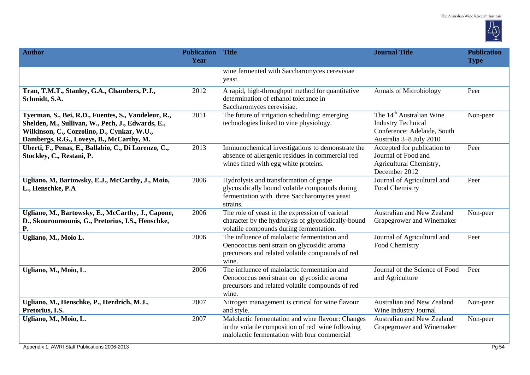

| <b>Author</b>                                                                                                                                                                                       | <b>Publication Title</b><br>Year |                                                                                                                                                         | <b>Journal Title</b>                                                                                                        | <b>Publication</b><br><b>Type</b> |
|-----------------------------------------------------------------------------------------------------------------------------------------------------------------------------------------------------|----------------------------------|---------------------------------------------------------------------------------------------------------------------------------------------------------|-----------------------------------------------------------------------------------------------------------------------------|-----------------------------------|
|                                                                                                                                                                                                     |                                  | wine fermented with Saccharomyces cerevisiae<br>yeast.                                                                                                  |                                                                                                                             |                                   |
| Tran, T.M.T., Stanley, G.A., Chambers, P.J.,<br>Schmidt, S.A.                                                                                                                                       | 2012                             | A rapid, high-throughput method for quantitative<br>determination of ethanol tolerance in<br>Saccharomyces cerevisiae.                                  | <b>Annals of Microbiology</b>                                                                                               | Peer                              |
| Tyerman, S., Bei, R.D., Fuentes, S., Vandeleur, R.,<br>Shelden, M., Sullivan, W., Pech, J., Edwards, E.,<br>Wilkinson, C., Cozzolino, D., Cynkar, W.U.,<br>Dambergs, R.G., Loveys, B., McCarthy, M. | 2011                             | The future of irrigation scheduling: emerging<br>technologies linked to vine physiology.                                                                | The 14 <sup>th</sup> Australian Wine<br><b>Industry Technical</b><br>Conference: Adelaide, South<br>Australia 3-8 July 2010 | Non-peer                          |
| Uberti, F., Penas, E., Ballabio, C., Di Lorenzo, C.,<br>Stockley, C., Restani, P.                                                                                                                   | 2013                             | Immunochemical investigations to demonstrate the<br>absence of allergenic residues in commercial red<br>wines fined with egg white proteins.            | Accepted for publication to<br>Journal of Food and<br>Agricultural Chemistry,<br>December 2012                              | Peer                              |
| Ugliano, M, Bartowsky, E.J., McCarthy, J., Moio,<br>L., Henschke, P.A                                                                                                                               | 2006                             | Hydrolysis and transformation of grape<br>glycosidically bound volatile compounds during<br>fermentation with three Saccharomyces yeast<br>strains.     | Journal of Agricultural and<br>Food Chemistry                                                                               | Peer                              |
| Ugliano, M., Bartowsky, E., McCarthy, J., Capone,<br>D., Skouroumounis, G., Pretorius, I.S., Henschke,<br>P.                                                                                        | 2006                             | The role of yeast in the expression of varietal<br>character by the hydrolysis of glycosidically-bound<br>volatile compounds during fermentation.       | Australian and New Zealand<br>Grapegrower and Winemaker                                                                     | Non-peer                          |
| Ugliano, M., Moio L.                                                                                                                                                                                | 2006                             | The influence of malolactic fermentation and<br>Oenococcus oeni strain on glycosidic aroma<br>precursors and related volatile compounds of red<br>wine. | Journal of Agricultural and<br>Food Chemistry                                                                               | Peer                              |
| Ugliano, M., Moio, L.                                                                                                                                                                               | 2006                             | The influence of malolactic fermentation and<br>Oenococcus oeni strain on glycosidic aroma<br>precursors and related volatile compounds of red<br>wine. | Journal of the Science of Food<br>and Agriculture                                                                           | Peer                              |
| Ugliano, M., Henschke, P., Herdrich, M.J.,<br>Pretorius, I.S.                                                                                                                                       | 2007                             | Nitrogen management is critical for wine flavour<br>and style.                                                                                          | Australian and New Zealand<br>Wine Industry Journal                                                                         | Non-peer                          |
| Ugliano, M., Moio, L.                                                                                                                                                                               | 2007                             | Malolactic fermentation and wine flavour: Changes<br>in the volatile composition of red wine following<br>malolactic fermentation with four commercial  | Australian and New Zealand<br>Grapegrower and Winemaker                                                                     | Non-peer                          |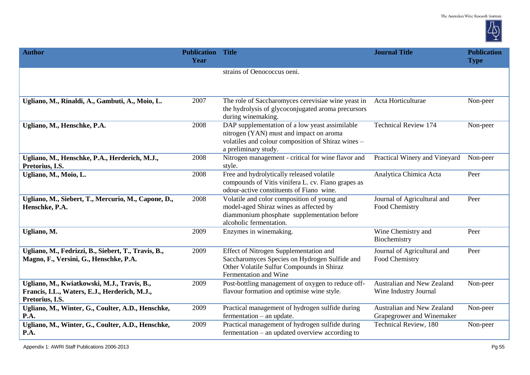

| <b>Author</b>                                                                                                   | <b>Publication Title</b><br>Year |                                                                                                                                                                         | <b>Journal Title</b>                                    | <b>Publication</b><br><b>Type</b> |
|-----------------------------------------------------------------------------------------------------------------|----------------------------------|-------------------------------------------------------------------------------------------------------------------------------------------------------------------------|---------------------------------------------------------|-----------------------------------|
|                                                                                                                 |                                  | strains of Oenococcus oeni.                                                                                                                                             |                                                         |                                   |
| Ugliano, M., Rinaldi, A., Gambuti, A., Moio, L.                                                                 | 2007                             | The role of Saccharomyces cerevisiae wine yeast in<br>the hydrolysis of glycoconjugated aroma precursors<br>during winemaking.                                          | Acta Horticulturae                                      | Non-peer                          |
| Ugliano, M., Henschke, P.A.                                                                                     | 2008                             | DAP supplementation of a low yeast assimilable<br>nitrogen (YAN) must and impact on aroma<br>volatiles and colour composition of Shiraz wines -<br>a preliminary study. | <b>Technical Review 174</b>                             | Non-peer                          |
| Ugliano, M., Henschke, P.A., Herderich, M.J.,<br>Pretorius, I.S.                                                | 2008                             | Nitrogen management - critical for wine flavor and<br>style.                                                                                                            | Practical Winery and Vineyard                           | Non-peer                          |
| Ugliano, M., Moio, L.                                                                                           | 2008                             | Free and hydrolytically released volatile<br>compounds of Vitis vinifera L. cv. Fiano grapes as<br>odour-active constituents of Fiano wine.                             | Analytica Chimica Acta                                  | Peer                              |
| Ugliano, M., Siebert, T., Mercurio, M., Capone, D.,<br>Henschke, P.A.                                           | 2008                             | Volatile and color composition of young and<br>model-aged Shiraz wines as affected by<br>diammonium phosphate supplementation before<br>alcoholic fermentation.         | Journal of Agricultural and<br>Food Chemistry           | Peer                              |
| Ugliano, M.                                                                                                     | 2009                             | Enzymes in winemaking.                                                                                                                                                  | Wine Chemistry and<br>Biochemistry                      | Peer                              |
| Ugliano, M., Fedrizzi, B., Siebert, T., Travis, B.,<br>Magno, F., Versini, G., Henschke, P.A.                   | 2009                             | Effect of Nitrogen Supplementation and<br>Saccharomyces Species on Hydrogen Sulfide and<br>Other Volatile Sulfur Compounds in Shiraz<br>Fermentation and Wine           | Journal of Agricultural and<br>Food Chemistry           | Peer                              |
| Ugliano, M., Kwiatkowski, M.J., Travis, B.,<br>Francis, I.L., Waters, E.J., Herderich, M.J.,<br>Pretorius, I.S. | 2009                             | Post-bottling management of oxygen to reduce off-<br>flavour formation and optimise wine style.                                                                         | Australian and New Zealand<br>Wine Industry Journal     | Non-peer                          |
| Ugliano, M., Winter, G., Coulter, A.D., Henschke,<br>P.A.                                                       | 2009                             | Practical management of hydrogen sulfide during<br>$fermentation - an update.$                                                                                          | Australian and New Zealand<br>Grapegrower and Winemaker | Non-peer                          |
| Ugliano, M., Winter, G., Coulter, A.D., Henschke,<br>P.A.                                                       | 2009                             | Practical management of hydrogen sulfide during<br>fermentation – an updated overview according to                                                                      | <b>Technical Review</b> , 180                           | Non-peer                          |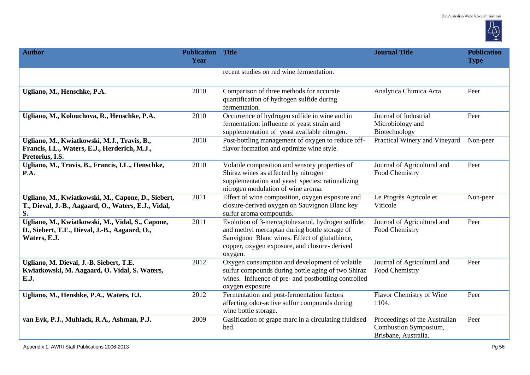

| <b>Author</b>                                                                                                      | <b>Publication Title</b><br>Year |                                                                                                                                                                                                                | <b>Journal Title</b>                                                           | <b>Publication</b><br><b>Type</b> |
|--------------------------------------------------------------------------------------------------------------------|----------------------------------|----------------------------------------------------------------------------------------------------------------------------------------------------------------------------------------------------------------|--------------------------------------------------------------------------------|-----------------------------------|
|                                                                                                                    |                                  | recent studies on red wine fermentation.                                                                                                                                                                       |                                                                                |                                   |
| Ugliano, M., Henschke, P.A.                                                                                        | 2010                             | Comparison of three methods for accurate<br>quantification of hydrogen sulfide during<br>fermentation.                                                                                                         | Analytica Chimica Acta                                                         | Peer                              |
| Ugliano, M., Kolouchova, R., Henschke, P.A.                                                                        | 2010                             | Occurrence of hydrogen sulfide in wine and in<br>fermentation: influence of yeast strain and<br>supplementation of yeast available nitrogen.                                                                   | Journal of Industrial<br>Microbiology and<br>Biotechnology                     | Peer                              |
| Ugliano, M., Kwiatkowski, M.J., Travis, B.,<br>Francis, I.L., Waters, E.J., Herderich, M.J.,<br>Pretorius, I.S.    | 2010                             | Post-bottling management of oxygen to reduce off-<br>flavor formation and optimize wine style.                                                                                                                 | Practical Winery and Vineyard                                                  | Non-peer                          |
| Ugliano, M., Travis, B., Francis, I.L., Henschke,<br>P.A.                                                          | 2010                             | Volatile composition and sensory properties of<br>Shiraz wines as affected by nitrogen<br>supplementation and yeast species: rationalizing<br>nitrogen modulation of wine aroma.                               | Journal of Agricultural and<br>Food Chemistry                                  | Peer                              |
| Ugliano, M., Kwiatkowski, M., Capone, D., Siebert,<br>T., Dieval, J.-B., Aagaard, O., Waters, E.J., Vidal,<br>S.   | 2011                             | Effect of wine composition, oxygen exposure and<br>closure-derived oxygen on Sauvignon Blanc key<br>sulfur aroma compounds.                                                                                    | Le Progrès Agricole et<br>Viticole                                             | Non-peer                          |
| Ugliano, M., Kwiatkowski, M., Vidal, S., Capone,<br>D., Siebert, T.E., Dieval, J.-B., Aagaard, O.,<br>Waters, E.J. | 2011                             | Evolution of 3-mercaptohexanol, hydrogen sulfide,<br>and methyl mercaptan during bottle storage of<br>Sauvignon Blanc wines. Effect of glutathione,<br>copper, oxygen exposure, and closure-derived<br>oxygen. | Journal of Agricultural and<br>Food Chemistry                                  | Peer                              |
| Ugliano, M. Dieval, J.-B. Siebert, T.E.<br>Kwiatkowski, M. Aagaard, O. Vidal, S. Waters,<br>E.J.                   | 2012                             | Oxygen consumption and development of volatile<br>sulfur compounds during bottle aging of two Shiraz<br>wines. Influence of pre- and postbottling controlled<br>oxygen exposure.                               | Journal of Agricultural and<br>Food Chemistry                                  | Peer                              |
| Ugliano, M., Henshke, P.A., Waters, EJ.                                                                            | 2012                             | Fermentation and post-fermentation factors<br>affecting odor-active sulfur compounds during<br>wine bottle storage.                                                                                            | Flavor Chemistry of Wine<br>1104.                                              | Peer                              |
| van Eyk, P.J., Muhlack, R.A., Ashman, P.J.                                                                         | 2009                             | Gasification of grape marc in a circulating fluidised<br>bed.                                                                                                                                                  | Proceedings of the Australian<br>Combustion Symposium,<br>Brisbane, Australia. | Peer                              |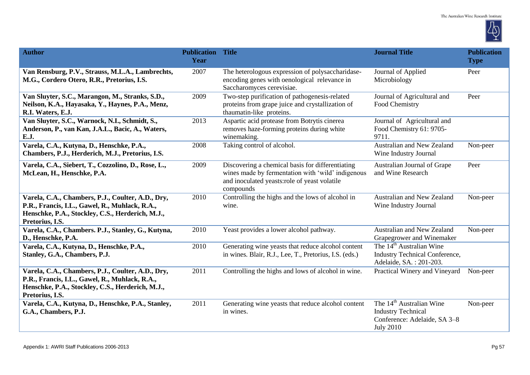

| <b>Author</b>                                                                                                                                                              | <b>Publication</b><br>Year | <b>Title</b>                                                                                                                                                       | <b>Journal Title</b>                                                                                                  | <b>Publication</b><br><b>Type</b> |
|----------------------------------------------------------------------------------------------------------------------------------------------------------------------------|----------------------------|--------------------------------------------------------------------------------------------------------------------------------------------------------------------|-----------------------------------------------------------------------------------------------------------------------|-----------------------------------|
| Van Rensburg, P.V., Strauss, M.L.A., Lambrechts,<br>M.G., Cordero Otero, R.R., Pretorius, I.S.                                                                             | 2007                       | The heterologous expression of polysaccharidase-<br>encoding genes with oenological relevance in<br>Saccharomyces cerevisiae.                                      | Journal of Applied<br>Microbiology                                                                                    | Peer                              |
| Van Sluyter, S.C., Marangon, M., Stranks, S.D.,<br>Neilson, K.A., Hayasaka, Y., Haynes, P.A., Menz,<br>R.I. Waters, E.J.                                                   | 2009                       | Two-step purification of pathogenesis-related<br>proteins from grape juice and crystallization of<br>thaumatin-like proteins.                                      | Journal of Agricultural and<br>Food Chemistry                                                                         | Peer                              |
| Van Sluyter, S.C., Warnock, N.I., Schmidt, S.,<br>Anderson, P., van Kan, J.A.L., Bacic, A., Waters,<br>E.J.                                                                | 2013                       | Aspartic acid protease from Botrytis cinerea<br>removes haze-forming proteins during white<br>winemaking.                                                          | Journal of Agricultural and<br>Food Chemistry 61: 9705-<br>9711.                                                      |                                   |
| Varela, C.A., Kutyna, D., Henschke, P.A.,<br>Chambers, P.J., Herderich, M.J., Pretorius, I.S.                                                                              | 2008                       | Taking control of alcohol.                                                                                                                                         | Australian and New Zealand<br>Wine Industry Journal                                                                   | Non-peer                          |
| Varela, C.A., Siebert, T., Cozzolino, D., Rose, L.,<br>McLean, H., Henschke, P.A.                                                                                          | 2009                       | Discovering a chemical basis for differentiating<br>wines made by fermentation with 'wild' indigenous<br>and inoculated yeasts:role of yeast volatile<br>compounds | Australian Journal of Grape<br>and Wine Research                                                                      | Peer                              |
| Varela, C.A., Chambers, P.J., Coulter, A.D., Dry,<br>P.R., Francis, I.L., Gawel, R., Muhlack, R.A.,<br>Henschke, P.A., Stockley, C.S., Herderich, M.J.,<br>Pretorius, I.S. | 2010                       | Controlling the highs and the lows of alcohol in<br>wine.                                                                                                          | Australian and New Zealand<br>Wine Industry Journal                                                                   | Non-peer                          |
| Varela, C.A., Chambers. P.J., Stanley, G., Kutyna,<br>D., Henschke, P.A.                                                                                                   | 2010                       | Yeast provides a lower alcohol pathway.                                                                                                                            | Australian and New Zealand<br>Grapegrower and Winemaker                                                               | Non-peer                          |
| Varela, C.A., Kutyna, D., Henschke, P.A.,<br>Stanley, G.A., Chambers, P.J.                                                                                                 | 2010                       | Generating wine yeasts that reduce alcohol content<br>in wines. Blair, R.J., Lee, T., Pretorius, I.S. (eds.)                                                       | The 14 <sup>th</sup> Australian Wine<br><b>Industry Technical Conference,</b><br>Adelaide, SA.: 201-203.              |                                   |
| Varela, C.A., Chambers, P.J., Coulter, A.D., Dry,<br>P.R., Francis, I.L., Gawel, R., Muhlack, R.A.,<br>Henschke, P.A., Stockley, C.S., Herderich, M.J.,<br>Pretorius, I.S. | 2011                       | Controlling the highs and lows of alcohol in wine.                                                                                                                 | Practical Winery and Vineyard                                                                                         | Non-peer                          |
| Varela, C.A., Kutyna, D., Henschke, P.A., Stanley,<br>G.A., Chambers, P.J.                                                                                                 | 2011                       | Generating wine yeasts that reduce alcohol content<br>in wines.                                                                                                    | The 14 <sup>th</sup> Australian Wine<br><b>Industry Technical</b><br>Conference: Adelaide, SA 3-8<br><b>July 2010</b> | Non-peer                          |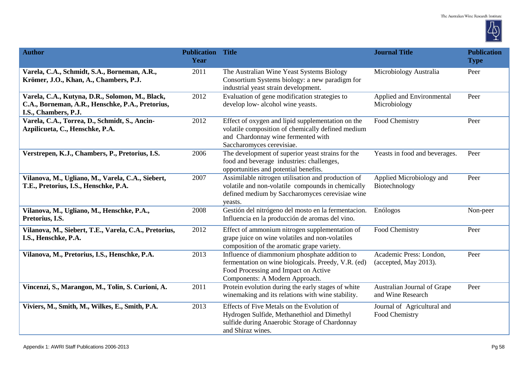

| <b>Author</b>                                                                                                               | <b>Publication Title</b><br>Year |                                                                                                                                                                                | <b>Journal Title</b>                             | <b>Publication</b><br><b>Type</b> |
|-----------------------------------------------------------------------------------------------------------------------------|----------------------------------|--------------------------------------------------------------------------------------------------------------------------------------------------------------------------------|--------------------------------------------------|-----------------------------------|
| Varela, C.A., Schmidt, S.A., Borneman, A.R.,<br>Krömer, J.O., Khan, A., Chambers, P.J.                                      | 2011                             | The Australian Wine Yeast Systems Biology<br>Consortium Systems biology: a new paradigm for<br>industrial yeast strain development.                                            | Microbiology Australia                           | Peer                              |
| Varela, C.A., Kutyna, D.R., Solomon, M., Black,<br>C.A., Borneman, A.R., Henschke, P.A., Pretorius,<br>I.S., Chambers, P.J. | 2012                             | Evaluation of gene modification strategies to<br>develop low- alcohol wine yeasts.                                                                                             | Applied and Environmental<br>Microbiology        | Peer                              |
| Varela, C.A., Torrea, D., Schmidt, S., Ancin-<br>Azpilicueta, C., Henschke, P.A.                                            | 2012                             | Effect of oxygen and lipid supplementation on the<br>volatile composition of chemically defined medium<br>and Chardonnay wine fermented with<br>Saccharomyces cerevisiae.      | Food Chemistry                                   | Peer                              |
| Verstrepen, K.J., Chambers, P., Pretorius, I.S.                                                                             | 2006                             | The development of superior yeast strains for the<br>food and beverage industries: challenges,<br>opportunities and potential benefits.                                        | Yeasts in food and beverages.                    | Peer                              |
| Vilanova, M., Ugliano, M., Varela, C.A., Siebert,<br>T.E., Pretorius, I.S., Henschke, P.A.                                  | 2007                             | Assimilable nitrogen utilisation and production of<br>volatile and non-volatile compounds in chemically<br>defined medium by Saccharomyces cerevisiae wine<br>yeasts.          | Applied Microbiology and<br>Biotechnology        | Peer                              |
| Vilanova, M., Ugliano, M., Henschke, P.A.,<br>Pretorius, I.S.                                                               | 2008                             | Gestión del nitrógeno del mosto en la fermentacion.<br>Influencia en la producción de aromas del vino.                                                                         | Enólogos                                         | Non-peer                          |
| Vilanova, M., Siebert, T.E., Varela, C.A., Pretorius,<br>I.S., Henschke, P.A.                                               | 2012                             | Effect of ammonium nitrogen supplementation of<br>grape juice on wine volatiles and non-volatiles<br>composition of the aromatic grape variety.                                | Food Chemistry                                   | Peer                              |
| Vilanova, M., Pretorius, I.S., Henschke, P.A.                                                                               | 2013                             | Influence of diammonium phosphate addition to<br>fermentation on wine biologicals. Preedy, V.R. (ed)<br>Food Processing and Impact on Active<br>Components: A Modern Approach. | Academic Press: London,<br>(accepted, May 2013). | Peer                              |
| Vincenzi, S., Marangon, M., Tolin, S. Curioni, A.                                                                           | 2011                             | Protein evolution during the early stages of white<br>winemaking and its relations with wine stability.                                                                        | Australian Journal of Grape<br>and Wine Research | Peer                              |
| Viviers, M., Smith, M., Wilkes, E., Smith, P.A.                                                                             | 2013                             | Effects of Five Metals on the Evolution of<br>Hydrogen Sulfide, Methanethiol and Dimethyl<br>sulfide during Anaerobic Storage of Chardonnay<br>and Shiraz wines.               | Journal of Agricultural and<br>Food Chemistry    |                                   |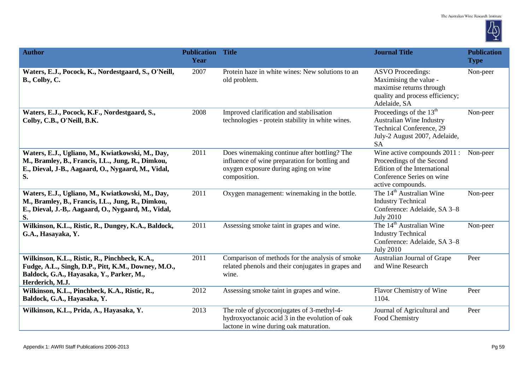

| <b>Author</b>                                                                                                                                                       | <b>Publication</b><br>Year | <b>Title</b>                                                                                                                                           | <b>Journal Title</b>                                                                                                                        | <b>Publication</b><br><b>Type</b> |
|---------------------------------------------------------------------------------------------------------------------------------------------------------------------|----------------------------|--------------------------------------------------------------------------------------------------------------------------------------------------------|---------------------------------------------------------------------------------------------------------------------------------------------|-----------------------------------|
| Waters, E.J., Pocock, K., Nordestgaard, S., O'Neill,<br>B., Colby, C.                                                                                               | 2007                       | Protein haze in white wines: New solutions to an<br>old problem.                                                                                       | <b>ASVO Proceedings:</b><br>Maximising the value -<br>maximise returns through<br>quality and process efficiency;<br>Adelaide, SA           | Non-peer                          |
| Waters, E.J., Pocock, K.F., Nordestgaard, S.,<br>Colby, C.B., O'Neill, B.K.                                                                                         | 2008                       | Improved clarification and stabilisation<br>technologies - protein stability in white wines.                                                           | Proceedings of the $13th$<br><b>Australian Wine Industry</b><br>Technical Conference, 29<br>July-2 August 2007, Adelaide,<br><b>SA</b>      | Non-peer                          |
| Waters, E.J., Ugliano, M., Kwiatkowski, M., Day,<br>M., Bramley, B., Francis, I.L., Jung, R., Dimkou,<br>E., Dieval, J-B., Aagaard, O., Nygaard, M., Vidal,<br>S.   | 2011                       | Does winemaking continue after bottling? The<br>influence of wine preparation for bottling and<br>oxygen exposure during aging on wine<br>composition. | Wine active compounds 2011 :<br>Proceedings of the Second<br>Edition of the International<br>Conference Series on wine<br>active compounds. | Non-peer                          |
| Waters, E.J., Ugliano, M., Kwiatkowski, M., Day,<br>M., Bramley, B., Francis, I.L., Jung, R., Dimkou,<br>E., Dieval, J.-B,. Aagaard, O., Nygaard, M., Vidal,<br>S.  | 2011                       | Oxygen management: winemaking in the bottle.                                                                                                           | The 14 <sup>th</sup> Australian Wine<br><b>Industry Technical</b><br>Conference: Adelaide, SA 3-8<br><b>July 2010</b>                       | Non-peer                          |
| Wilkinson, K.L., Ristic, R., Dungey, K.A., Baldock,<br>G.A., Hasayaka, Y.                                                                                           | 2011                       | Assessing smoke taint in grapes and wine.                                                                                                              | The 14 <sup>th</sup> Australian Wine<br><b>Industry Technical</b><br>Conference: Adelaide, SA 3-8<br><b>July 2010</b>                       | Non-peer                          |
| Wilkinson, K.L., Ristic, R., Pinchbeck, K.A.,<br>Fudge, A.L., Singh, D.P., Pitt, K.M., Downey, M.O.,<br>Baldock, G.A., Hayasaka, Y., Parker, M.,<br>Herderich, M.J. | 2011                       | Comparison of methods for the analysis of smoke<br>related phenols and their conjugates in grapes and<br>wine.                                         | Australian Journal of Grape<br>and Wine Research                                                                                            | Peer                              |
| Wilkinson, K.L., Pinchbeck, K.A., Ristic, R.,<br>Baldock, G.A., Hayasaka, Y.                                                                                        | 2012                       | Assessing smoke taint in grapes and wine.                                                                                                              | Flavor Chemistry of Wine<br>1104.                                                                                                           | Peer                              |
| Wilkinson, K.L., Prida, A., Hayasaka, Y.                                                                                                                            | 2013                       | The role of glycoconjugates of 3-methyl-4-<br>hydroxyoctanoic acid 3 in the evolution of oak<br>lactone in wine during oak maturation.                 | Journal of Agricultural and<br>Food Chemistry                                                                                               | Peer                              |